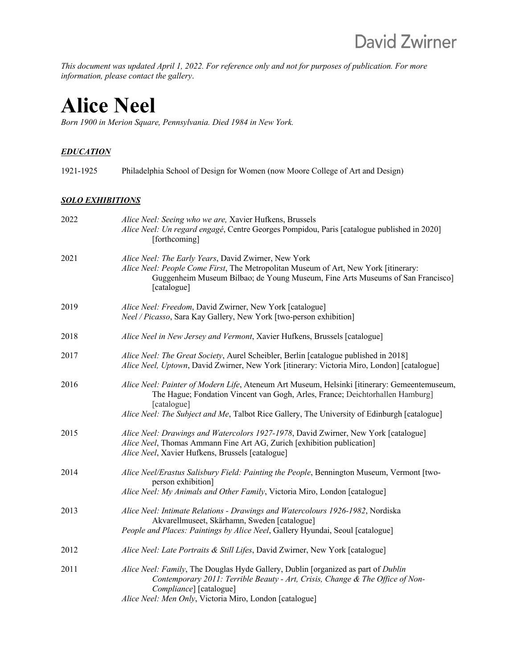*This document was updated April 1, 2022. For reference only and not for purposes of publication. For more information, please contact the gallery*.

# **Alice Neel**

*Born 1900 in Merion Square, Pennsylvania. Died 1984 in New York.*

## *EDUCATION*

| 1921-1925 | Philadelphia School of Design for Women (now Moore College of Art and Design) |  |
|-----------|-------------------------------------------------------------------------------|--|
|           |                                                                               |  |

#### *SOLO EXHIBITIONS*

| 2022 | Alice Neel: Seeing who we are, Xavier Hufkens, Brussels<br>Alice Neel: Un regard engagé, Centre Georges Pompidou, Paris [catalogue published in 2020]<br>[forthcoming]                                                                                                                       |
|------|----------------------------------------------------------------------------------------------------------------------------------------------------------------------------------------------------------------------------------------------------------------------------------------------|
| 2021 | Alice Neel: The Early Years, David Zwirner, New York<br>Alice Neel: People Come First, The Metropolitan Museum of Art, New York [itinerary:<br>Guggenheim Museum Bilbao; de Young Museum, Fine Arts Museums of San Francisco]<br>[catalogue]                                                 |
| 2019 | Alice Neel: Freedom, David Zwirner, New York [catalogue]<br>Neel / Picasso, Sara Kay Gallery, New York [two-person exhibition]                                                                                                                                                               |
| 2018 | Alice Neel in New Jersey and Vermont, Xavier Hufkens, Brussels [catalogue]                                                                                                                                                                                                                   |
| 2017 | Alice Neel: The Great Society, Aurel Scheibler, Berlin [catalogue published in 2018]<br>Alice Neel, Uptown, David Zwirner, New York [itinerary: Victoria Miro, London] [catalogue]                                                                                                           |
| 2016 | Alice Neel: Painter of Modern Life, Ateneum Art Museum, Helsinki [itinerary: Gemeentemuseum,<br>The Hague; Fondation Vincent van Gogh, Arles, France; Deichtorhallen Hamburg]<br>[catalogue]<br>Alice Neel: The Subject and Me, Talbot Rice Gallery, The University of Edinburgh [catalogue] |
| 2015 | Alice Neel: Drawings and Watercolors 1927-1978, David Zwirner, New York [catalogue]<br>Alice Neel, Thomas Ammann Fine Art AG, Zurich [exhibition publication]<br>Alice Neel, Xavier Hufkens, Brussels [catalogue]                                                                            |
| 2014 | Alice Neel/Erastus Salisbury Field: Painting the People, Bennington Museum, Vermont [two-<br>person exhibition]<br>Alice Neel: My Animals and Other Family, Victoria Miro, London [catalogue]                                                                                                |
| 2013 | Alice Neel: Intimate Relations - Drawings and Watercolours 1926-1982, Nordiska<br>Akvarellmuseet, Skärhamn, Sweden [catalogue]<br>People and Places: Paintings by Alice Neel, Gallery Hyundai, Seoul [catalogue]                                                                             |
| 2012 | Alice Neel: Late Portraits & Still Lifes, David Zwirner, New York [catalogue]                                                                                                                                                                                                                |
| 2011 | Alice Neel: Family, The Douglas Hyde Gallery, Dublin [organized as part of Dublin<br>Contemporary 2011: Terrible Beauty - Art, Crisis, Change & The Office of Non-<br>Compliance] [catalogue]<br>Alice Neel: Men Only, Victoria Miro, London [catalogue]                                     |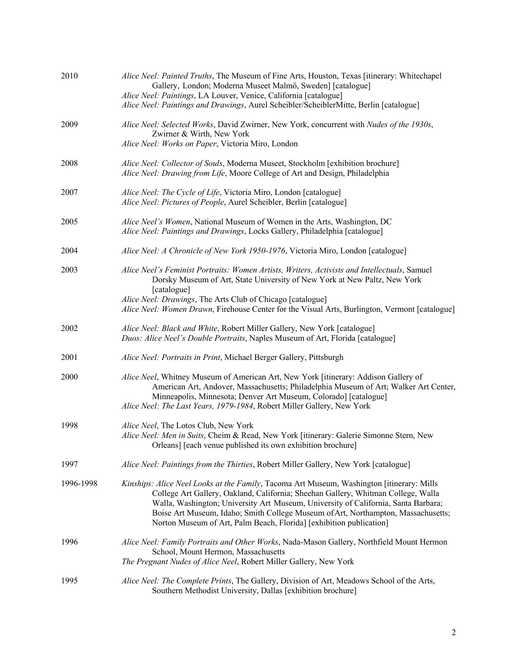| 2010      | Alice Neel: Painted Truths, The Museum of Fine Arts, Houston, Texas [itinerary: Whitechapel<br>Gallery, London; Moderna Museet Malmö, Sweden] [catalogue]<br>Alice Neel: Paintings, LA Louver, Venice, California [catalogue]<br>Alice Neel: Paintings and Drawings, Aurel Scheibler/ScheiblerMitte, Berlin [catalogue]                                                                                                          |
|-----------|----------------------------------------------------------------------------------------------------------------------------------------------------------------------------------------------------------------------------------------------------------------------------------------------------------------------------------------------------------------------------------------------------------------------------------|
| 2009      | Alice Neel: Selected Works, David Zwirner, New York, concurrent with Nudes of the 1930s,<br>Zwirner & Wirth, New York                                                                                                                                                                                                                                                                                                            |
|           | Alice Neel: Works on Paper, Victoria Miro, London                                                                                                                                                                                                                                                                                                                                                                                |
| 2008      | Alice Neel: Collector of Souls, Moderna Museet, Stockholm [exhibition brochure]<br>Alice Neel: Drawing from Life, Moore College of Art and Design, Philadelphia                                                                                                                                                                                                                                                                  |
| 2007      | Alice Neel: The Cycle of Life, Victoria Miro, London [catalogue]<br>Alice Neel: Pictures of People, Aurel Scheibler, Berlin [catalogue]                                                                                                                                                                                                                                                                                          |
| 2005      | Alice Neel's Women, National Museum of Women in the Arts, Washington, DC<br>Alice Neel: Paintings and Drawings, Locks Gallery, Philadelphia [catalogue]                                                                                                                                                                                                                                                                          |
| 2004      | Alice Neel: A Chronicle of New York 1950-1976, Victoria Miro, London [catalogue]                                                                                                                                                                                                                                                                                                                                                 |
| 2003      | Alice Neel's Feminist Portraits: Women Artists, Writers, Activists and Intellectuals, Samuel<br>Dorsky Museum of Art, State University of New York at New Paltz, New York<br>[catalogue]                                                                                                                                                                                                                                         |
|           | Alice Neel: Drawings, The Arts Club of Chicago [catalogue]<br>Alice Neel: Women Drawn, Firehouse Center for the Visual Arts, Burlington, Vermont [catalogue]                                                                                                                                                                                                                                                                     |
| 2002      | Alice Neel: Black and White, Robert Miller Gallery, New York [catalogue]<br>Duos: Alice Neel's Double Portraits, Naples Museum of Art, Florida [catalogue]                                                                                                                                                                                                                                                                       |
| 2001      | Alice Neel: Portraits in Print, Michael Berger Gallery, Pittsburgh                                                                                                                                                                                                                                                                                                                                                               |
| 2000      | Alice Neel, Whitney Museum of American Art, New York [itinerary: Addison Gallery of<br>American Art, Andover, Massachusetts; Philadelphia Museum of Art; Walker Art Center,<br>Minneapolis, Minnesota; Denver Art Museum, Colorado] [catalogue]<br>Alice Neel: The Last Years, 1979-1984, Robert Miller Gallery, New York                                                                                                        |
|           |                                                                                                                                                                                                                                                                                                                                                                                                                                  |
| 1998      | Alice Neel, The Lotos Club, New York<br>Alice Neel: Men in Suits, Cheim & Read, New York [itinerary: Galerie Simonne Stern, New<br>Orleans] [each venue published its own exhibition brochure]                                                                                                                                                                                                                                   |
| 1997      | Alice Neel: Paintings from the Thirties, Robert Miller Gallery, New York [catalogue]                                                                                                                                                                                                                                                                                                                                             |
| 1996-1998 | Kinships: Alice Neel Looks at the Family, Tacoma Art Museum, Washington [itinerary: Mills<br>College Art Gallery, Oakland, California; Sheehan Gallery, Whitman College, Walla<br>Walla, Washington; University Art Museum, University of California, Santa Barbara;<br>Boise Art Museum, Idaho; Smith College Museum of Art, Northampton, Massachusetts;<br>Norton Museum of Art, Palm Beach, Florida] [exhibition publication] |
| 1996      | Alice Neel: Family Portraits and Other Works, Nada-Mason Gallery, Northfield Mount Hermon<br>School, Mount Hermon, Massachusetts<br>The Pregnant Nudes of Alice Neel, Robert Miller Gallery, New York                                                                                                                                                                                                                            |
| 1995      | Alice Neel: The Complete Prints, The Gallery, Division of Art, Meadows School of the Arts,<br>Southern Methodist University, Dallas [exhibition brochure]                                                                                                                                                                                                                                                                        |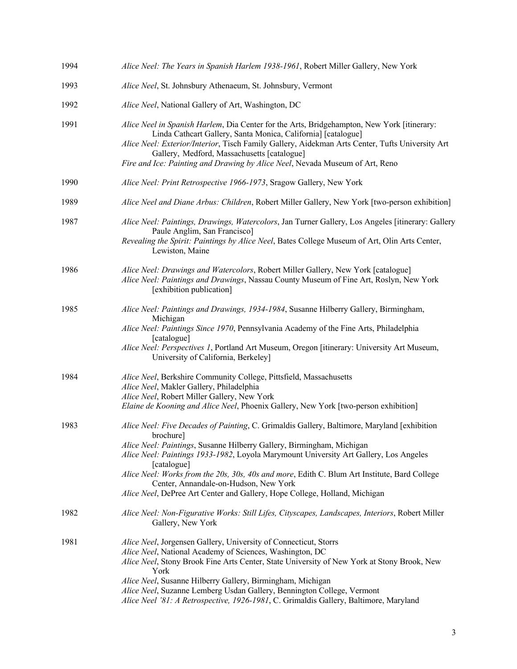| 1994 | Alice Neel: The Years in Spanish Harlem 1938-1961, Robert Miller Gallery, New York                                                                                                                                                                                                                                                                                                                                                                                                                               |
|------|------------------------------------------------------------------------------------------------------------------------------------------------------------------------------------------------------------------------------------------------------------------------------------------------------------------------------------------------------------------------------------------------------------------------------------------------------------------------------------------------------------------|
| 1993 | Alice Neel, St. Johnsbury Athenaeum, St. Johnsbury, Vermont                                                                                                                                                                                                                                                                                                                                                                                                                                                      |
| 1992 | Alice Neel, National Gallery of Art, Washington, DC                                                                                                                                                                                                                                                                                                                                                                                                                                                              |
| 1991 | Alice Neel in Spanish Harlem, Dia Center for the Arts, Bridgehampton, New York [itinerary:<br>Linda Cathcart Gallery, Santa Monica, California] [catalogue]<br>Alice Neel: Exterior/Interior, Tisch Family Gallery, Aidekman Arts Center, Tufts University Art<br>Gallery, Medford, Massachusetts [catalogue]<br>Fire and Ice: Painting and Drawing by Alice Neel, Nevada Museum of Art, Reno                                                                                                                    |
| 1990 | Alice Neel: Print Retrospective 1966-1973, Sragow Gallery, New York                                                                                                                                                                                                                                                                                                                                                                                                                                              |
| 1989 | Alice Neel and Diane Arbus: Children, Robert Miller Gallery, New York [two-person exhibition]                                                                                                                                                                                                                                                                                                                                                                                                                    |
| 1987 | Alice Neel: Paintings, Drawings, Watercolors, Jan Turner Gallery, Los Angeles [itinerary: Gallery<br>Paule Anglim, San Francisco]<br>Revealing the Spirit: Paintings by Alice Neel, Bates College Museum of Art, Olin Arts Center,<br>Lewiston, Maine                                                                                                                                                                                                                                                            |
| 1986 | Alice Neel: Drawings and Watercolors, Robert Miller Gallery, New York [catalogue]<br>Alice Neel: Paintings and Drawings, Nassau County Museum of Fine Art, Roslyn, New York<br>[exhibition publication]                                                                                                                                                                                                                                                                                                          |
| 1985 | Alice Neel: Paintings and Drawings, 1934-1984, Susanne Hilberry Gallery, Birmingham,<br>Michigan<br>Alice Neel: Paintings Since 1970, Pennsylvania Academy of the Fine Arts, Philadelphia<br>[catalogue]<br>Alice Neel: Perspectives 1, Portland Art Museum, Oregon [itinerary: University Art Museum,<br>University of California, Berkeley]                                                                                                                                                                    |
| 1984 | Alice Neel, Berkshire Community College, Pittsfield, Massachusetts<br>Alice Neel, Makler Gallery, Philadelphia<br>Alice Neel, Robert Miller Gallery, New York<br>Elaine de Kooning and Alice Neel, Phoenix Gallery, New York [two-person exhibition]                                                                                                                                                                                                                                                             |
| 1983 | Alice Neel: Five Decades of Painting, C. Grimaldis Gallery, Baltimore, Maryland [exhibition<br>brochure]<br>Alice Neel: Paintings, Susanne Hilberry Gallery, Birmingham, Michigan<br>Alice Neel: Paintings 1933-1982, Loyola Marymount University Art Gallery, Los Angeles<br>[catalogue]<br>Alice Neel: Works from the 20s, 30s, 40s and more, Edith C. Blum Art Institute, Bard College<br>Center, Annandale-on-Hudson, New York<br>Alice Neel, DePree Art Center and Gallery, Hope College, Holland, Michigan |
| 1982 | Alice Neel: Non-Figurative Works: Still Lifes, Cityscapes, Landscapes, Interiors, Robert Miller<br>Gallery, New York                                                                                                                                                                                                                                                                                                                                                                                             |
| 1981 | Alice Neel, Jorgensen Gallery, University of Connecticut, Storrs<br>Alice Neel, National Academy of Sciences, Washington, DC<br>Alice Neel, Stony Brook Fine Arts Center, State University of New York at Stony Brook, New<br>York<br>Alice Neel, Susanne Hilberry Gallery, Birmingham, Michigan<br>Alice Neel, Suzanne Lemberg Usdan Gallery, Bennington College, Vermont<br>Alice Neel '81: A Retrospective, 1926-1981, C. Grimaldis Gallery, Baltimore, Maryland                                              |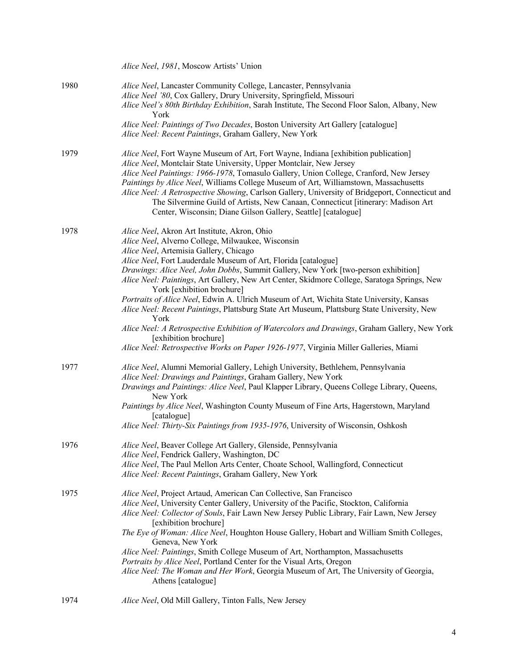|      | Alice Neel, 1981, Moscow Artists' Union                                                                                                                                                                                                                                                                                                                                                                                                                                                                                                                                                                                                                                                                                                                                                                                                              |
|------|------------------------------------------------------------------------------------------------------------------------------------------------------------------------------------------------------------------------------------------------------------------------------------------------------------------------------------------------------------------------------------------------------------------------------------------------------------------------------------------------------------------------------------------------------------------------------------------------------------------------------------------------------------------------------------------------------------------------------------------------------------------------------------------------------------------------------------------------------|
| 1980 | Alice Neel, Lancaster Community College, Lancaster, Pennsylvania<br>Alice Neel '80, Cox Gallery, Drury University, Springfield, Missouri<br>Alice Neel's 80th Birthday Exhibition, Sarah Institute, The Second Floor Salon, Albany, New<br>York<br>Alice Neel: Paintings of Two Decades, Boston University Art Gallery [catalogue]                                                                                                                                                                                                                                                                                                                                                                                                                                                                                                                   |
|      | Alice Neel: Recent Paintings, Graham Gallery, New York                                                                                                                                                                                                                                                                                                                                                                                                                                                                                                                                                                                                                                                                                                                                                                                               |
| 1979 | Alice Neel, Fort Wayne Museum of Art, Fort Wayne, Indiana [exhibition publication]<br>Alice Neel, Montclair State University, Upper Montclair, New Jersey<br>Alice Neel Paintings: 1966-1978, Tomasulo Gallery, Union College, Cranford, New Jersey<br>Paintings by Alice Neel, Williams College Museum of Art, Williamstown, Massachusetts<br>Alice Neel: A Retrospective Showing, Carlson Gallery, University of Bridgeport, Connecticut and<br>The Silvermine Guild of Artists, New Canaan, Connecticut [itinerary: Madison Art<br>Center, Wisconsin; Diane Gilson Gallery, Seattle] [catalogue]                                                                                                                                                                                                                                                  |
| 1978 | Alice Neel, Akron Art Institute, Akron, Ohio<br>Alice Neel, Alverno College, Milwaukee, Wisconsin<br>Alice Neel, Artemisia Gallery, Chicago<br>Alice Neel, Fort Lauderdale Museum of Art, Florida [catalogue]<br>Drawings: Alice Neel, John Dobbs, Summit Gallery, New York [two-person exhibition]<br>Alice Neel: Paintings, Art Gallery, New Art Center, Skidmore College, Saratoga Springs, New<br>York [exhibition brochure]<br>Portraits of Alice Neel, Edwin A. Ulrich Museum of Art, Wichita State University, Kansas<br>Alice Neel: Recent Paintings, Plattsburg State Art Museum, Plattsburg State University, New<br>York<br>Alice Neel: A Retrospective Exhibition of Watercolors and Drawings, Graham Gallery, New York<br>[exhibition brochure]<br>Alice Neel: Retrospective Works on Paper 1926-1977, Virginia Miller Galleries, Miami |
| 1977 | Alice Neel, Alumni Memorial Gallery, Lehigh University, Bethlehem, Pennsylvania<br>Alice Neel: Drawings and Paintings, Graham Gallery, New York<br>Drawings and Paintings: Alice Neel, Paul Klapper Library, Queens College Library, Queens,<br>New York<br>Paintings by Alice Neel, Washington County Museum of Fine Arts, Hagerstown, Maryland<br>[catalogue]<br>Alice Neel: Thirty-Six Paintings from 1935-1976, University of Wisconsin, Oshkosh                                                                                                                                                                                                                                                                                                                                                                                                 |
| 1976 | Alice Neel, Beaver College Art Gallery, Glenside, Pennsylvania<br>Alice Neel, Fendrick Gallery, Washington, DC<br>Alice Neel, The Paul Mellon Arts Center, Choate School, Wallingford, Connecticut<br>Alice Neel: Recent Paintings, Graham Gallery, New York                                                                                                                                                                                                                                                                                                                                                                                                                                                                                                                                                                                         |
| 1975 | Alice Neel, Project Artaud, American Can Collective, San Francisco<br>Alice Neel, University Center Gallery, University of the Pacific, Stockton, California<br>Alice Neel: Collector of Souls, Fair Lawn New Jersey Public Library, Fair Lawn, New Jersey<br>[exhibition brochure]<br>The Eye of Woman: Alice Neel, Houghton House Gallery, Hobart and William Smith Colleges,<br>Geneva, New York<br>Alice Neel: Paintings, Smith College Museum of Art, Northampton, Massachusetts<br>Portraits by Alice Neel, Portland Center for the Visual Arts, Oregon<br>Alice Neel: The Woman and Her Work, Georgia Museum of Art, The University of Georgia,<br>Athens [catalogue]                                                                                                                                                                         |
| 1974 | Alice Neel, Old Mill Gallery, Tinton Falls, New Jersey                                                                                                                                                                                                                                                                                                                                                                                                                                                                                                                                                                                                                                                                                                                                                                                               |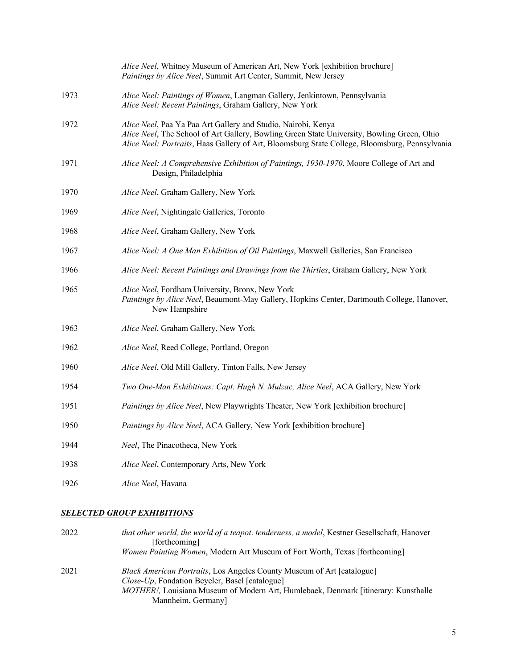|      | Alice Neel, Whitney Museum of American Art, New York [exhibition brochure]<br>Paintings by Alice Neel, Summit Art Center, Summit, New Jersey                                                                                                                  |
|------|---------------------------------------------------------------------------------------------------------------------------------------------------------------------------------------------------------------------------------------------------------------|
| 1973 | Alice Neel: Paintings of Women, Langman Gallery, Jenkintown, Pennsylvania<br>Alice Neel: Recent Paintings, Graham Gallery, New York                                                                                                                           |
| 1972 | Alice Neel, Paa Ya Paa Art Gallery and Studio, Nairobi, Kenya<br>Alice Neel, The School of Art Gallery, Bowling Green State University, Bowling Green, Ohio<br>Alice Neel: Portraits, Haas Gallery of Art, Bloomsburg State College, Bloomsburg, Pennsylvania |
| 1971 | Alice Neel: A Comprehensive Exhibition of Paintings, 1930-1970, Moore College of Art and<br>Design, Philadelphia                                                                                                                                              |
| 1970 | Alice Neel, Graham Gallery, New York                                                                                                                                                                                                                          |
| 1969 | Alice Neel, Nightingale Galleries, Toronto                                                                                                                                                                                                                    |
| 1968 | Alice Neel, Graham Gallery, New York                                                                                                                                                                                                                          |
| 1967 | Alice Neel: A One Man Exhibition of Oil Paintings, Maxwell Galleries, San Francisco                                                                                                                                                                           |
| 1966 | Alice Neel: Recent Paintings and Drawings from the Thirties, Graham Gallery, New York                                                                                                                                                                         |
| 1965 | Alice Neel, Fordham University, Bronx, New York<br>Paintings by Alice Neel, Beaumont-May Gallery, Hopkins Center, Dartmouth College, Hanover,<br>New Hampshire                                                                                                |
| 1963 | Alice Neel, Graham Gallery, New York                                                                                                                                                                                                                          |
| 1962 | Alice Neel, Reed College, Portland, Oregon                                                                                                                                                                                                                    |
| 1960 | Alice Neel, Old Mill Gallery, Tinton Falls, New Jersey                                                                                                                                                                                                        |
| 1954 | Two One-Man Exhibitions: Capt. Hugh N. Mulzac, Alice Neel, ACA Gallery, New York                                                                                                                                                                              |
| 1951 | Paintings by Alice Neel, New Playwrights Theater, New York [exhibition brochure]                                                                                                                                                                              |
| 1950 | Paintings by Alice Neel, ACA Gallery, New York [exhibition brochure]                                                                                                                                                                                          |
| 1944 | Neel, The Pinacotheca, New York                                                                                                                                                                                                                               |
| 1938 | Alice Neel, Contemporary Arts, New York                                                                                                                                                                                                                       |
| 1926 | <i>Alice Neel</i> , Havana                                                                                                                                                                                                                                    |

## *SELECTED GROUP EXHIBITIONS*

| 2022 | that other world, the world of a teapot. tenderness, a model, Kestner Gesellschaft, Hanover<br>[forthcoming]                             |
|------|------------------------------------------------------------------------------------------------------------------------------------------|
|      | <i>Women Painting Women, Modern Art Museum of Fort Worth, Texas [forthcoming]</i>                                                        |
| 2021 | <i>Black American Portraits</i> , Los Angeles County Museum of Art [catalogue]<br><i>Close-Up</i> , Fondation Beyeler, Basel [catalogue] |
|      | MOTHER!, Louisiana Museum of Modern Art, Humlebaek, Denmark [itinerary: Kunsthalle                                                       |
|      | Mannheim, Germany                                                                                                                        |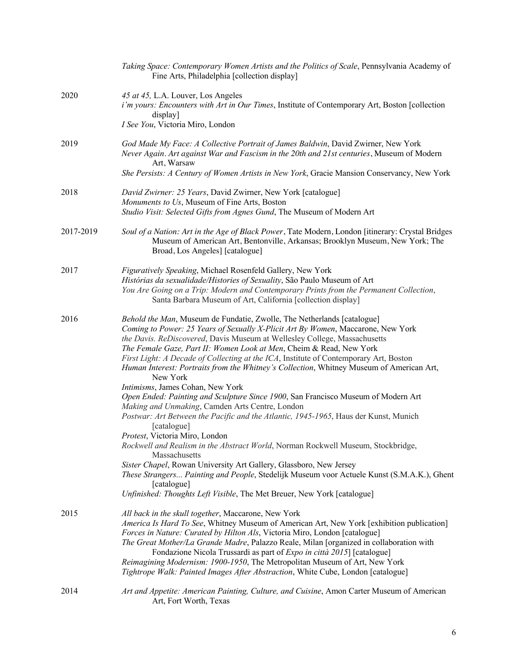|           | Taking Space: Contemporary Women Artists and the Politics of Scale, Pennsylvania Academy of<br>Fine Arts, Philadelphia [collection display]                                                                                                                                                                                                                                                                                                                                                                                                                                                                                                                                                                                                                                                                                                                                                                                                                                                                                                                                                                                                                                                              |
|-----------|----------------------------------------------------------------------------------------------------------------------------------------------------------------------------------------------------------------------------------------------------------------------------------------------------------------------------------------------------------------------------------------------------------------------------------------------------------------------------------------------------------------------------------------------------------------------------------------------------------------------------------------------------------------------------------------------------------------------------------------------------------------------------------------------------------------------------------------------------------------------------------------------------------------------------------------------------------------------------------------------------------------------------------------------------------------------------------------------------------------------------------------------------------------------------------------------------------|
| 2020      | 45 at 45, L.A. Louver, Los Angeles<br>i'm yours: Encounters with Art in Our Times, Institute of Contemporary Art, Boston [collection<br>display]<br>I See You, Victoria Miro, London                                                                                                                                                                                                                                                                                                                                                                                                                                                                                                                                                                                                                                                                                                                                                                                                                                                                                                                                                                                                                     |
| 2019      | God Made My Face: A Collective Portrait of James Baldwin, David Zwirner, New York<br>Never Again. Art against War and Fascism in the 20th and 21st centuries, Museum of Modern<br>Art, Warsaw<br>She Persists: A Century of Women Artists in New York, Gracie Mansion Conservancy, New York                                                                                                                                                                                                                                                                                                                                                                                                                                                                                                                                                                                                                                                                                                                                                                                                                                                                                                              |
| 2018      | David Zwirner: 25 Years, David Zwirner, New York [catalogue]<br>Monuments to Us, Museum of Fine Arts, Boston<br>Studio Visit: Selected Gifts from Agnes Gund, The Museum of Modern Art                                                                                                                                                                                                                                                                                                                                                                                                                                                                                                                                                                                                                                                                                                                                                                                                                                                                                                                                                                                                                   |
| 2017-2019 | Soul of a Nation: Art in the Age of Black Power, Tate Modern, London [itinerary: Crystal Bridges<br>Museum of American Art, Bentonville, Arkansas; Brooklyn Museum, New York; The<br>Broad, Los Angeles] [catalogue]                                                                                                                                                                                                                                                                                                                                                                                                                                                                                                                                                                                                                                                                                                                                                                                                                                                                                                                                                                                     |
| 2017      | Figuratively Speaking, Michael Rosenfeld Gallery, New York<br>Histórias da sexualidade/Histories of Sexuality, São Paulo Museum of Art<br>You Are Going on a Trip: Modern and Contemporary Prints from the Permanent Collection,<br>Santa Barbara Museum of Art, California [collection display]                                                                                                                                                                                                                                                                                                                                                                                                                                                                                                                                                                                                                                                                                                                                                                                                                                                                                                         |
| 2016      | Behold the Man, Museum de Fundatie, Zwolle, The Netherlands [catalogue]<br>Coming to Power: 25 Years of Sexually X-Plicit Art By Women, Maccarone, New York<br>the Davis. ReDiscovered, Davis Museum at Wellesley College, Massachusetts<br>The Female Gaze, Part II: Women Look at Men, Cheim & Read, New York<br>First Light: A Decade of Collecting at the ICA, Institute of Contemporary Art, Boston<br>Human Interest: Portraits from the Whitney's Collection, Whitney Museum of American Art,<br>New York<br>Intimisms, James Cohan, New York<br>Open Ended: Painting and Sculpture Since 1900, San Francisco Museum of Modern Art<br>Making and Unmaking, Camden Arts Centre, London<br>Postwar: Art Between the Pacific and the Atlantic, 1945-1965, Haus der Kunst, Munich<br>[catalogue]<br>Protest, Victoria Miro, London<br>Rockwell and Realism in the Abstract World, Norman Rockwell Museum, Stockbridge,<br>Massachusetts<br>Sister Chapel, Rowan University Art Gallery, Glassboro, New Jersey<br>These Strangers Painting and People, Stedelijk Museum voor Actuele Kunst (S.M.A.K.), Ghent<br>[catalogue]<br>Unfinished: Thoughts Left Visible, The Met Breuer, New York [catalogue] |
| 2015      | All back in the skull together, Maccarone, New York<br>America Is Hard To See, Whitney Museum of American Art, New York [exhibition publication]<br>Forces in Nature: Curated by Hilton Als, Victoria Miro, London [catalogue]<br>The Great Mother/La Grande Madre, Palazzo Reale, Milan [organized in collaboration with<br>Fondazione Nicola Trussardi as part of <i>Expo in città 2015</i> ] [catalogue]<br>Reimagining Modernism: 1900-1950, The Metropolitan Museum of Art, New York<br>Tightrope Walk: Painted Images After Abstraction, White Cube, London [catalogue]                                                                                                                                                                                                                                                                                                                                                                                                                                                                                                                                                                                                                            |
| 2014      | Art and Appetite: American Painting, Culture, and Cuisine, Amon Carter Museum of American<br>Art, Fort Worth, Texas                                                                                                                                                                                                                                                                                                                                                                                                                                                                                                                                                                                                                                                                                                                                                                                                                                                                                                                                                                                                                                                                                      |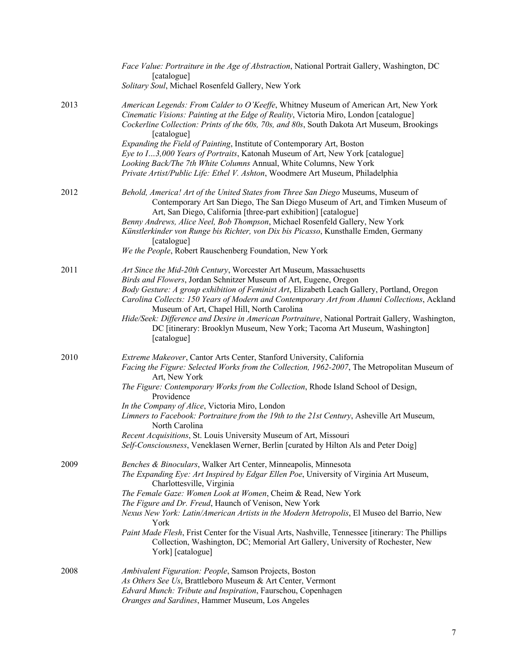|      | Face Value: Portraiture in the Age of Abstraction, National Portrait Gallery, Washington, DC<br>[catalogue]<br>Solitary Soul, Michael Rosenfeld Gallery, New York                                                                                                                                                                                                                                                                                                                                                                                                                    |
|------|--------------------------------------------------------------------------------------------------------------------------------------------------------------------------------------------------------------------------------------------------------------------------------------------------------------------------------------------------------------------------------------------------------------------------------------------------------------------------------------------------------------------------------------------------------------------------------------|
| 2013 | American Legends: From Calder to O'Keeffe, Whitney Museum of American Art, New York<br>Cinematic Visions: Painting at the Edge of Reality, Victoria Miro, London [catalogue]<br>Cockerline Collection: Prints of the 60s, 70s, and 80s, South Dakota Art Museum, Brookings<br>[catalogue]<br>Expanding the Field of Painting, Institute of Contemporary Art, Boston<br>Eye to I3,000 Years of Portraits, Katonah Museum of Art, New York [catalogue]                                                                                                                                 |
|      | Looking Back/The 7th White Columns Annual, White Columns, New York<br>Private Artist/Public Life: Ethel V. Ashton, Woodmere Art Museum, Philadelphia                                                                                                                                                                                                                                                                                                                                                                                                                                 |
| 2012 | Behold, America! Art of the United States from Three San Diego Museums, Museum of<br>Contemporary Art San Diego, The San Diego Museum of Art, and Timken Museum of<br>Art, San Diego, California [three-part exhibition] [catalogue]<br>Benny Andrews, Alice Neel, Bob Thompson, Michael Rosenfeld Gallery, New York<br>Künstlerkinder von Runge bis Richter, von Dix bis Picasso, Kunsthalle Emden, Germany<br>[catalogue]                                                                                                                                                          |
|      | We the People, Robert Rauschenberg Foundation, New York                                                                                                                                                                                                                                                                                                                                                                                                                                                                                                                              |
| 2011 | Art Since the Mid-20th Century, Worcester Art Museum, Massachusetts<br>Birds and Flowers, Jordan Schnitzer Museum of Art, Eugene, Oregon<br>Body Gesture: A group exhibition of Feminist Art, Elizabeth Leach Gallery, Portland, Oregon<br>Carolina Collects: 150 Years of Modern and Contemporary Art from Alumni Collections, Ackland<br>Museum of Art, Chapel Hill, North Carolina<br>Hide/Seek: Difference and Desire in American Portraiture, National Portrait Gallery, Washington,<br>DC [itinerary: Brooklyn Museum, New York; Tacoma Art Museum, Washington]<br>[catalogue] |
| 2010 | Extreme Makeover, Cantor Arts Center, Stanford University, California<br>Facing the Figure: Selected Works from the Collection, 1962-2007, The Metropolitan Museum of<br>Art, New York                                                                                                                                                                                                                                                                                                                                                                                               |
|      | The Figure: Contemporary Works from the Collection, Rhode Island School of Design,<br>Providence<br>In the Company of Alice, Victoria Miro, London<br>Limners to Facebook: Portraiture from the 19th to the 21st Century, Asheville Art Museum,<br>North Carolina                                                                                                                                                                                                                                                                                                                    |
|      | Recent Acquisitions, St. Louis University Museum of Art, Missouri<br>Self-Consciousness, Veneklasen Werner, Berlin [curated by Hilton Als and Peter Doig]                                                                                                                                                                                                                                                                                                                                                                                                                            |
| 2009 | Benches & Binoculars, Walker Art Center, Minneapolis, Minnesota<br>The Expanding Eye: Art Inspired by Edgar Ellen Poe, University of Virginia Art Museum,<br>Charlottesville, Virginia<br>The Female Gaze: Women Look at Women, Cheim & Read, New York<br>The Figure and Dr. Freud, Haunch of Venison, New York<br>Nexus New York: Latin/American Artists in the Modern Metropolis, El Museo del Barrio, New                                                                                                                                                                         |
|      | York<br>Paint Made Flesh, Frist Center for the Visual Arts, Nashville, Tennessee [itinerary: The Phillips<br>Collection, Washington, DC; Memorial Art Gallery, University of Rochester, New<br>York] [catalogue]                                                                                                                                                                                                                                                                                                                                                                     |
| 2008 | Ambivalent Figuration: People, Samson Projects, Boston<br>As Others See Us, Brattleboro Museum & Art Center, Vermont<br>Edvard Munch: Tribute and Inspiration, Faurschou, Copenhagen<br>Oranges and Sardines, Hammer Museum, Los Angeles                                                                                                                                                                                                                                                                                                                                             |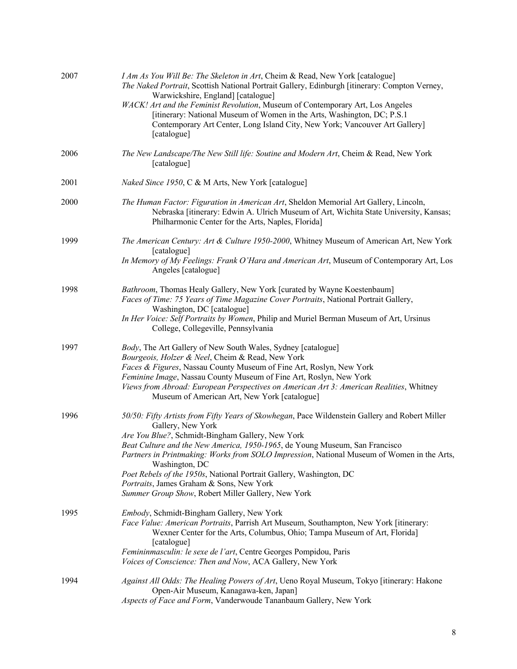| 2007 | I Am As You Will Be: The Skeleton in Art, Cheim & Read, New York [catalogue]<br>The Naked Portrait, Scottish National Portrait Gallery, Edinburgh [itinerary: Compton Verney,<br>Warwickshire, England] [catalogue]<br>WACK! Art and the Feminist Revolution, Museum of Contemporary Art, Los Angeles<br>[itinerary: National Museum of Women in the Arts, Washington, DC; P.S.1<br>Contemporary Art Center, Long Island City, New York; Vancouver Art Gallery]<br>[catalogue]                                                                  |
|------|-------------------------------------------------------------------------------------------------------------------------------------------------------------------------------------------------------------------------------------------------------------------------------------------------------------------------------------------------------------------------------------------------------------------------------------------------------------------------------------------------------------------------------------------------|
| 2006 | The New Landscape/The New Still life: Soutine and Modern Art, Cheim & Read, New York<br>[catalogue]                                                                                                                                                                                                                                                                                                                                                                                                                                             |
| 2001 | <i>Naked Since 1950, C &amp; M Arts, New York [catalogue]</i>                                                                                                                                                                                                                                                                                                                                                                                                                                                                                   |
| 2000 | The Human Factor: Figuration in American Art, Sheldon Memorial Art Gallery, Lincoln,<br>Nebraska [itinerary: Edwin A. Ulrich Museum of Art, Wichita State University, Kansas;<br>Philharmonic Center for the Arts, Naples, Florida]                                                                                                                                                                                                                                                                                                             |
| 1999 | The American Century: Art & Culture 1950-2000, Whitney Museum of American Art, New York<br>[catalogue]                                                                                                                                                                                                                                                                                                                                                                                                                                          |
|      | In Memory of My Feelings: Frank O'Hara and American Art, Museum of Contemporary Art, Los<br>Angeles [catalogue]                                                                                                                                                                                                                                                                                                                                                                                                                                 |
| 1998 | Bathroom, Thomas Healy Gallery, New York [curated by Wayne Koestenbaum]<br>Faces of Time: 75 Years of Time Magazine Cover Portraits, National Portrait Gallery,<br>Washington, DC [catalogue]<br>In Her Voice: Self Portraits by Women, Philip and Muriel Berman Museum of Art, Ursinus<br>College, Collegeville, Pennsylvania                                                                                                                                                                                                                  |
| 1997 | Body, The Art Gallery of New South Wales, Sydney [catalogue]<br>Bourgeois, Holzer & Neel, Cheim & Read, New York<br>Faces & Figures, Nassau County Museum of Fine Art, Roslyn, New York<br>Feminine Image, Nassau County Museum of Fine Art, Roslyn, New York<br>Views from Abroad: European Perspectives on American Art 3: American Realities, Whitney<br>Museum of American Art, New York [catalogue]                                                                                                                                        |
| 1996 | 50/50: Fifty Artists from Fifty Years of Skowhegan, Pace Wildenstein Gallery and Robert Miller<br>Gallery, New York<br>Are You Blue?, Schmidt-Bingham Gallery, New York<br>Beat Culture and the New America, 1950-1965, de Young Museum, San Francisco<br>Partners in Printmaking: Works from SOLO Impression, National Museum of Women in the Arts,<br>Washington, DC<br>Poet Rebels of the 1950s, National Portrait Gallery, Washington, DC<br>Portraits, James Graham & Sons, New York<br>Summer Group Show, Robert Miller Gallery, New York |
| 1995 | Embody, Schmidt-Bingham Gallery, New York<br>Face Value: American Portraits, Parrish Art Museum, Southampton, New York [itinerary:<br>Wexner Center for the Arts, Columbus, Ohio; Tampa Museum of Art, Florida]<br>[catalogue]<br>Femininmasculin: le sexe de l'art, Centre Georges Pompidou, Paris<br>Voices of Conscience: Then and Now, ACA Gallery, New York                                                                                                                                                                                |
| 1994 | Against All Odds: The Healing Powers of Art, Ueno Royal Museum, Tokyo [itinerary: Hakone<br>Open-Air Museum, Kanagawa-ken, Japan]<br>Aspects of Face and Form, Vanderwoude Tananbaum Gallery, New York                                                                                                                                                                                                                                                                                                                                          |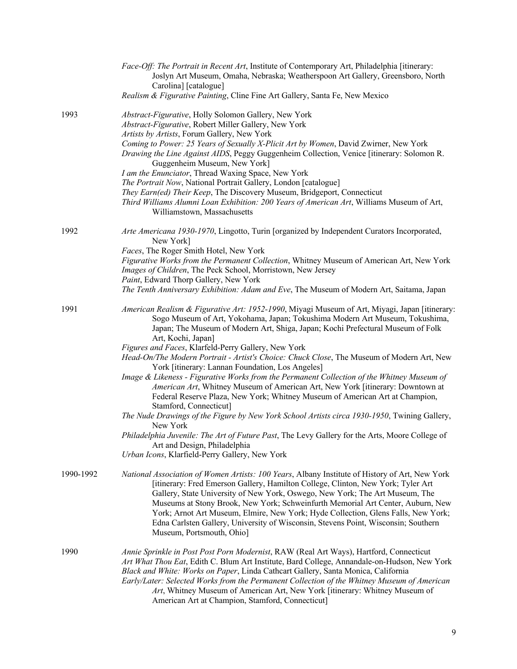|           | Face-Off: The Portrait in Recent Art, Institute of Contemporary Art, Philadelphia [itinerary:<br>Joslyn Art Museum, Omaha, Nebraska; Weatherspoon Art Gallery, Greensboro, North<br>Carolina] [catalogue]                                                                                                                                                                                                                                                                                                                                                     |
|-----------|---------------------------------------------------------------------------------------------------------------------------------------------------------------------------------------------------------------------------------------------------------------------------------------------------------------------------------------------------------------------------------------------------------------------------------------------------------------------------------------------------------------------------------------------------------------|
|           | Realism & Figurative Painting, Cline Fine Art Gallery, Santa Fe, New Mexico                                                                                                                                                                                                                                                                                                                                                                                                                                                                                   |
| 1993      | Abstract-Figurative, Holly Solomon Gallery, New York<br>Abstract-Figurative, Robert Miller Gallery, New York<br>Artists by Artists, Forum Gallery, New York                                                                                                                                                                                                                                                                                                                                                                                                   |
|           | Coming to Power: 25 Years of Sexually X-Plicit Art by Women, David Zwirner, New York<br>Drawing the Line Against AIDS, Peggy Guggenheim Collection, Venice [itinerary: Solomon R.<br>Guggenheim Museum, New York]                                                                                                                                                                                                                                                                                                                                             |
|           | I am the Enunciator, Thread Waxing Space, New York<br>The Portrait Now, National Portrait Gallery, London [catalogue]                                                                                                                                                                                                                                                                                                                                                                                                                                         |
|           | They Earn(ed) Their Keep, The Discovery Museum, Bridgeport, Connecticut<br>Third Williams Alumni Loan Exhibition: 200 Years of American Art, Williams Museum of Art,                                                                                                                                                                                                                                                                                                                                                                                          |
|           | Williamstown, Massachusetts                                                                                                                                                                                                                                                                                                                                                                                                                                                                                                                                   |
| 1992      | Arte Americana 1930-1970, Lingotto, Turin [organized by Independent Curators Incorporated,<br>New York]                                                                                                                                                                                                                                                                                                                                                                                                                                                       |
|           | Faces, The Roger Smith Hotel, New York<br>Figurative Works from the Permanent Collection, Whitney Museum of American Art, New York                                                                                                                                                                                                                                                                                                                                                                                                                            |
|           | Images of Children, The Peck School, Morristown, New Jersey                                                                                                                                                                                                                                                                                                                                                                                                                                                                                                   |
|           | Paint, Edward Thorp Gallery, New York                                                                                                                                                                                                                                                                                                                                                                                                                                                                                                                         |
|           | The Tenth Anniversary Exhibition: Adam and Eve, The Museum of Modern Art, Saitama, Japan                                                                                                                                                                                                                                                                                                                                                                                                                                                                      |
| 1991      | American Realism & Figurative Art: 1952-1990, Miyagi Museum of Art, Miyagi, Japan [itinerary:<br>Sogo Museum of Art, Yokohama, Japan; Tokushima Modern Art Museum, Tokushima,<br>Japan; The Museum of Modern Art, Shiga, Japan; Kochi Prefectural Museum of Folk<br>Art, Kochi, Japan]                                                                                                                                                                                                                                                                        |
|           | Figures and Faces, Klarfeld-Perry Gallery, New York                                                                                                                                                                                                                                                                                                                                                                                                                                                                                                           |
|           | Head-On/The Modern Portrait - Artist's Choice: Chuck Close, The Museum of Modern Art, New<br>York [itinerary: Lannan Foundation, Los Angeles]                                                                                                                                                                                                                                                                                                                                                                                                                 |
|           | Image & Likeness - Figurative Works from the Permanent Collection of the Whitney Museum of<br>American Art, Whitney Museum of American Art, New York [itinerary: Downtown at<br>Federal Reserve Plaza, New York; Whitney Museum of American Art at Champion,<br>Stamford, Connecticut]                                                                                                                                                                                                                                                                        |
|           | The Nude Drawings of the Figure by New York School Artists circa 1930-1950, Twining Gallery,<br>New York                                                                                                                                                                                                                                                                                                                                                                                                                                                      |
|           | Philadelphia Juvenile: The Art of Future Past, The Levy Gallery for the Arts, Moore College of<br>Art and Design, Philadelphia                                                                                                                                                                                                                                                                                                                                                                                                                                |
|           | Urban Icons, Klarfield-Perry Gallery, New York                                                                                                                                                                                                                                                                                                                                                                                                                                                                                                                |
| 1990-1992 | National Association of Women Artists: 100 Years, Albany Institute of History of Art, New York<br>[itinerary: Fred Emerson Gallery, Hamilton College, Clinton, New York; Tyler Art<br>Gallery, State University of New York, Oswego, New York; The Art Museum, The<br>Museums at Stony Brook, New York; Schweinfurth Memorial Art Center, Auburn, New<br>York; Arnot Art Museum, Elmire, New York; Hyde Collection, Glens Falls, New York;<br>Edna Carlsten Gallery, University of Wisconsin, Stevens Point, Wisconsin; Southern<br>Museum, Portsmouth, Ohio] |
| 1990      | Annie Sprinkle in Post Post Porn Modernist, RAW (Real Art Ways), Hartford, Connecticut                                                                                                                                                                                                                                                                                                                                                                                                                                                                        |
|           | Art What Thou Eat, Edith C. Blum Art Institute, Bard College, Annandale-on-Hudson, New York<br>Black and White: Works on Paper, Linda Cathcart Gallery, Santa Monica, California<br>Early/Later: Selected Works from the Permanent Collection of the Whitney Museum of American<br>Art, Whitney Museum of American Art, New York [itinerary: Whitney Museum of<br>American Art at Champion, Stamford, Connecticut]                                                                                                                                            |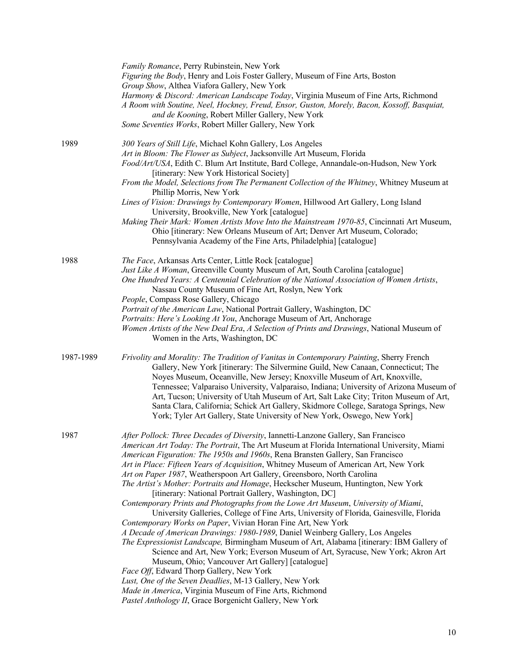|           | Family Romance, Perry Rubinstein, New York<br>Figuring the Body, Henry and Lois Foster Gallery, Museum of Fine Arts, Boston<br>Group Show, Althea Viafora Gallery, New York<br>Harmony & Discord: American Landscape Today, Virginia Museum of Fine Arts, Richmond<br>A Room with Soutine, Neel, Hockney, Freud, Ensor, Guston, Morely, Bacon, Kossoff, Basquiat,<br>and de Kooning, Robert Miller Gallery, New York<br>Some Seventies Works, Robert Miller Gallery, New York                                                                                                                                                                                                                                                                                                                                                                                                                                                                                                                                                                                                                                                                                                                                                                                                                                                                                                             |
|-----------|-------------------------------------------------------------------------------------------------------------------------------------------------------------------------------------------------------------------------------------------------------------------------------------------------------------------------------------------------------------------------------------------------------------------------------------------------------------------------------------------------------------------------------------------------------------------------------------------------------------------------------------------------------------------------------------------------------------------------------------------------------------------------------------------------------------------------------------------------------------------------------------------------------------------------------------------------------------------------------------------------------------------------------------------------------------------------------------------------------------------------------------------------------------------------------------------------------------------------------------------------------------------------------------------------------------------------------------------------------------------------------------------|
| 1989      | 300 Years of Still Life, Michael Kohn Gallery, Los Angeles<br>Art in Bloom: The Flower as Subject, Jacksonville Art Museum, Florida<br>Food/Art/USA, Edith C. Blum Art Institute, Bard College, Annandale-on-Hudson, New York<br>[itinerary: New York Historical Society]<br>From the Model, Selections from The Permanent Collection of the Whitney, Whitney Museum at<br>Phillip Morris, New York<br>Lines of Vision: Drawings by Contemporary Women, Hillwood Art Gallery, Long Island<br>University, Brookville, New York [catalogue]<br>Making Their Mark: Women Artists Move Into the Mainstream 1970-85, Cincinnati Art Museum,<br>Ohio [itinerary: New Orleans Museum of Art; Denver Art Museum, Colorado;<br>Pennsylvania Academy of the Fine Arts, Philadelphia] [catalogue]                                                                                                                                                                                                                                                                                                                                                                                                                                                                                                                                                                                                    |
| 1988      | The Face, Arkansas Arts Center, Little Rock [catalogue]<br>Just Like A Woman, Greenville County Museum of Art, South Carolina [catalogue]<br>One Hundred Years: A Centennial Celebration of the National Association of Women Artists,<br>Nassau County Museum of Fine Art, Roslyn, New York<br>People, Compass Rose Gallery, Chicago<br>Portrait of the American Law, National Portrait Gallery, Washington, DC<br>Portraits: Here's Looking At You, Anchorage Museum of Art, Anchorage<br>Women Artists of the New Deal Era, A Selection of Prints and Drawings, National Museum of<br>Women in the Arts, Washington, DC                                                                                                                                                                                                                                                                                                                                                                                                                                                                                                                                                                                                                                                                                                                                                                |
| 1987-1989 | Frivolity and Morality: The Tradition of Vanitas in Contemporary Painting, Sherry French<br>Gallery, New York [itinerary: The Silvermine Guild, New Canaan, Connecticut; The<br>Noyes Museum, Oceanville, New Jersey; Knoxville Museum of Art, Knoxville,<br>Tennessee; Valparaiso University, Valparaiso, Indiana; University of Arizona Museum of<br>Art, Tucson; University of Utah Museum of Art, Salt Lake City; Triton Museum of Art,<br>Santa Clara, California; Schick Art Gallery, Skidmore College, Saratoga Springs, New<br>York; Tyler Art Gallery, State University of New York, Oswego, New York]                                                                                                                                                                                                                                                                                                                                                                                                                                                                                                                                                                                                                                                                                                                                                                           |
| 1987      | After Pollock: Three Decades of Diversity, Iannetti-Lanzone Gallery, San Francisco<br>American Art Today: The Portrait, The Art Museum at Florida International University, Miami<br>American Figuration: The 1950s and 1960s, Rena Bransten Gallery, San Francisco<br>Art in Place: Fifteen Years of Acquisition, Whitney Museum of American Art, New York<br>Art on Paper 1987, Weatherspoon Art Gallery, Greensboro, North Carolina<br>The Artist's Mother: Portraits and Homage, Heckscher Museum, Huntington, New York<br>[itinerary: National Portrait Gallery, Washington, DC]<br>Contemporary Prints and Photographs from the Lowe Art Museum, University of Miami,<br>University Galleries, College of Fine Arts, University of Florida, Gainesville, Florida<br>Contemporary Works on Paper, Vivian Horan Fine Art, New York<br>A Decade of American Drawings: 1980-1989, Daniel Weinberg Gallery, Los Angeles<br>The Expressionist Landscape, Birmingham Museum of Art, Alabama [itinerary: IBM Gallery of<br>Science and Art, New York; Everson Museum of Art, Syracuse, New York; Akron Art<br>Museum, Ohio; Vancouver Art Gallery] [catalogue]<br>Face Off, Edward Thorp Gallery, New York<br>Lust, One of the Seven Deadlies, M-13 Gallery, New York<br>Made in America, Virginia Museum of Fine Arts, Richmond<br>Pastel Anthology II, Grace Borgenicht Gallery, New York |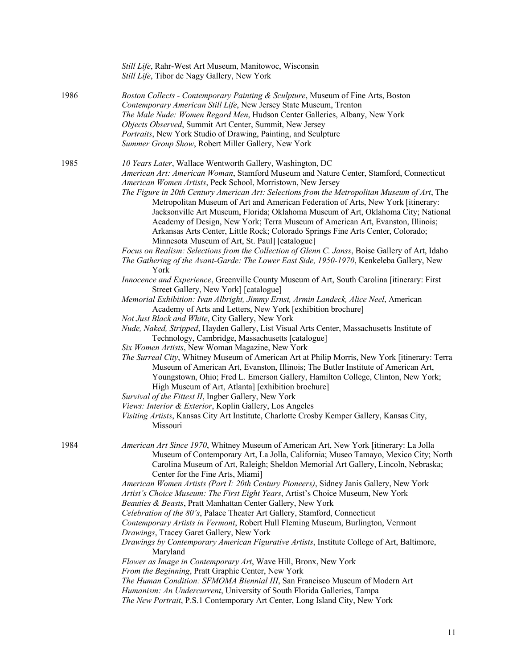|      | Still Life, Rahr-West Art Museum, Manitowoc, Wisconsin<br>Still Life, Tibor de Nagy Gallery, New York                                                                                                                                                                                                                                                                                                                                                                                                                                                                                                                                                                                                                                                                                                                                                                                                                                                                                                                                                                                                                                                                                                                                                                                                                                                                                                                                                                                                                                                                                                                                                                                                                                                                                                                                                                                                                                                                                                                                         |
|------|-----------------------------------------------------------------------------------------------------------------------------------------------------------------------------------------------------------------------------------------------------------------------------------------------------------------------------------------------------------------------------------------------------------------------------------------------------------------------------------------------------------------------------------------------------------------------------------------------------------------------------------------------------------------------------------------------------------------------------------------------------------------------------------------------------------------------------------------------------------------------------------------------------------------------------------------------------------------------------------------------------------------------------------------------------------------------------------------------------------------------------------------------------------------------------------------------------------------------------------------------------------------------------------------------------------------------------------------------------------------------------------------------------------------------------------------------------------------------------------------------------------------------------------------------------------------------------------------------------------------------------------------------------------------------------------------------------------------------------------------------------------------------------------------------------------------------------------------------------------------------------------------------------------------------------------------------------------------------------------------------------------------------------------------------|
| 1986 | Boston Collects - Contemporary Painting & Sculpture, Museum of Fine Arts, Boston<br>Contemporary American Still Life, New Jersey State Museum, Trenton<br>The Male Nude: Women Regard Men, Hudson Center Galleries, Albany, New York<br>Objects Observed, Summit Art Center, Summit, New Jersey<br>Portraits, New York Studio of Drawing, Painting, and Sculpture<br>Summer Group Show, Robert Miller Gallery, New York                                                                                                                                                                                                                                                                                                                                                                                                                                                                                                                                                                                                                                                                                                                                                                                                                                                                                                                                                                                                                                                                                                                                                                                                                                                                                                                                                                                                                                                                                                                                                                                                                       |
| 1985 | 10 Years Later, Wallace Wentworth Gallery, Washington, DC<br>American Art: American Woman, Stamford Museum and Nature Center, Stamford, Connecticut<br>American Women Artists, Peck School, Morristown, New Jersey<br>The Figure in 20th Century American Art: Selections from the Metropolitan Museum of Art, The<br>Metropolitan Museum of Art and American Federation of Arts, New York [itinerary:<br>Jacksonville Art Museum, Florida; Oklahoma Museum of Art, Oklahoma City; National<br>Academy of Design, New York; Terra Museum of American Art, Evanston, Illinois;<br>Arkansas Arts Center, Little Rock; Colorado Springs Fine Arts Center, Colorado;<br>Minnesota Museum of Art, St. Paul] [catalogue]<br>Focus on Realism: Selections from the Collection of Glenn C. Janss, Boise Gallery of Art, Idaho<br>The Gathering of the Avant-Garde: The Lower East Side, 1950-1970, Kenkeleba Gallery, New<br>York<br>Innocence and Experience, Greenville County Museum of Art, South Carolina [itinerary: First<br>Street Gallery, New York] [catalogue]<br>Memorial Exhibition: Ivan Albright, Jimmy Ernst, Armin Landeck, Alice Neel, American<br>Academy of Arts and Letters, New York [exhibition brochure]<br>Not Just Black and White, City Gallery, New York<br>Nude, Naked, Stripped, Hayden Gallery, List Visual Arts Center, Massachusetts Institute of<br>Technology, Cambridge, Massachusetts [catalogue]<br>Six Women Artists, New Woman Magazine, New York<br>The Surreal City, Whitney Museum of American Art at Philip Morris, New York [itinerary: Terra<br>Museum of American Art, Evanston, Illinois; The Butler Institute of American Art,<br>Youngstown, Ohio; Fred L. Emerson Gallery, Hamilton College, Clinton, New York;<br>High Museum of Art, Atlanta] [exhibition brochure]<br>Survival of the Fittest II, Ingber Gallery, New York<br>Views: Interior & Exterior, Koplin Gallery, Los Angeles<br>Visiting Artists, Kansas City Art Institute, Charlotte Crosby Kemper Gallery, Kansas City,<br>Missouri |
| 1984 | American Art Since 1970, Whitney Museum of American Art, New York [itinerary: La Jolla<br>Museum of Contemporary Art, La Jolla, California; Museo Tamayo, Mexico City; North<br>Carolina Museum of Art, Raleigh; Sheldon Memorial Art Gallery, Lincoln, Nebraska;<br>Center for the Fine Arts, Miami]<br>American Women Artists (Part I: 20th Century Pioneers), Sidney Janis Gallery, New York<br>Artist's Choice Museum: The First Eight Years, Artist's Choice Museum, New York<br>Beauties & Beasts, Pratt Manhattan Center Gallery, New York<br>Celebration of the 80's, Palace Theater Art Gallery, Stamford, Connecticut<br>Contemporary Artists in Vermont, Robert Hull Fleming Museum, Burlington, Vermont<br>Drawings, Tracey Garet Gallery, New York<br>Drawings by Contemporary American Figurative Artists, Institute College of Art, Baltimore,<br>Maryland<br>Flower as Image in Contemporary Art, Wave Hill, Bronx, New York<br>From the Beginning, Pratt Graphic Center, New York<br>The Human Condition: SFMOMA Biennial III, San Francisco Museum of Modern Art<br>Humanism: An Undercurrent, University of South Florida Galleries, Tampa<br>The New Portrait, P.S.1 Contemporary Art Center, Long Island City, New York                                                                                                                                                                                                                                                                                                                                                                                                                                                                                                                                                                                                                                                                                                                                                                                                  |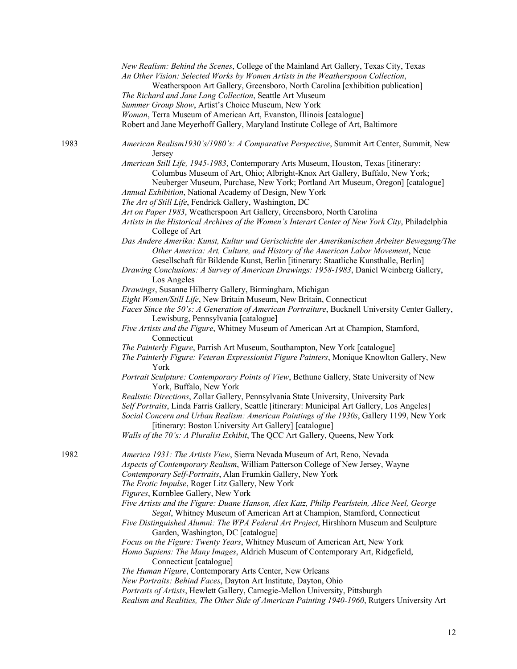|      | New Realism: Behind the Scenes, College of the Mainland Art Gallery, Texas City, Texas<br>An Other Vision: Selected Works by Women Artists in the Weatherspoon Collection,                                                                                                                                                                   |
|------|----------------------------------------------------------------------------------------------------------------------------------------------------------------------------------------------------------------------------------------------------------------------------------------------------------------------------------------------|
|      | Weatherspoon Art Gallery, Greensboro, North Carolina [exhibition publication]<br>The Richard and Jane Lang Collection, Seattle Art Museum                                                                                                                                                                                                    |
|      | Summer Group Show, Artist's Choice Museum, New York                                                                                                                                                                                                                                                                                          |
|      | Woman, Terra Museum of American Art, Evanston, Illinois [catalogue]                                                                                                                                                                                                                                                                          |
|      | Robert and Jane Meyerhoff Gallery, Maryland Institute College of Art, Baltimore                                                                                                                                                                                                                                                              |
| 1983 | American Realism1930's/1980's: A Comparative Perspective, Summit Art Center, Summit, New<br>Jersey                                                                                                                                                                                                                                           |
|      | American Still Life, 1945-1983, Contemporary Arts Museum, Houston, Texas [itinerary:<br>Columbus Museum of Art, Ohio; Albright-Knox Art Gallery, Buffalo, New York;<br>Neuberger Museum, Purchase, New York; Portland Art Museum, Oregon] [catalogue]<br>Annual Exhibition, National Academy of Design, New York                             |
|      | The Art of Still Life, Fendrick Gallery, Washington, DC                                                                                                                                                                                                                                                                                      |
|      | Art on Paper 1983, Weatherspoon Art Gallery, Greensboro, North Carolina<br>Artists in the Historical Archives of the Women's Interart Center of New York City, Philadelphia<br>College of Art                                                                                                                                                |
|      | Das Andere Amerika: Kunst, Kultur und Gerischichte der Amerikanischen Arbeiter Bewegung/The<br>Other America: Art, Culture, and History of the American Labor Movement, Neue<br>Gesellschaft für Bildende Kunst, Berlin [itinerary: Staatliche Kunsthalle, Berlin]                                                                           |
|      | Drawing Conclusions: A Survey of American Drawings: 1958-1983, Daniel Weinberg Gallery,<br>Los Angeles                                                                                                                                                                                                                                       |
|      | Drawings, Susanne Hilberry Gallery, Birmingham, Michigan                                                                                                                                                                                                                                                                                     |
|      | Eight Women/Still Life, New Britain Museum, New Britain, Connecticut                                                                                                                                                                                                                                                                         |
|      | Faces Since the 50's: A Generation of American Portraiture, Bucknell University Center Gallery,                                                                                                                                                                                                                                              |
|      | Lewisburg, Pennsylvania [catalogue]                                                                                                                                                                                                                                                                                                          |
|      | Five Artists and the Figure, Whitney Museum of American Art at Champion, Stamford,<br>Connecticut                                                                                                                                                                                                                                            |
|      | The Painterly Figure, Parrish Art Museum, Southampton, New York [catalogue]<br>The Painterly Figure: Veteran Expressionist Figure Painters, Monique Knowlton Gallery, New<br>York                                                                                                                                                            |
|      | Portrait Sculpture: Contemporary Points of View, Bethune Gallery, State University of New<br>York, Buffalo, New York                                                                                                                                                                                                                         |
|      | Realistic Directions, Zollar Gallery, Pennsylvania State University, University Park<br>Self Portraits, Linda Farris Gallery, Seattle [itinerary: Municipal Art Gallery, Los Angeles]<br>Social Concern and Urban Realism: American Paintings of the 1930s, Gallery 1199, New York<br>[itinerary: Boston University Art Gallery] [catalogue] |
|      | Walls of the 70's: A Pluralist Exhibit, The QCC Art Gallery, Queens, New York                                                                                                                                                                                                                                                                |
| 1982 | America 1931: The Artists View, Sierra Nevada Museum of Art, Reno, Nevada<br>Aspects of Contemporary Realism, William Patterson College of New Jersey, Wayne<br>Contemporary Self-Portraits, Alan Frumkin Gallery, New York                                                                                                                  |
|      | The Erotic Impulse, Roger Litz Gallery, New York<br>Figures, Kornblee Gallery, New York                                                                                                                                                                                                                                                      |
|      | Five Artists and the Figure: Duane Hanson, Alex Katz, Philip Pearlstein, Alice Neel, George<br>Segal, Whitney Museum of American Art at Champion, Stamford, Connecticut                                                                                                                                                                      |
|      | Five Distinguished Alumni: The WPA Federal Art Project, Hirshhorn Museum and Sculpture<br>Garden, Washington, DC [catalogue]                                                                                                                                                                                                                 |
|      | Focus on the Figure: Twenty Years, Whitney Museum of American Art, New York                                                                                                                                                                                                                                                                  |
|      | Homo Sapiens: The Many Images, Aldrich Museum of Contemporary Art, Ridgefield,<br>Connecticut [catalogue]                                                                                                                                                                                                                                    |
|      | The Human Figure, Contemporary Arts Center, New Orleans                                                                                                                                                                                                                                                                                      |
|      | New Portraits: Behind Faces, Dayton Art Institute, Dayton, Ohio                                                                                                                                                                                                                                                                              |
|      | Portraits of Artists, Hewlett Gallery, Carnegie-Mellon University, Pittsburgh                                                                                                                                                                                                                                                                |
|      | Realism and Realities, The Other Side of American Painting 1940-1960, Rutgers University Art                                                                                                                                                                                                                                                 |

12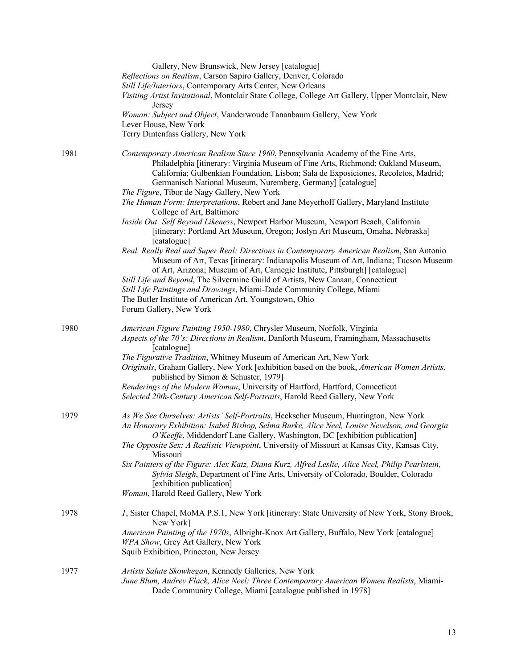|      | Gallery, New Brunswick, New Jersey [catalogue]<br>Reflections on Realism, Carson Sapiro Gallery, Denver, Colorado<br>Still Life/Interiors, Contemporary Arts Center, New Orleans<br>Visiting Artist Invitational, Montclair State College, College Art Gallery, Upper Montclair, New<br>Jersey<br>Woman: Subject and Object, Vanderwoude Tananbaum Gallery, New York<br>Lever House, New York<br>Terry Dintenfass Gallery, New York                                                                                                                                                                                                                                                                                                                                                                                                                                                                                                                                                                                                                                                                                                                                                                         |
|------|-------------------------------------------------------------------------------------------------------------------------------------------------------------------------------------------------------------------------------------------------------------------------------------------------------------------------------------------------------------------------------------------------------------------------------------------------------------------------------------------------------------------------------------------------------------------------------------------------------------------------------------------------------------------------------------------------------------------------------------------------------------------------------------------------------------------------------------------------------------------------------------------------------------------------------------------------------------------------------------------------------------------------------------------------------------------------------------------------------------------------------------------------------------------------------------------------------------|
| 1981 | Contemporary American Realism Since 1960, Pennsylvania Academy of the Fine Arts,<br>Philadelphia [itinerary: Virginia Museum of Fine Arts, Richmond; Oakland Museum,<br>California; Gulbenkian Foundation, Lisbon; Sala de Exposiciones, Recoletos, Madrid;<br>Germanisch National Museum, Nuremberg, Germany] [catalogue]<br>The Figure, Tibor de Nagy Gallery, New York<br>The Human Form: Interpretations, Robert and Jane Meyerhoff Gallery, Maryland Institute<br>College of Art, Baltimore<br>Inside Out: Self Beyond Likeness, Newport Harbor Museum, Newport Beach, California<br>[itinerary: Portland Art Museum, Oregon; Joslyn Art Museum, Omaha, Nebraska]<br>[catalogue]<br>Real, Really Real and Super Real: Directions in Contemporary American Realism, San Antonio<br>Museum of Art, Texas [itinerary: Indianapolis Museum of Art, Indiana; Tucson Museum<br>of Art, Arizona; Museum of Art, Carnegie Institute, Pittsburgh] [catalogue]<br>Still Life and Beyond, The Silvermine Guild of Artists, New Canaan, Connecticut<br>Still Life Paintings and Drawings, Miami-Dade Community College, Miami<br>The Butler Institute of American Art, Youngstown, Ohio<br>Forum Gallery, New York |
| 1980 | American Figure Painting 1950-1980, Chrysler Museum, Norfolk, Virginia<br>Aspects of the 70's: Directions in Realism, Danforth Museum, Framingham, Massachusetts<br>[catalogue]<br>The Figurative Tradition, Whitney Museum of American Art, New York<br>Originals, Graham Gallery, New York [exhibition based on the book, American Women Artists,<br>published by Simon & Schuster, 1979]<br>Renderings of the Modern Woman, University of Hartford, Hartford, Connecticut<br>Selected 20th-Century American Self-Portraits, Harold Reed Gallery, New York                                                                                                                                                                                                                                                                                                                                                                                                                                                                                                                                                                                                                                                |
| 1979 | As We See Ourselves: Artists' Self-Portraits, Heckscher Museum, Huntington, New York<br>An Honorary Exhibition: Isabel Bishop, Selma Burke, Alice Neel, Louise Nevelson, and Georgia<br>O'Keeffe, Middendorf Lane Gallery, Washington, DC [exhibition publication]<br>The Opposite Sex: A Realistic Viewpoint, University of Missouri at Kansas City, Kansas City,<br>Missouri<br>Six Painters of the Figure: Alex Katz, Diana Kurz, Alfred Leslie, Alice Neel, Philip Pearlstein,<br>Sylvia Sleigh, Department of Fine Arts, University of Colorado, Boulder, Colorado<br>[exhibition publication]<br>Woman, Harold Reed Gallery, New York                                                                                                                                                                                                                                                                                                                                                                                                                                                                                                                                                                 |
| 1978 | <i>I</i> , Sister Chapel, MoMA P.S.1, New York [itinerary: State University of New York, Stony Brook,<br>New York]<br>American Painting of the 1970s, Albright-Knox Art Gallery, Buffalo, New York [catalogue]<br>WPA Show, Grey Art Gallery, New York<br>Squib Exhibition, Princeton, New Jersey                                                                                                                                                                                                                                                                                                                                                                                                                                                                                                                                                                                                                                                                                                                                                                                                                                                                                                           |
| 1977 | Artists Salute Skowhegan, Kennedy Galleries, New York<br>June Blum, Audrey Flack, Alice Neel: Three Contemporary American Women Realists, Miami-<br>Dade Community College, Miami [catalogue published in 1978]                                                                                                                                                                                                                                                                                                                                                                                                                                                                                                                                                                                                                                                                                                                                                                                                                                                                                                                                                                                             |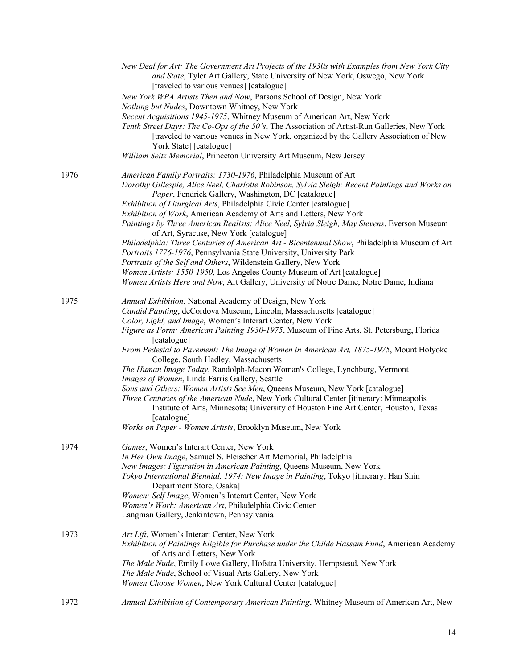|      | New Deal for Art: The Government Art Projects of the 1930s with Examples from New York City<br>and State, Tyler Art Gallery, State University of New York, Oswego, New York<br>[traveled to various venues] [catalogue]                                                                    |
|------|--------------------------------------------------------------------------------------------------------------------------------------------------------------------------------------------------------------------------------------------------------------------------------------------|
|      | New York WPA Artists Then and Now, Parsons School of Design, New York                                                                                                                                                                                                                      |
|      | Nothing but Nudes, Downtown Whitney, New York                                                                                                                                                                                                                                              |
|      | Recent Acquisitions 1945-1975, Whitney Museum of American Art, New York<br>Tenth Street Days: The Co-Ops of the 50's, The Association of Artist-Run Galleries, New York<br>[traveled to various venues in New York, organized by the Gallery Association of New<br>York State] [catalogue] |
|      | William Seitz Memorial, Princeton University Art Museum, New Jersey                                                                                                                                                                                                                        |
| 1976 | American Family Portraits: 1730-1976, Philadelphia Museum of Art<br>Dorothy Gillespie, Alice Neel, Charlotte Robinson, Sylvia Sleigh: Recent Paintings and Works on<br>Paper, Fendrick Gallery, Washington, DC [catalogue]                                                                 |
|      | Exhibition of Liturgical Arts, Philadelphia Civic Center [catalogue]<br>Exhibition of Work, American Academy of Arts and Letters, New York<br>Paintings by Three American Realists: Alice Neel, Sylvia Sleigh, May Stevens, Everson Museum                                                 |
|      | of Art, Syracuse, New York [catalogue]                                                                                                                                                                                                                                                     |
|      | Philadelphia: Three Centuries of American Art - Bicentennial Show, Philadelphia Museum of Art<br>Portraits 1776-1976, Pennsylvania State University, University Park                                                                                                                       |
|      | Portraits of the Self and Others, Wildenstein Gallery, New York                                                                                                                                                                                                                            |
|      | Women Artists: 1550-1950, Los Angeles County Museum of Art [catalogue]<br>Women Artists Here and Now, Art Gallery, University of Notre Dame, Notre Dame, Indiana                                                                                                                           |
| 1975 | Annual Exhibition, National Academy of Design, New York                                                                                                                                                                                                                                    |
|      | Candid Painting, deCordova Museum, Lincoln, Massachusetts [catalogue]                                                                                                                                                                                                                      |
|      | Color, Light, and Image, Women's Interart Center, New York                                                                                                                                                                                                                                 |
|      | Figure as Form: American Painting 1930-1975, Museum of Fine Arts, St. Petersburg, Florida<br>[catalogue]                                                                                                                                                                                   |
|      | From Pedestal to Pavement: The Image of Women in American Art, 1875-1975, Mount Holyoke<br>College, South Hadley, Massachusetts                                                                                                                                                            |
|      | The Human Image Today, Randolph-Macon Woman's College, Lynchburg, Vermont<br>Images of Women, Linda Farris Gallery, Seattle                                                                                                                                                                |
|      | Sons and Others: Women Artists See Men, Queens Museum, New York [catalogue]<br>Three Centuries of the American Nude, New York Cultural Center [itinerary: Minneapolis<br>Institute of Arts, Minnesota; University of Houston Fine Art Center, Houston, Texas<br>[catalogue]                |
|      | Works on Paper - Women Artists, Brooklyn Museum, New York                                                                                                                                                                                                                                  |
| 1974 | Games, Women's Interart Center, New York                                                                                                                                                                                                                                                   |
|      | In Her Own Image, Samuel S. Fleischer Art Memorial, Philadelphia                                                                                                                                                                                                                           |
|      | New Images: Figuration in American Painting, Queens Museum, New York<br>Tokyo International Biennial, 1974: New Image in Painting, Tokyo [itinerary: Han Shin<br>Department Store, Osaka]                                                                                                  |
|      | Women: Self Image, Women's Interart Center, New York                                                                                                                                                                                                                                       |
|      | Women's Work: American Art, Philadelphia Civic Center                                                                                                                                                                                                                                      |
|      | Langman Gallery, Jenkintown, Pennsylvania                                                                                                                                                                                                                                                  |
| 1973 | Art Lift, Women's Interart Center, New York<br>Exhibition of Paintings Eligible for Purchase under the Childe Hassam Fund, American Academy<br>of Arts and Letters, New York                                                                                                               |
|      | The Male Nude, Emily Lowe Gallery, Hofstra University, Hempstead, New York                                                                                                                                                                                                                 |
|      | The Male Nude, School of Visual Arts Gallery, New York                                                                                                                                                                                                                                     |
|      | Women Choose Women, New York Cultural Center [catalogue]                                                                                                                                                                                                                                   |
| 1972 | Annual Exhibition of Contemporary American Painting, Whitney Museum of American Art, New                                                                                                                                                                                                   |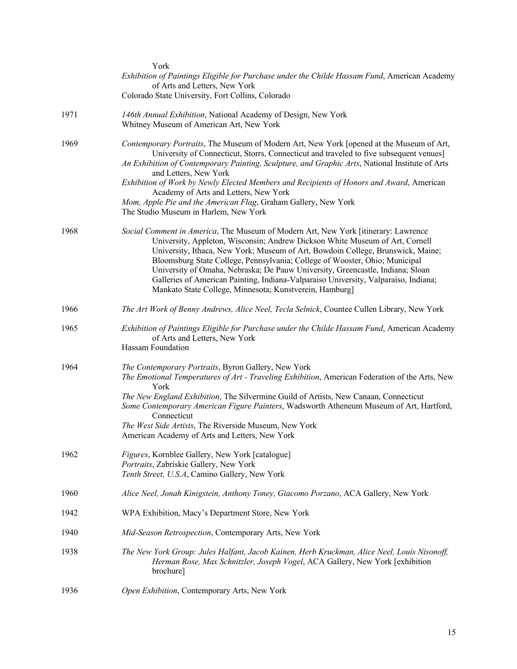|      | York                                                                                                                                                                                                                                                                                                                                                                                                                                                                                                                                                                     |
|------|--------------------------------------------------------------------------------------------------------------------------------------------------------------------------------------------------------------------------------------------------------------------------------------------------------------------------------------------------------------------------------------------------------------------------------------------------------------------------------------------------------------------------------------------------------------------------|
|      | Exhibition of Paintings Eligible for Purchase under the Childe Hassam Fund, American Academy<br>of Arts and Letters, New York                                                                                                                                                                                                                                                                                                                                                                                                                                            |
|      | Colorado State University, Fort Collins, Colorado                                                                                                                                                                                                                                                                                                                                                                                                                                                                                                                        |
| 1971 | 146th Annual Exhibition, National Academy of Design, New York<br>Whitney Museum of American Art, New York                                                                                                                                                                                                                                                                                                                                                                                                                                                                |
| 1969 | Contemporary Portraits, The Museum of Modern Art, New York [opened at the Museum of Art,<br>University of Connecticut, Storrs, Connecticut and traveled to five subsequent venues]<br>An Exhibition of Contemporary Painting, Sculpture, and Graphic Arts, National Institute of Arts                                                                                                                                                                                                                                                                                    |
|      | and Letters, New York<br>Exhibition of Work by Newly Elected Members and Recipients of Honors and Award, American<br>Academy of Arts and Letters, New York                                                                                                                                                                                                                                                                                                                                                                                                               |
|      | Mom, Apple Pie and the American Flag, Graham Gallery, New York<br>The Studio Museum in Harlem, New York                                                                                                                                                                                                                                                                                                                                                                                                                                                                  |
| 1968 | Social Comment in America, The Museum of Modern Art, New York [itinerary: Lawrence<br>University, Appleton, Wisconsin; Andrew Dickson White Museum of Art, Cornell<br>University, Ithaca, New York; Museum of Art, Bowdoin College, Brunswick, Maine;<br>Bloomsburg State College, Pennsylvania; College of Wooster, Ohio; Municipal<br>University of Omaha, Nebraska; De Pauw University, Greencastle, Indiana; Sloan<br>Galleries of American Painting, Indiana-Valparaiso University, Valparaiso, Indiana;<br>Mankato State College, Minnesota; Kunstverein, Hamburg] |
| 1966 | The Art Work of Benny Andrews, Alice Neel, Tecla Selnick, Countee Cullen Library, New York                                                                                                                                                                                                                                                                                                                                                                                                                                                                               |
| 1965 | Exhibition of Paintings Eligible for Purchase under the Childe Hassam Fund, American Academy<br>of Arts and Letters, New York<br>Hassam Foundation                                                                                                                                                                                                                                                                                                                                                                                                                       |
| 1964 | The Contemporary Portraits, Byron Gallery, New York<br>The Emotional Temperatures of Art - Traveling Exhibition, American Federation of the Arts, New<br>York<br>The New England Exhibition, The Silvermine Guild of Artists, New Canaan, Connecticut<br>Some Contemporary American Figure Painters, Wadsworth Atheneum Museum of Art, Hartford,<br>Connecticut<br>The West Side Artists, The Riverside Museum, New York<br>American Academy of Arts and Letters, New York                                                                                               |
| 1962 | Figures, Kornblee Gallery, New York [catalogue]<br>Portraits, Zabriskie Gallery, New York<br>Tenth Street, U.S.A, Camino Gallery, New York                                                                                                                                                                                                                                                                                                                                                                                                                               |
| 1960 | Alice Neel, Jonah Kinigstein, Anthony Toney, Giacomo Porzano, ACA Gallery, New York                                                                                                                                                                                                                                                                                                                                                                                                                                                                                      |
| 1942 | WPA Exhibition, Macy's Department Store, New York                                                                                                                                                                                                                                                                                                                                                                                                                                                                                                                        |
| 1940 | Mid-Season Retrospection, Contemporary Arts, New York                                                                                                                                                                                                                                                                                                                                                                                                                                                                                                                    |
| 1938 | The New York Group: Jules Halfant, Jacob Kainen, Herb Kruckman, Alice Neel, Louis Nisonoff,<br>Herman Rose, Max Schnitzler, Joseph Vogel, ACA Gallery, New York [exhibition<br>brochure]                                                                                                                                                                                                                                                                                                                                                                                 |
| 1936 | Open Exhibition, Contemporary Arts, New York                                                                                                                                                                                                                                                                                                                                                                                                                                                                                                                             |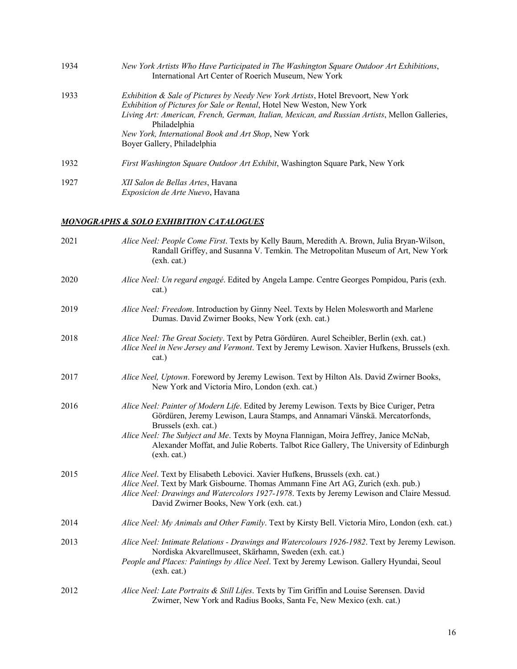| 1934 | New York Artists Who Have Participated in The Washington Square Outdoor Art Exhibitions,<br>International Art Center of Roerich Museum, New York                                                                                                                                                                                                                              |
|------|-------------------------------------------------------------------------------------------------------------------------------------------------------------------------------------------------------------------------------------------------------------------------------------------------------------------------------------------------------------------------------|
| 1933 | <i>Exhibition &amp; Sale of Pictures by Needy New York Artists, Hotel Brevoort, New York</i><br>Exhibition of Pictures for Sale or Rental, Hotel New Weston, New York<br>Living Art: American, French, German, Italian, Mexican, and Russian Artists, Mellon Galleries,<br>Philadelphia<br>New York, International Book and Art Shop, New York<br>Boyer Gallery, Philadelphia |
| 1932 | First Washington Square Outdoor Art Exhibit, Washington Square Park, New York                                                                                                                                                                                                                                                                                                 |
| 1927 | XII Salon de Bellas Artes, Havana<br><i>Exposicion de Arte Nuevo</i> , Havana                                                                                                                                                                                                                                                                                                 |

## *MONOGRAPHS & SOLO EXHIBITION CATALOGUES*

| 2021 | Alice Neel: People Come First. Texts by Kelly Baum, Meredith A. Brown, Julia Bryan-Wilson,<br>Randall Griffey, and Susanna V. Temkin. The Metropolitan Museum of Art, New York<br>(exh. cat.)                                                                                                                                                                                                       |
|------|-----------------------------------------------------------------------------------------------------------------------------------------------------------------------------------------------------------------------------------------------------------------------------------------------------------------------------------------------------------------------------------------------------|
| 2020 | Alice Neel: Un regard engagé. Edited by Angela Lampe. Centre Georges Pompidou, Paris (exh.<br>cat.)                                                                                                                                                                                                                                                                                                 |
| 2019 | Alice Neel: Freedom. Introduction by Ginny Neel. Texts by Helen Molesworth and Marlene<br>Dumas. David Zwirner Books, New York (exh. cat.)                                                                                                                                                                                                                                                          |
| 2018 | Alice Neel: The Great Society. Text by Petra Gördüren. Aurel Scheibler, Berlin (exh. cat.)<br>Alice Neel in New Jersey and Vermont. Text by Jeremy Lewison. Xavier Hufkens, Brussels (exh.<br>cat.)                                                                                                                                                                                                 |
| 2017 | Alice Neel, Uptown. Foreword by Jeremy Lewison. Text by Hilton Als. David Zwirner Books,<br>New York and Victoria Miro, London (exh. cat.)                                                                                                                                                                                                                                                          |
| 2016 | Alice Neel: Painter of Modern Life. Edited by Jeremy Lewison. Texts by Bice Curiger, Petra<br>Gördüren, Jeremy Lewison, Laura Stamps, and Annamari Vänskä. Mercatorfonds,<br>Brussels (exh. cat.)<br>Alice Neel: The Subject and Me. Texts by Moyna Flannigan, Moira Jeffrey, Janice McNab,<br>Alexander Moffat, and Julie Roberts. Talbot Rice Gallery, The University of Edinburgh<br>(exh. cat.) |
| 2015 | Alice Neel. Text by Elisabeth Lebovici. Xavier Hufkens, Brussels (exh. cat.)<br>Alice Neel. Text by Mark Gisbourne. Thomas Ammann Fine Art AG, Zurich (exh. pub.)<br>Alice Neel: Drawings and Watercolors 1927-1978. Texts by Jeremy Lewison and Claire Messud.<br>David Zwirner Books, New York (exh. cat.)                                                                                        |
| 2014 | Alice Neel: My Animals and Other Family. Text by Kirsty Bell. Victoria Miro, London (exh. cat.)                                                                                                                                                                                                                                                                                                     |
| 2013 | Alice Neel: Intimate Relations - Drawings and Watercolours 1926-1982. Text by Jeremy Lewison.<br>Nordiska Akvarellmuseet, Skärhamn, Sweden (exh. cat.)<br>People and Places: Paintings by Alice Neel. Text by Jeremy Lewison. Gallery Hyundai, Seoul<br>(exh. cat.)                                                                                                                                 |
| 2012 | Alice Neel: Late Portraits & Still Lifes. Texts by Tim Griffin and Louise Sørensen. David<br>Zwirner, New York and Radius Books, Santa Fe, New Mexico (exh. cat.)                                                                                                                                                                                                                                   |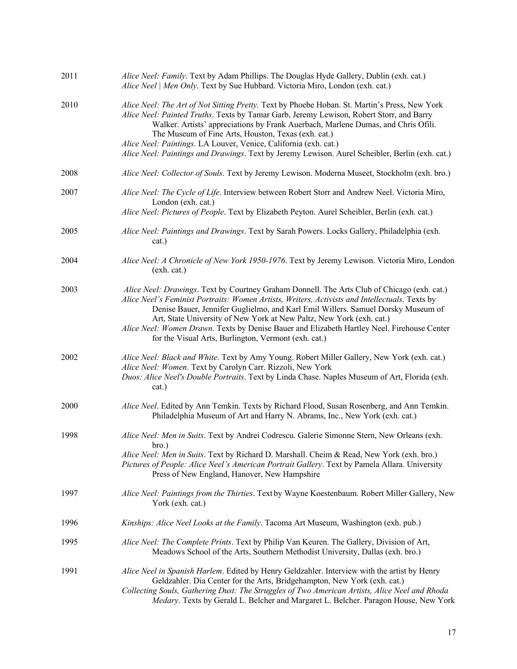| 2011 | Alice Neel: Family. Text by Adam Phillips. The Douglas Hyde Gallery, Dublin (exh. cat.)<br>Alice Neel   Men Only. Text by Sue Hubbard. Victoria Miro, London (exh. cat.)                                                                                                                                                                                                                                                                                                                                         |
|------|------------------------------------------------------------------------------------------------------------------------------------------------------------------------------------------------------------------------------------------------------------------------------------------------------------------------------------------------------------------------------------------------------------------------------------------------------------------------------------------------------------------|
| 2010 | Alice Neel: The Art of Not Sitting Pretty. Text by Phoebe Hoban. St. Martin's Press, New York<br>Alice Neel: Painted Truths. Texts by Tamar Garb, Jeremy Lewison, Robert Storr, and Barry<br>Walker. Artists' appreciations by Frank Auerbach, Marlene Dumas, and Chris Ofili.<br>The Museum of Fine Arts, Houston, Texas (exh. cat.)<br>Alice Neel: Paintings. LA Louver, Venice, California (exh. cat.)<br>Alice Neel: Paintings and Drawings. Text by Jeremy Lewison. Aurel Scheibler, Berlin (exh. cat.)     |
| 2008 | Alice Neel: Collector of Souls. Text by Jeremy Lewison. Moderna Museet, Stockholm (exh. bro.)                                                                                                                                                                                                                                                                                                                                                                                                                    |
| 2007 | Alice Neel: The Cycle of Life. Interview between Robert Storr and Andrew Neel. Victoria Miro,<br>London (exh. cat.)<br>Alice Neel: Pictures of People. Text by Elizabeth Peyton. Aurel Scheibler, Berlin (exh. cat.)                                                                                                                                                                                                                                                                                             |
| 2005 | Alice Neel: Paintings and Drawings. Text by Sarah Powers. Locks Gallery, Philadelphia (exh.<br>cat.)                                                                                                                                                                                                                                                                                                                                                                                                             |
| 2004 | Alice Neel: A Chronicle of New York 1950-1976. Text by Jeremy Lewison. Victoria Miro, London<br>(exh. cat.)                                                                                                                                                                                                                                                                                                                                                                                                      |
| 2003 | Alice Neel: Drawings. Text by Courtney Graham Donnell. The Arts Club of Chicago (exh. cat.)<br>Alice Neel's Feminist Portraits: Women Artists, Writers, Activists and Intellectuals. Texts by<br>Denise Bauer, Jennifer Guglielmo, and Karl Emil Willers. Samuel Dorsky Museum of<br>Art, State University of New York at New Paltz, New York (exh. cat.)<br>Alice Neel: Women Drawn. Texts by Denise Bauer and Elizabeth Hartley Neel. Firehouse Center<br>for the Visual Arts, Burlington, Vermont (exh. cat.) |
| 2002 | Alice Neel: Black and White. Text by Amy Young. Robert Miller Gallery, New York (exh. cat.)<br>Alice Neel: Women. Text by Carolyn Carr. Rizzoli, New York<br>Duos: Alice Neel's Double Portraits. Text by Linda Chase. Naples Museum of Art, Florida (exh.<br>cat.)                                                                                                                                                                                                                                              |
| 2000 | Alice Neel. Edited by Ann Temkin. Texts by Richard Flood, Susan Rosenberg, and Ann Temkin.<br>Philadelphia Museum of Art and Harry N. Abrams, Inc., New York (exh. cat.)                                                                                                                                                                                                                                                                                                                                         |
| 1998 | Alice Neel: Men in Suits. Text by Andrei Codrescu. Galerie Simonne Stern, New Orleans (exh.<br>bro.)<br>Alice Neel: Men in Suits. Text by Richard D. Marshall. Cheim & Read, New York (exh. bro.)<br>Pictures of People: Alice Neel's American Portrait Gallery. Text by Pamela Allara. University<br>Press of New England, Hanover, New Hampshire                                                                                                                                                               |
| 1997 | Alice Neel: Paintings from the Thirties. Text by Wayne Koestenbaum. Robert Miller Gallery, New<br>York (exh. cat.)                                                                                                                                                                                                                                                                                                                                                                                               |
| 1996 | Kinships: Alice Neel Looks at the Family. Tacoma Art Museum, Washington (exh. pub.)                                                                                                                                                                                                                                                                                                                                                                                                                              |
| 1995 | Alice Neel: The Complete Prints. Text by Philip Van Keuren. The Gallery, Division of Art,<br>Meadows School of the Arts, Southern Methodist University, Dallas (exh. bro.)                                                                                                                                                                                                                                                                                                                                       |
| 1991 | Alice Neel in Spanish Harlem. Edited by Henry Geldzahler. Interview with the artist by Henry<br>Geldzahler. Dia Center for the Arts, Bridgehampton, New York (exh. cat.)<br>Collecting Souls, Gathering Dust: The Struggles of Two American Artists, Alice Neel and Rhoda<br>Medary. Texts by Gerald L. Belcher and Margaret L. Belcher. Paragon House, New York                                                                                                                                                 |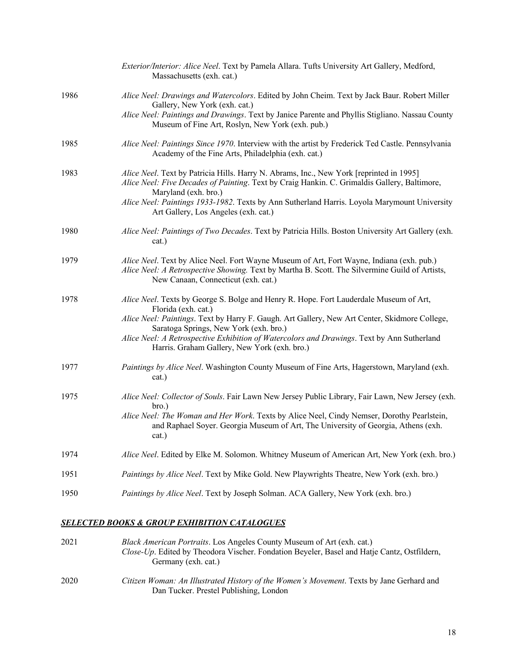|      | Exterior/Interior: Alice Neel. Text by Pamela Allara. Tufts University Art Gallery, Medford,<br>Massachusetts (exh. cat.)                                                                                                          |
|------|------------------------------------------------------------------------------------------------------------------------------------------------------------------------------------------------------------------------------------|
| 1986 | Alice Neel: Drawings and Watercolors. Edited by John Cheim. Text by Jack Baur. Robert Miller<br>Gallery, New York (exh. cat.)                                                                                                      |
|      | Alice Neel: Paintings and Drawings. Text by Janice Parente and Phyllis Stigliano. Nassau County<br>Museum of Fine Art, Roslyn, New York (exh. pub.)                                                                                |
| 1985 | Alice Neel: Paintings Since 1970. Interview with the artist by Frederick Ted Castle. Pennsylvania<br>Academy of the Fine Arts, Philadelphia (exh. cat.)                                                                            |
| 1983 | Alice Neel. Text by Patricia Hills. Harry N. Abrams, Inc., New York [reprinted in 1995]<br>Alice Neel: Five Decades of Painting. Text by Craig Hankin. C. Grimaldis Gallery, Baltimore,<br>Maryland (exh. bro.)                    |
|      | Alice Neel: Paintings 1933-1982. Texts by Ann Sutherland Harris. Loyola Marymount University<br>Art Gallery, Los Angeles (exh. cat.)                                                                                               |
| 1980 | Alice Neel: Paintings of Two Decades. Text by Patricia Hills. Boston University Art Gallery (exh.<br>cat.)                                                                                                                         |
| 1979 | Alice Neel. Text by Alice Neel. Fort Wayne Museum of Art, Fort Wayne, Indiana (exh. pub.)<br>Alice Neel: A Retrospective Showing. Text by Martha B. Scott. The Silvermine Guild of Artists,<br>New Canaan, Connecticut (exh. cat.) |
| 1978 | Alice Neel. Texts by George S. Bolge and Henry R. Hope. Fort Lauderdale Museum of Art,<br>Florida (exh. cat.)                                                                                                                      |
|      | Alice Neel: Paintings. Text by Harry F. Gaugh. Art Gallery, New Art Center, Skidmore College,<br>Saratoga Springs, New York (exh. bro.)                                                                                            |
|      | Alice Neel: A Retrospective Exhibition of Watercolors and Drawings. Text by Ann Sutherland<br>Harris. Graham Gallery, New York (exh. bro.)                                                                                         |
| 1977 | Paintings by Alice Neel. Washington County Museum of Fine Arts, Hagerstown, Maryland (exh.<br>cat.)                                                                                                                                |
| 1975 | Alice Neel: Collector of Souls. Fair Lawn New Jersey Public Library, Fair Lawn, New Jersey (exh.<br>bro.)                                                                                                                          |
|      | Alice Neel: The Woman and Her Work. Texts by Alice Neel, Cindy Nemser, Dorothy Pearlstein,<br>and Raphael Soyer. Georgia Museum of Art, The University of Georgia, Athens (exh.<br>cat.)                                           |
| 1974 | Alice Neel. Edited by Elke M. Solomon. Whitney Museum of American Art, New York (exh. bro.)                                                                                                                                        |
| 1951 | Paintings by Alice Neel. Text by Mike Gold. New Playwrights Theatre, New York (exh. bro.)                                                                                                                                          |
| 1950 | Paintings by Alice Neel. Text by Joseph Solman. ACA Gallery, New York (exh. bro.)                                                                                                                                                  |

#### *SELECTED BOOKS & GROUP EXHIBITION CATALOGUES*

| 2021 | <i>Black American Portraits.</i> Los Angeles County Museum of Art (exh. cat.)               |
|------|---------------------------------------------------------------------------------------------|
|      | Close-Up. Edited by Theodora Vischer. Fondation Beyeler, Basel and Hatje Cantz, Ostfildern, |
|      | Germany (exh. cat.)                                                                         |
|      |                                                                                             |

2020 *Citizen Woman: An Illustrated History of the Women's Movement*. Texts by Jane Gerhard and Dan Tucker. Prestel Publishing, London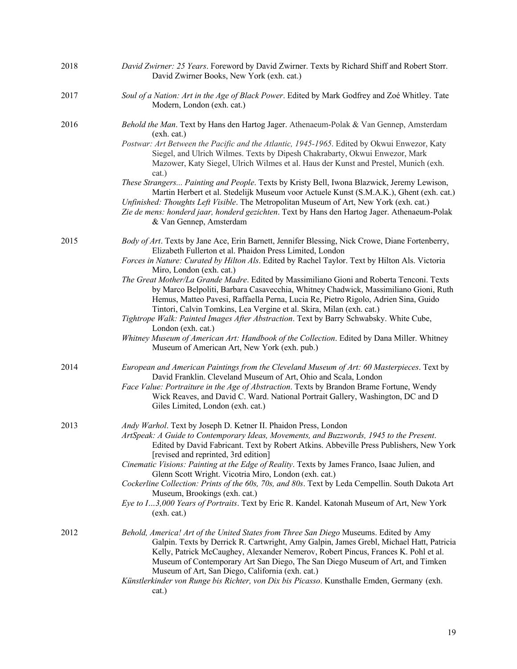| 2018 | David Zwirner: 25 Years. Foreword by David Zwirner. Texts by Richard Shiff and Robert Storr.<br>David Zwirner Books, New York (exh. cat.)                                                                                                                                                                                                                                                                                                                                                                                                                                                                                                                                                                                                                                                                                                                 |
|------|-----------------------------------------------------------------------------------------------------------------------------------------------------------------------------------------------------------------------------------------------------------------------------------------------------------------------------------------------------------------------------------------------------------------------------------------------------------------------------------------------------------------------------------------------------------------------------------------------------------------------------------------------------------------------------------------------------------------------------------------------------------------------------------------------------------------------------------------------------------|
| 2017 | Soul of a Nation: Art in the Age of Black Power. Edited by Mark Godfrey and Zoé Whitley. Tate<br>Modern, London (exh. cat.)                                                                                                                                                                                                                                                                                                                                                                                                                                                                                                                                                                                                                                                                                                                               |
| 2016 | Behold the Man. Text by Hans den Hartog Jager. Athenaeum-Polak & Van Gennep, Amsterdam<br>(exh. cat.)<br>Postwar: Art Between the Pacific and the Atlantic, 1945-1965. Edited by Okwui Enwezor, Katy<br>Siegel, and Ulrich Wilmes. Texts by Dipesh Chakrabarty, Okwui Enwezor, Mark<br>Mazower, Katy Siegel, Ulrich Wilmes et al. Haus der Kunst and Prestel, Munich (exh.<br>cat.)<br>These Strangers Painting and People. Texts by Kristy Bell, Iwona Blazwick, Jeremy Lewison,                                                                                                                                                                                                                                                                                                                                                                         |
|      | Martin Herbert et al. Stedelijk Museum voor Actuele Kunst (S.M.A.K.), Ghent (exh. cat.)<br>Unfinished: Thoughts Left Visible. The Metropolitan Museum of Art, New York (exh. cat.)<br>Zie de mens: honderd jaar, honderd gezichten. Text by Hans den Hartog Jager. Athenaeum-Polak<br>& Van Gennep, Amsterdam                                                                                                                                                                                                                                                                                                                                                                                                                                                                                                                                             |
| 2015 | Body of Art. Texts by Jane Ace, Erin Barnett, Jennifer Blessing, Nick Crowe, Diane Fortenberry,<br>Elizabeth Fullerton et al. Phaidon Press Limited, London<br>Forces in Nature: Curated by Hilton Als. Edited by Rachel Taylor. Text by Hilton Als. Victoria<br>Miro, London (exh. cat.)<br>The Great Mother/La Grande Madre. Edited by Massimiliano Gioni and Roberta Tenconi. Texts<br>by Marco Belpoliti, Barbara Casavecchia, Whitney Chadwick, Massimiliano Gioni, Ruth<br>Hemus, Matteo Pavesi, Raffaella Perna, Lucia Re, Pietro Rigolo, Adrien Sina, Guido<br>Tintori, Calvin Tomkins, Lea Vergine et al. Skira, Milan (exh. cat.)<br>Tightrope Walk: Painted Images After Abstraction. Text by Barry Schwabsky. White Cube,<br>London (exh. cat.)<br>Whitney Museum of American Art: Handbook of the Collection. Edited by Dana Miller. Whitney |
|      | Museum of American Art, New York (exh. pub.)                                                                                                                                                                                                                                                                                                                                                                                                                                                                                                                                                                                                                                                                                                                                                                                                              |
| 2014 | European and American Paintings from the Cleveland Museum of Art: 60 Masterpieces. Text by<br>David Franklin. Cleveland Museum of Art, Ohio and Scala, London<br>Face Value: Portraiture in the Age of Abstraction. Texts by Brandon Brame Fortune, Wendy<br>Wick Reaves, and David C. Ward. National Portrait Gallery, Washington, DC and D<br>Giles Limited, London (exh. cat.)                                                                                                                                                                                                                                                                                                                                                                                                                                                                         |
| 2013 | Andy Warhol. Text by Joseph D. Ketner II. Phaidon Press, London<br>ArtSpeak: A Guide to Contemporary Ideas, Movements, and Buzzwords, 1945 to the Present.<br>Edited by David Fabricant. Text by Robert Atkins. Abbeville Press Publishers, New York<br>[revised and reprinted, 3rd edition]<br>Cinematic Visions: Painting at the Edge of Reality. Texts by James Franco, Isaac Julien, and<br>Glenn Scott Wright. Vicotria Miro, London (exh. cat.)<br>Cockerline Collection: Prints of the 60s, 70s, and 80s. Text by Leda Cempellin. South Dakota Art<br>Museum, Brookings (exh. cat.)<br>Eye to I3,000 Years of Portraits. Text by Eric R. Kandel. Katonah Museum of Art, New York<br>(exh. cat.)                                                                                                                                                    |
| 2012 | Behold, America! Art of the United States from Three San Diego Museums. Edited by Amy<br>Galpin. Texts by Derrick R. Cartwright, Amy Galpin, James Grebl, Michael Hatt, Patricia<br>Kelly, Patrick McCaughey, Alexander Nemerov, Robert Pincus, Frances K. Pohl et al.<br>Museum of Contemporary Art San Diego, The San Diego Museum of Art, and Timken<br>Museum of Art, San Diego, California (exh. cat.)<br>Künstlerkinder von Runge bis Richter, von Dix bis Picasso. Kunsthalle Emden, Germany (exh.<br>cat.)                                                                                                                                                                                                                                                                                                                                        |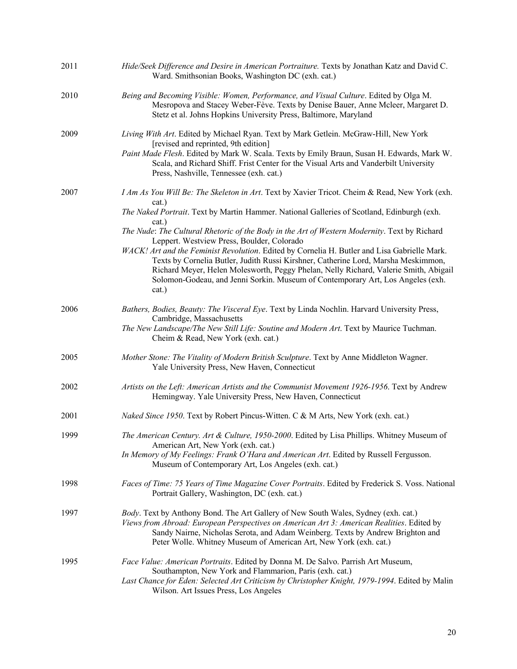| 2011 | Hide/Seek Difference and Desire in American Portraiture. Texts by Jonathan Katz and David C.<br>Ward. Smithsonian Books, Washington DC (exh. cat.)                                                                                                                                                                                                                                                                                                                                                                                                                                                                                                                                                                                    |
|------|---------------------------------------------------------------------------------------------------------------------------------------------------------------------------------------------------------------------------------------------------------------------------------------------------------------------------------------------------------------------------------------------------------------------------------------------------------------------------------------------------------------------------------------------------------------------------------------------------------------------------------------------------------------------------------------------------------------------------------------|
| 2010 | Being and Becoming Visible: Women, Performance, and Visual Culture. Edited by Olga M.<br>Mesropova and Stacey Weber-Fève. Texts by Denise Bauer, Anne Mcleer, Margaret D.<br>Stetz et al. Johns Hopkins University Press, Baltimore, Maryland                                                                                                                                                                                                                                                                                                                                                                                                                                                                                         |
| 2009 | Living With Art. Edited by Michael Ryan. Text by Mark Getlein. McGraw-Hill, New York<br>[revised and reprinted, 9th edition]<br>Paint Made Flesh. Edited by Mark W. Scala. Texts by Emily Braun, Susan H. Edwards, Mark W.<br>Scala, and Richard Shiff. Frist Center for the Visual Arts and Vanderbilt University<br>Press, Nashville, Tennessee (exh. cat.)                                                                                                                                                                                                                                                                                                                                                                         |
| 2007 | I Am As You Will Be: The Skeleton in Art. Text by Xavier Tricot. Cheim & Read, New York (exh.<br>cat.)<br>The Naked Portrait. Text by Martin Hammer. National Galleries of Scotland, Edinburgh (exh.<br>cat.)<br>The Nude: The Cultural Rhetoric of the Body in the Art of Western Modernity. Text by Richard<br>Leppert. Westview Press, Boulder, Colorado<br>WACK! Art and the Feminist Revolution. Edited by Cornelia H. Butler and Lisa Gabrielle Mark.<br>Texts by Cornelia Butler, Judith Russi Kirshner, Catherine Lord, Marsha Meskimmon,<br>Richard Meyer, Helen Molesworth, Peggy Phelan, Nelly Richard, Valerie Smith, Abigail<br>Solomon-Godeau, and Jenni Sorkin. Museum of Contemporary Art, Los Angeles (exh.<br>cat.) |
| 2006 | Bathers, Bodies, Beauty: The Visceral Eye. Text by Linda Nochlin. Harvard University Press,<br>Cambridge, Massachusetts<br>The New Landscape/The New Still Life: Soutine and Modern Art. Text by Maurice Tuchman.<br>Cheim & Read, New York (exh. cat.)                                                                                                                                                                                                                                                                                                                                                                                                                                                                               |
| 2005 | Mother Stone: The Vitality of Modern British Sculpture. Text by Anne Middleton Wagner.<br>Yale University Press, New Haven, Connecticut                                                                                                                                                                                                                                                                                                                                                                                                                                                                                                                                                                                               |
| 2002 | Artists on the Left: American Artists and the Communist Movement 1926-1956. Text by Andrew<br>Hemingway. Yale University Press, New Haven, Connecticut                                                                                                                                                                                                                                                                                                                                                                                                                                                                                                                                                                                |
| 2001 | Naked Since 1950. Text by Robert Pincus-Witten. C & M Arts, New York (exh. cat.)                                                                                                                                                                                                                                                                                                                                                                                                                                                                                                                                                                                                                                                      |
| 1999 | The American Century. Art & Culture, 1950-2000. Edited by Lisa Phillips. Whitney Museum of<br>American Art, New York (exh. cat.)<br>In Memory of My Feelings: Frank O'Hara and American Art. Edited by Russell Fergusson.<br>Museum of Contemporary Art, Los Angeles (exh. cat.)                                                                                                                                                                                                                                                                                                                                                                                                                                                      |
| 1998 | Faces of Time: 75 Years of Time Magazine Cover Portraits. Edited by Frederick S. Voss. National<br>Portrait Gallery, Washington, DC (exh. cat.)                                                                                                                                                                                                                                                                                                                                                                                                                                                                                                                                                                                       |
| 1997 | Body. Text by Anthony Bond. The Art Gallery of New South Wales, Sydney (exh. cat.)<br>Views from Abroad: European Perspectives on American Art 3: American Realities. Edited by<br>Sandy Nairne, Nicholas Serota, and Adam Weinberg. Texts by Andrew Brighton and<br>Peter Wolle. Whitney Museum of American Art, New York (exh. cat.)                                                                                                                                                                                                                                                                                                                                                                                                |
| 1995 | Face Value: American Portraits. Edited by Donna M. De Salvo. Parrish Art Museum,<br>Southampton, New York and Flammarion, Paris (exh. cat.)<br>Last Chance for Eden: Selected Art Criticism by Christopher Knight, 1979-1994. Edited by Malin<br>Wilson. Art Issues Press, Los Angeles                                                                                                                                                                                                                                                                                                                                                                                                                                                |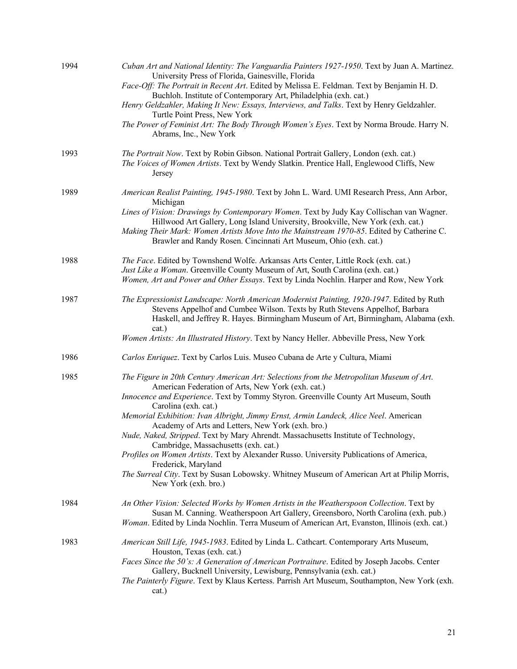| 1994 | Cuban Art and National Identity: The Vanguardia Painters 1927-1950. Text by Juan A. Martinez.<br>University Press of Florida, Gainesville, Florida<br>Face-Off: The Portrait in Recent Art. Edited by Melissa E. Feldman. Text by Benjamin H. D.<br>Buchloh. Institute of Contemporary Art, Philadelphia (exh. cat.)<br>Henry Geldzahler, Making It New: Essays, Interviews, and Talks. Text by Henry Geldzahler.<br>Turtle Point Press, New York<br>The Power of Feminist Art: The Body Through Women's Eyes. Text by Norma Broude. Harry N.<br>Abrams, Inc., New York                                                                                                                                                                                                          |
|------|----------------------------------------------------------------------------------------------------------------------------------------------------------------------------------------------------------------------------------------------------------------------------------------------------------------------------------------------------------------------------------------------------------------------------------------------------------------------------------------------------------------------------------------------------------------------------------------------------------------------------------------------------------------------------------------------------------------------------------------------------------------------------------|
| 1993 | The Portrait Now. Text by Robin Gibson. National Portrait Gallery, London (exh. cat.)<br>The Voices of Women Artists. Text by Wendy Slatkin. Prentice Hall, Englewood Cliffs, New<br>Jersey                                                                                                                                                                                                                                                                                                                                                                                                                                                                                                                                                                                      |
| 1989 | American Realist Painting, 1945-1980. Text by John L. Ward. UMI Research Press, Ann Arbor,<br>Michigan<br>Lines of Vision: Drawings by Contemporary Women. Text by Judy Kay Collischan van Wagner.<br>Hillwood Art Gallery, Long Island University, Brookville, New York (exh. cat.)<br>Making Their Mark: Women Artists Move Into the Mainstream 1970-85. Edited by Catherine C.<br>Brawler and Randy Rosen. Cincinnati Art Museum, Ohio (exh. cat.)                                                                                                                                                                                                                                                                                                                            |
| 1988 | The Face. Edited by Townshend Wolfe. Arkansas Arts Center, Little Rock (exh. cat.)<br>Just Like a Woman. Greenville County Museum of Art, South Carolina (exh. cat.)<br>Women, Art and Power and Other Essays. Text by Linda Nochlin. Harper and Row, New York                                                                                                                                                                                                                                                                                                                                                                                                                                                                                                                   |
| 1987 | The Expressionist Landscape: North American Modernist Painting, 1920-1947. Edited by Ruth<br>Stevens Appelhof and Cumbee Wilson. Texts by Ruth Stevens Appelhof, Barbara<br>Haskell, and Jeffrey R. Hayes. Birmingham Museum of Art, Birmingham, Alabama (exh.<br>cat.)<br>Women Artists: An Illustrated History. Text by Nancy Heller. Abbeville Press, New York                                                                                                                                                                                                                                                                                                                                                                                                                |
|      |                                                                                                                                                                                                                                                                                                                                                                                                                                                                                                                                                                                                                                                                                                                                                                                  |
| 1986 | Carlos Enriquez. Text by Carlos Luis. Museo Cubana de Arte y Cultura, Miami                                                                                                                                                                                                                                                                                                                                                                                                                                                                                                                                                                                                                                                                                                      |
| 1985 | The Figure in 20th Century American Art: Selections from the Metropolitan Museum of Art.<br>American Federation of Arts, New York (exh. cat.)<br>Innocence and Experience. Text by Tommy Styron. Greenville County Art Museum, South<br>Carolina (exh. cat.)<br>Memorial Exhibition: Ivan Albright, Jimmy Ernst, Armin Landeck, Alice Neel. American<br>Academy of Arts and Letters, New York (exh. bro.)<br>Nude, Naked, Stripped. Text by Mary Ahrendt. Massachusetts Institute of Technology,<br>Cambridge, Massachusetts (exh. cat.)<br>Profiles on Women Artists. Text by Alexander Russo. University Publications of America,<br>Frederick, Maryland<br>The Surreal City. Text by Susan Lobowsky. Whitney Museum of American Art at Philip Morris,<br>New York (exh. bro.) |
| 1984 | An Other Vision: Selected Works by Women Artists in the Weatherspoon Collection. Text by<br>Susan M. Canning. Weatherspoon Art Gallery, Greensboro, North Carolina (exh. pub.)<br>Woman. Edited by Linda Nochlin. Terra Museum of American Art, Evanston, Illinois (exh. cat.)                                                                                                                                                                                                                                                                                                                                                                                                                                                                                                   |
| 1983 | American Still Life, 1945-1983. Edited by Linda L. Cathcart. Contemporary Arts Museum,<br>Houston, Texas (exh. cat.)<br>Faces Since the 50's: A Generation of American Portraiture. Edited by Joseph Jacobs. Center<br>Gallery, Bucknell University, Lewisburg, Pennsylvania (exh. cat.)<br>The Painterly Figure. Text by Klaus Kertess. Parrish Art Museum, Southampton, New York (exh.<br>cat.)                                                                                                                                                                                                                                                                                                                                                                                |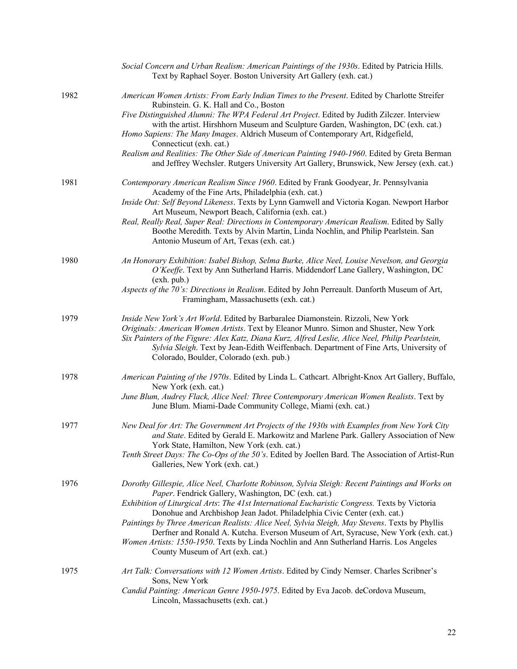|      | Social Concern and Urban Realism: American Paintings of the 1930s. Edited by Patricia Hills.<br>Text by Raphael Soyer. Boston University Art Gallery (exh. cat.)                                                                                                                                                                                                                                                                                                                                                                                                                                                                                            |
|------|-------------------------------------------------------------------------------------------------------------------------------------------------------------------------------------------------------------------------------------------------------------------------------------------------------------------------------------------------------------------------------------------------------------------------------------------------------------------------------------------------------------------------------------------------------------------------------------------------------------------------------------------------------------|
| 1982 | American Women Artists: From Early Indian Times to the Present. Edited by Charlotte Streifer<br>Rubinstein. G. K. Hall and Co., Boston<br>Five Distinguished Alumni: The WPA Federal Art Project. Edited by Judith Zilczer. Interview<br>with the artist. Hirshhorn Museum and Sculpture Garden, Washington, DC (exh. cat.)<br>Homo Sapiens: The Many Images. Aldrich Museum of Contemporary Art, Ridgefield,<br>Connecticut (exh. cat.)<br>Realism and Realities: The Other Side of American Painting 1940-1960. Edited by Greta Berman<br>and Jeffrey Wechsler. Rutgers University Art Gallery, Brunswick, New Jersey (exh. cat.)                         |
| 1981 | Contemporary American Realism Since 1960. Edited by Frank Goodyear, Jr. Pennsylvania<br>Academy of the Fine Arts, Philadelphia (exh. cat.)<br>Inside Out: Self Beyond Likeness. Texts by Lynn Gamwell and Victoria Kogan. Newport Harbor<br>Art Museum, Newport Beach, California (exh. cat.)<br>Real, Really Real, Super Real: Directions in Contemporary American Realism. Edited by Sally<br>Boothe Meredith. Texts by Alvin Martin, Linda Nochlin, and Philip Pearlstein. San<br>Antonio Museum of Art, Texas (exh. cat.)                                                                                                                               |
| 1980 | An Honorary Exhibition: Isabel Bishop, Selma Burke, Alice Neel, Louise Nevelson, and Georgia<br>O'Keeffe. Text by Ann Sutherland Harris. Middendorf Lane Gallery, Washington, DC<br>(exh. pub.)<br>Aspects of the 70's: Directions in Realism. Edited by John Perreault. Danforth Museum of Art,<br>Framingham, Massachusetts (exh. cat.)                                                                                                                                                                                                                                                                                                                   |
| 1979 | Inside New York's Art World. Edited by Barbaralee Diamonstein. Rizzoli, New York<br>Originals: American Women Artists. Text by Eleanor Munro. Simon and Shuster, New York<br>Six Painters of the Figure: Alex Katz, Diana Kurz, Alfred Leslie, Alice Neel, Philip Pearlstein,<br>Sylvia Sleigh. Text by Jean-Edith Weiffenbach. Department of Fine Arts, University of<br>Colorado, Boulder, Colorado (exh. pub.)                                                                                                                                                                                                                                           |
| 1978 | American Painting of the 1970s. Edited by Linda L. Cathcart. Albright-Knox Art Gallery, Buffalo,<br>New York (exh. cat.)<br>June Blum, Audrey Flack, Alice Neel: Three Contemporary American Women Realists. Text by<br>June Blum. Miami-Dade Community College, Miami (exh. cat.)                                                                                                                                                                                                                                                                                                                                                                          |
| 1977 | New Deal for Art: The Government Art Projects of the 1930s with Examples from New York City<br>and State. Edited by Gerald E. Markowitz and Marlene Park. Gallery Association of New<br>York State, Hamilton, New York (exh. cat.)<br>Tenth Street Days: The Co-Ops of the 50's. Edited by Joellen Bard. The Association of Artist-Run<br>Galleries, New York (exh. cat.)                                                                                                                                                                                                                                                                                   |
| 1976 | Dorothy Gillespie, Alice Neel, Charlotte Robinson, Sylvia Sleigh: Recent Paintings and Works on<br>Paper. Fendrick Gallery, Washington, DC (exh. cat.)<br>Exhibition of Liturgical Arts: The 41st International Eucharistic Congress. Texts by Victoria<br>Donohue and Archbishop Jean Jadot. Philadelphia Civic Center (exh. cat.)<br>Paintings by Three American Realists: Alice Neel, Sylvia Sleigh, May Stevens. Texts by Phyllis<br>Derfner and Ronald A. Kutcha. Everson Museum of Art, Syracuse, New York (exh. cat.)<br>Women Artists: 1550-1950. Texts by Linda Nochlin and Ann Sutherland Harris. Los Angeles<br>County Museum of Art (exh. cat.) |
| 1975 | Art Talk: Conversations with 12 Women Artists. Edited by Cindy Nemser. Charles Scribner's<br>Sons, New York<br>Candid Painting: American Genre 1950-1975. Edited by Eva Jacob. deCordova Museum,<br>Lincoln, Massachusetts (exh. cat.)                                                                                                                                                                                                                                                                                                                                                                                                                      |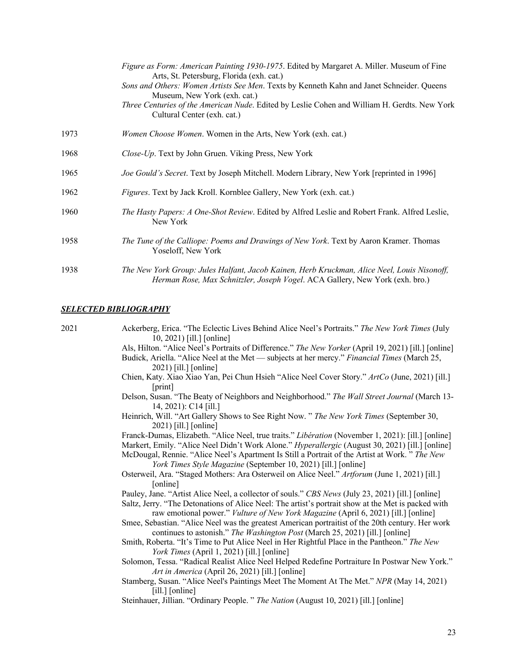|      | Figure as Form: American Painting 1930-1975. Edited by Margaret A. Miller. Museum of Fine<br>Arts, St. Petersburg, Florida (exh. cat.)                                      |
|------|-----------------------------------------------------------------------------------------------------------------------------------------------------------------------------|
|      | Sons and Others: Women Artists See Men. Texts by Kenneth Kahn and Janet Schneider. Queens<br>Museum, New York (exh. cat.)                                                   |
|      | Three Centuries of the American Nude. Edited by Leslie Cohen and William H. Gerdts. New York<br>Cultural Center (exh. cat.)                                                 |
| 1973 | <i>Women Choose Women</i> . Women in the Arts, New York (exh. cat.)                                                                                                         |
| 1968 | Close-Up. Text by John Gruen. Viking Press, New York                                                                                                                        |
| 1965 | Joe Gould's Secret. Text by Joseph Mitchell. Modern Library, New York [reprinted in 1996]                                                                                   |
| 1962 | Figures. Text by Jack Kroll. Kornblee Gallery, New York (exh. cat.)                                                                                                         |
| 1960 | The Hasty Papers: A One-Shot Review. Edited by Alfred Leslie and Robert Frank. Alfred Leslie,<br>New York                                                                   |
| 1958 | The Tune of the Calliope: Poems and Drawings of New York. Text by Aaron Kramer. Thomas<br>Yoseloff, New York                                                                |
| 1938 | The New York Group: Jules Halfant, Jacob Kainen, Herb Kruckman, Alice Neel, Louis Nisonoff,<br>Herman Rose, Max Schnitzler, Joseph Vogel. ACA Gallery, New York (exh. bro.) |

#### *SELECTED BIBLIOGRAPHY*

| 2021 | Ackerberg, Erica. "The Eclectic Lives Behind Alice Neel's Portraits." The New York Times (July       |
|------|------------------------------------------------------------------------------------------------------|
|      | 10, 2021) [ill.] [online]                                                                            |
|      | Als, Hilton. "Alice Neel's Portraits of Difference." The New Yorker (April 19, 2021) [ill.] [online] |
|      | Budick, Ariella. "Alice Neel at the Met — subjects at her mercy." Financial Times (March 25,         |
|      | 2021) [ill.] [online]                                                                                |
|      | Chien, Katy. Xiao Xiao Yan, Pei Chun Hsieh "Alice Neel Cover Story." ArtCo (June, 2021) [ill.]       |
|      | [print]                                                                                              |
|      | Delson, Susan. "The Beaty of Neighbors and Neighborhood." The Wall Street Journal (March 13-         |
|      | 14, 2021): C14 [ill.]                                                                                |
|      | Heinrich, Will. "Art Gallery Shows to See Right Now. " The New York Times (September 30,             |
|      | 2021) [ill.] [online]                                                                                |
|      | Franck-Dumas, Elizabeth. "Alice Neel, true traits." Libération (November 1, 2021): [ill.] [online]   |
|      | Markert, Emily. "Alice Neel Didn't Work Alone." Hyperallergic (August 30, 2021) [ill.] [online]      |
|      | McDougal, Rennie. "Alice Neel's Apartment Is Still a Portrait of the Artist at Work." The New        |
|      | York Times Style Magazine (September 10, 2021) [ill.] [online]                                       |
|      | Osterweil, Ara. "Staged Mothers: Ara Osterweil on Alice Neel." Artforum (June 1, 2021) [ill.]        |
|      | [online]                                                                                             |
|      | Pauley, Jane. "Artist Alice Neel, a collector of souls." CBS News (July 23, 2021) [ill.] [online]    |
|      | Saltz, Jerry. "The Detonations of Alice Neel: The artist's portrait show at the Met is packed with   |
|      | raw emotional power." Vulture of New York Magazine (April 6, 2021) [ill.] [online]                   |
|      | Smee, Sebastian. "Alice Neel was the greatest American portraitist of the 20th century. Her work     |
|      | continues to astonish." The Washington Post (March 25, 2021) [ill.] [online]                         |
|      | Smith, Roberta. "It's Time to Put Alice Neel in Her Rightful Place in the Pantheon." The New         |
|      | York Times (April 1, 2021) [ill.] [online]                                                           |
|      | Solomon, Tessa. "Radical Realist Alice Neel Helped Redefine Portraiture In Postwar New York."        |
|      |                                                                                                      |
|      | Art in America (April 26, 2021) [ill.] [online]                                                      |
|      | Stamberg, Susan. "Alice Neel's Paintings Meet The Moment At The Met." NPR (May 14, 2021)             |
|      | $[i]$ [online]                                                                                       |
|      | Steinhauer, Jillian. "Ordinary People. " The Nation (August 10, 2021) [ill.] [online]                |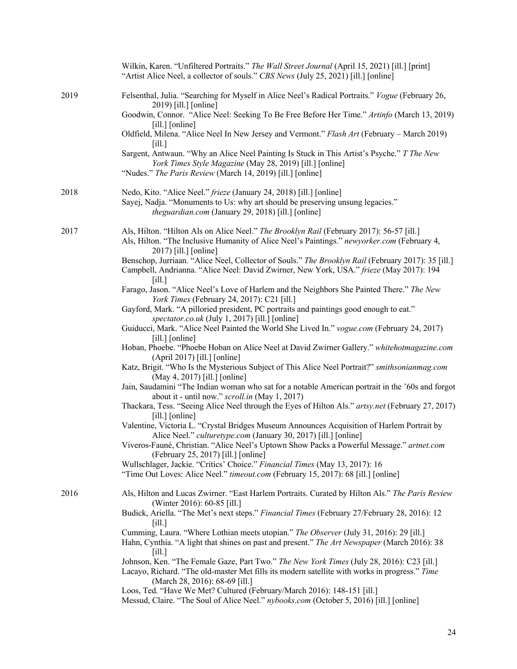|      | Wilkin, Karen. "Unfiltered Portraits." The Wall Street Journal (April 15, 2021) [ill.] [print]<br>"Artist Alice Neel, a collector of souls." CBS News (July 25, 2021) [ill.] [online]                                        |
|------|------------------------------------------------------------------------------------------------------------------------------------------------------------------------------------------------------------------------------|
| 2019 | Felsenthal, Julia. "Searching for Myself in Alice Neel's Radical Portraits." Vogue (February 26,<br>2019) [ill.] [online]                                                                                                    |
|      | Goodwin, Connor. "Alice Neel: Seeking To Be Free Before Her Time." Artinfo (March 13, 2019)<br>[ill.] [online]                                                                                                               |
|      | Oldfield, Milena. "Alice Neel In New Jersey and Vermont." Flash Art (February - March 2019)<br>[i]                                                                                                                           |
|      | Sargent, Antwaun. "Why an Alice Neel Painting Is Stuck in This Artist's Psyche." T The New<br>York Times Style Magazine (May 28, 2019) [ill.] [online]<br>"Nudes." The Paris Review (March 14, 2019) [ill.] [online]         |
| 2018 | Nedo, Kito. "Alice Neel." frieze (January 24, 2018) [ill.] [online]<br>Sayej, Nadja. "Monuments to Us: why art should be preserving unsung legacies."<br>theguardian.com (January 29, 2018) [ill.] [online]                  |
| 2017 | Als, Hilton. "Hilton Als on Alice Neel." The Brooklyn Rail (February 2017): 56-57 [ill.]<br>Als, Hilton. "The Inclusive Humanity of Alice Neel's Paintings." newyorker.com (February 4,<br>2017) [ill.] [online]             |
|      | Benschop, Jurriaan. "Alice Neel, Collector of Souls." The Brooklyn Rail (February 2017): 35 [ill.]<br>Campbell, Andrianna. "Alice Neel: David Zwirner, New York, USA." frieze (May 2017): 194<br>$\lceil$ ill.]              |
|      | Farago, Jason. "Alice Neel's Love of Harlem and the Neighbors She Painted There." The New<br>York Times (February 24, 2017): C21 [ill.]                                                                                      |
|      | Gayford, Mark. "A pilloried president, PC portraits and paintings good enough to eat."<br>spectator.co.uk (July 1, 2017) [ill.] [online]                                                                                     |
|      | Guiducci, Mark. "Alice Neel Painted the World She Lived In." vogue.com (February 24, 2017)<br>$[i]$ [online]                                                                                                                 |
|      | Hoban, Phoebe. "Phoebe Hoban on Alice Neel at David Zwirner Gallery." whitehotmagazine.com<br>$(April 2017)$ [ill.] [online]                                                                                                 |
|      | Katz, Brigit. "Who Is the Mysterious Subject of This Alice Neel Portrait?" smithsonianmag.com<br>(May 4, 2017) [ill.] [online]                                                                                               |
|      | Jain, Saudamini "The Indian woman who sat for a notable American portrait in the '60s and forgot<br>about it - until now." scroll.in (May 1, 2017)                                                                           |
|      | Thackara, Tess. "Seeing Alice Neel through the Eyes of Hilton Als." artsy.net (February 27, 2017)<br>[ill.] [online]                                                                                                         |
|      | Valentine, Victoria L. "Crystal Bridges Museum Announces Acquisition of Harlem Portrait by<br>Alice Neel." culturetype.com (January 30, 2017) [ill.] [online]                                                                |
|      | Viveros-Fauné, Christian. "Alice Neel's Uptown Show Packs a Powerful Message." artnet.com<br>(February 25, 2017) [ill.] [online]                                                                                             |
|      | Wullschlager, Jackie. "Critics' Choice." Financial Times (May 13, 2017): 16<br>"Time Out Loves: Alice Neel." timeout.com (February 15, 2017): 68 [ill.] [online]                                                             |
| 2016 | Als, Hilton and Lucas Zwirner. "East Harlem Portraits. Curated by Hilton Als." The Paris Review<br>(Winter 2016): 60-85 [ill.]                                                                                               |
|      | Budick, Ariella. "The Met's next steps." Financial Times (February 27/February 28, 2016): 12<br>[i]                                                                                                                          |
|      | Cumming, Laura. "Where Lothian meets utopian." The Observer (July 31, 2016): 29 [ill.]<br>Hahn, Cynthia. "A light that shines on past and present." The Art Newspaper (March 2016): 38<br>$\lceil$ ill.]                     |
|      | Johnson, Ken. "The Female Gaze, Part Two." The New York Times (July 28, 2016): C23 [ill.]<br>Lacayo, Richard. "The old-master Met fills its modern satellite with works in progress." Time<br>(March 28, 2016): 68-69 [ill.] |
|      | Loos, Ted. "Have We Met? Cultured (February/March 2016): 148-151 [ill.]<br>Messud, Claire. "The Soul of Alice Neel." nybooks.com (October 5, 2016) [ill.] [online]                                                           |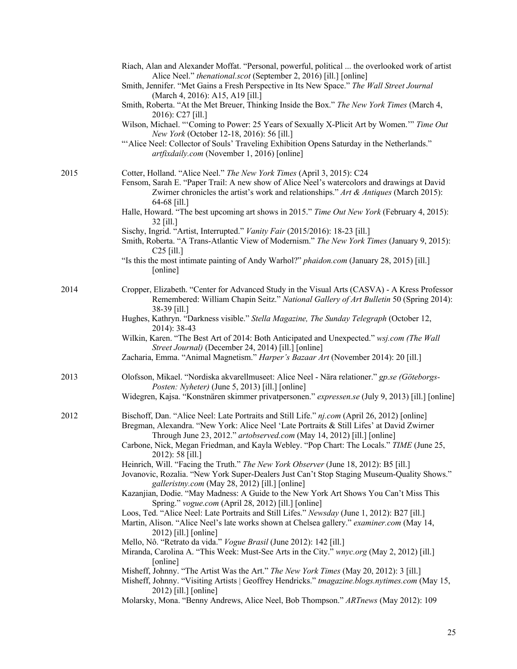|      | Riach, Alan and Alexander Moffat. "Personal, powerful, political  the overlooked work of artist<br>Alice Neel." <i>thenational.scot</i> (September 2, 2016) [ill.] [online]<br>Smith, Jennifer. "Met Gains a Fresh Perspective in Its New Space." The Wall Street Journal<br>(March 4, 2016): A15, A19 [ill.]<br>Smith, Roberta. "At the Met Breuer, Thinking Inside the Box." The New York Times (March 4,<br>2016): C27 [ill.]<br>Wilson, Michael. "'Coming to Power: 25 Years of Sexually X-Plicit Art by Women." Time Out<br>New York (October 12-18, 2016): 56 [ill.]<br>"Alice Neel: Collector of Souls' Traveling Exhibition Opens Saturday in the Netherlands."<br>artfixdaily.com (November 1, 2016) [online]                                                                                                                                                                                                                                                                                                                                                                                                                                                                                                                                                                                                                                                                                                                                                                      |
|------|---------------------------------------------------------------------------------------------------------------------------------------------------------------------------------------------------------------------------------------------------------------------------------------------------------------------------------------------------------------------------------------------------------------------------------------------------------------------------------------------------------------------------------------------------------------------------------------------------------------------------------------------------------------------------------------------------------------------------------------------------------------------------------------------------------------------------------------------------------------------------------------------------------------------------------------------------------------------------------------------------------------------------------------------------------------------------------------------------------------------------------------------------------------------------------------------------------------------------------------------------------------------------------------------------------------------------------------------------------------------------------------------------------------------------------------------------------------------------------------------|
| 2015 | Cotter, Holland. "Alice Neel." The New York Times (April 3, 2015): C24<br>Fensom, Sarah E. "Paper Trail: A new show of Alice Neel's watercolors and drawings at David<br>Zwirner chronicles the artist's work and relationships." Art & Antiques (March 2015):<br>64-68 [ill.]<br>Halle, Howard. "The best upcoming art shows in 2015." Time Out New York (February 4, 2015):<br>32 [ill.]<br>Sischy, Ingrid. "Artist, Interrupted." Vanity Fair (2015/2016): 18-23 [ill.]<br>Smith, Roberta. "A Trans-Atlantic View of Modernism." The New York Times (January 9, 2015):<br>$C25$ [ill.]<br>"Is this the most intimate painting of Andy Warhol?" <i>phaidon.com</i> (January 28, 2015) [ill.]<br>[online]                                                                                                                                                                                                                                                                                                                                                                                                                                                                                                                                                                                                                                                                                                                                                                                  |
| 2014 | Cropper, Elizabeth. "Center for Advanced Study in the Visual Arts (CASVA) - A Kress Professor<br>Remembered: William Chapin Seitz." National Gallery of Art Bulletin 50 (Spring 2014):<br>38-39 [ill.]<br>Hughes, Kathryn. "Darkness visible." Stella Magazine, The Sunday Telegraph (October 12,<br>2014): 38-43<br>Wilkin, Karen. "The Best Art of 2014: Both Anticipated and Unexpected." wsj.com (The Wall<br>Street Journal) (December 24, 2014) [ill.] [online]<br>Zacharia, Emma. "Animal Magnetism." Harper's Bazaar Art (November 2014): 20 [ill.]                                                                                                                                                                                                                                                                                                                                                                                                                                                                                                                                                                                                                                                                                                                                                                                                                                                                                                                                 |
| 2013 | Olofsson, Mikael. "Nordiska akvarellmuseet: Alice Neel - Nära relationer." gp.se (Göteborgs-<br>Posten: Nyheter) (June 5, 2013) [ill.] [online]<br>Widegren, Kajsa. "Konstnären skimmer privatpersonen." expressen.se (July 9, 2013) [ill.] [online]                                                                                                                                                                                                                                                                                                                                                                                                                                                                                                                                                                                                                                                                                                                                                                                                                                                                                                                                                                                                                                                                                                                                                                                                                                        |
| 2012 | Bischoff, Dan. "Alice Neel: Late Portraits and Still Life." nj.com (April 26, 2012) [online]<br>Bregman, Alexandra. "New York: Alice Neel 'Late Portraits & Still Lifes' at David Zwirner<br>Through June 23, 2012." artobserved.com (May 14, 2012) [ill.] [online]<br>Carbone, Nick, Megan Friedman, and Kayla Webley. "Pop Chart: The Locals." TIME (June 25,<br>2012): 58 [ill.]<br>Heinrich, Will. "Facing the Truth." The New York Observer (June 18, 2012): B5 [ill.]<br>Jovanovic, Rozalia. "New York Super-Dealers Just Can't Stop Staging Museum-Quality Shows."<br>galleristny.com (May 28, 2012) [ill.] [online]<br>Kazanjian, Dodie. "May Madness: A Guide to the New York Art Shows You Can't Miss This<br>Spring." vogue.com (April 28, 2012) [ill.] [online]<br>Loos, Ted. "Alice Neel: Late Portraits and Still Lifes." Newsday (June 1, 2012): B27 [ill.]<br>Martin, Alison. "Alice Neel's late works shown at Chelsea gallery." examiner.com (May 14,<br>2012) [ill.] [online]<br>Mello, Nô. "Retrato da vida." Vogue Brasil (June 2012): 142 [ill.]<br>Miranda, Carolina A. "This Week: Must-See Arts in the City." wnyc.org (May 2, 2012) [ill.]<br>[online]<br>Misheff, Johnny. "The Artist Was the Art." The New York Times (May 20, 2012): 3 [ill.]<br>Misheff, Johnny. "Visiting Artists   Geoffrey Hendricks." tmagazine.blogs.nytimes.com (May 15,<br>2012) [ill.] [online]<br>Molarsky, Mona. "Benny Andrews, Alice Neel, Bob Thompson." ARTnews (May 2012): 109 |
|      |                                                                                                                                                                                                                                                                                                                                                                                                                                                                                                                                                                                                                                                                                                                                                                                                                                                                                                                                                                                                                                                                                                                                                                                                                                                                                                                                                                                                                                                                                             |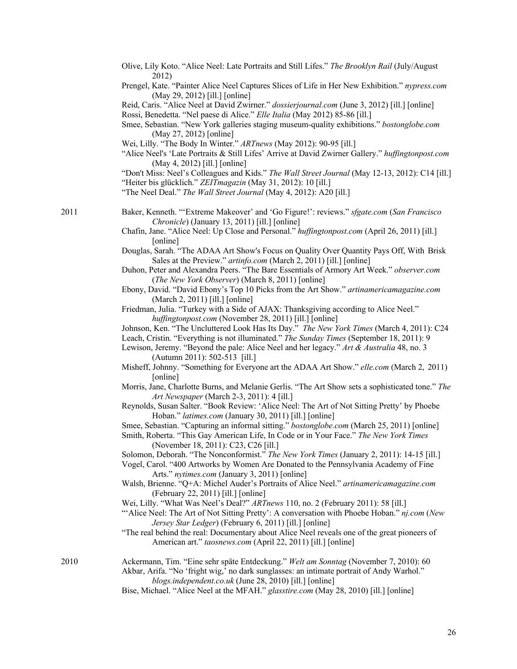|      | Olive, Lily Koto. "Alice Neel: Late Portraits and Still Lifes." The Brooklyn Rail (July/August<br>2012)                                                                                                                      |
|------|------------------------------------------------------------------------------------------------------------------------------------------------------------------------------------------------------------------------------|
|      | Prengel, Kate. "Painter Alice Neel Captures Slices of Life in Her New Exhibition." nypress.com<br>(May 29, 2012) [ill.] [online]                                                                                             |
|      | Reid, Caris. "Alice Neel at David Zwirner." dossierjournal.com (June 3, 2012) [ill.] [online]                                                                                                                                |
|      | Rossi, Benedetta. "Nel paese di Alice." Elle Italia (May 2012) 85-86 [ill.]<br>Smee, Sebastian. "New York galleries staging museum-quality exhibitions." bostonglobe.com                                                     |
|      | (May 27, 2012) [online]                                                                                                                                                                                                      |
|      | Wei, Lilly. "The Body In Winter." ARTnews (May 2012): 90-95 [ill.]<br>"Alice Neel's 'Late Portraits & Still Lifes' Arrive at David Zwirner Gallery." huffingtonpost.com<br>(May 4, 2012) [ill.] [online]                     |
|      | "Don't Miss: Neel's Colleagues and Kids." The Wall Street Journal (May 12-13, 2012): C14 [ill.]                                                                                                                              |
|      | "Heiter bis glücklich." ZEITmagazin (May 31, 2012): 10 [ill.]                                                                                                                                                                |
|      | "The Neel Deal." The Wall Street Journal (May 4, 2012): A20 [ill.]                                                                                                                                                           |
| 2011 | Baker, Kenneth. "'Extreme Makeover' and 'Go Figure!': reviews." sfgate.com (San Francisco<br>Chronicle) (January 13, 2011) [ill.] [online]                                                                                   |
|      | Chafin, Jane. "Alice Neel: Up Close and Personal." huffingtonpost.com (April 26, 2011) [ill.]<br>[online]                                                                                                                    |
|      | Douglas, Sarah. "The ADAA Art Show's Focus on Quality Over Quantity Pays Off, With Brisk<br>Sales at the Preview." artinfo.com (March 2, 2011) [ill.] [online]                                                               |
|      | Duhon, Peter and Alexandra Peers. "The Bare Essentials of Armory Art Week." observer.com<br>(The New York Observer) (March 8, 2011) [online]                                                                                 |
|      | Ebony, David. "David Ebony's Top 10 Picks from the Art Show." artinamericamagazine.com<br>(March 2, 2011) [ill.] [online]                                                                                                    |
|      | Friedman, Julia. "Turkey with a Side of AJAX: Thanksgiving according to Alice Neel."<br>huffingtonpost.com (November 28, 2011) [ill.] [online]                                                                               |
|      | Johnson, Ken. "The Uncluttered Look Has Its Day." The New York Times (March 4, 2011): C24<br>Leach, Cristin. "Everything is not illuminated." The Sunday Times (September 18, 2011): 9                                       |
|      | Lewison, Jeremy. "Beyond the pale: Alice Neel and her legacy." Art & Australia 48, no. 3<br>(Autumn 2011): 502-513 [ill.]                                                                                                    |
|      | Misheff, Johnny. "Something for Everyone art the ADAA Art Show." elle.com (March 2, 2011)<br>[online]                                                                                                                        |
|      | Morris, Jane, Charlotte Burns, and Melanie Gerlis. "The Art Show sets a sophisticated tone." The<br>Art Newspaper (March 2-3, 2011): 4 [ill.]                                                                                |
|      | Reynolds, Susan Salter. "Book Review: 'Alice Neel: The Art of Not Sitting Pretty' by Phoebe<br>Hoban." latimes.com (January 30, 2011) [ill.] [online]                                                                        |
|      | Smee, Sebastian. "Capturing an informal sitting." bostonglobe.com (March 25, 2011) [online]<br>Smith, Roberta. "This Gay American Life, In Code or in Your Face." The New York Times<br>(November 18, 2011): C23, C26 [ill.] |
|      | Solomon, Deborah. "The Nonconformist." The New York Times (January 2, 2011): 14-15 [ill.]<br>Vogel, Carol. "400 Artworks by Women Are Donated to the Pennsylvania Academy of Fine                                            |
|      | Arts." nytimes.com (January 3, 2011) [online]<br>Walsh, Brienne. "Q+A: Michel Auder's Portraits of Alice Neel." artinamericamagazine.com                                                                                     |
|      | (February 22, 2011) [ill.] [online]                                                                                                                                                                                          |
|      | Wei, Lilly. "What Was Neel's Deal?" ARTnews 110, no. 2 (February 2011): 58 [ill.]<br>"Alice Neel: The Art of Not Sitting Pretty': A conversation with Phoebe Hoban." nj.com (New                                             |
|      | Jersey Star Ledger) (February 6, 2011) [ill.] [online]<br>"The real behind the real: Documentary about Alice Neel reveals one of the great pioneers of<br>American art." taosnews.com (April 22, 2011) [ill.] [online]       |
| 2010 | Ackermann, Tim. "Eine sehr späte Entdeckung." Welt am Sonntag (November 7, 2010): 60<br>Akbar, Arifa. "No 'fright wig,' no dark sunglasses: an intimate portrait of Andy Warhol."                                            |
|      | blogs.independent.co.uk (June 28, 2010) [ill.] [online]<br>Bise, Michael. "Alice Neel at the MFAH." glasstire.com (May 28, 2010) [ill.] [online]                                                                             |
|      |                                                                                                                                                                                                                              |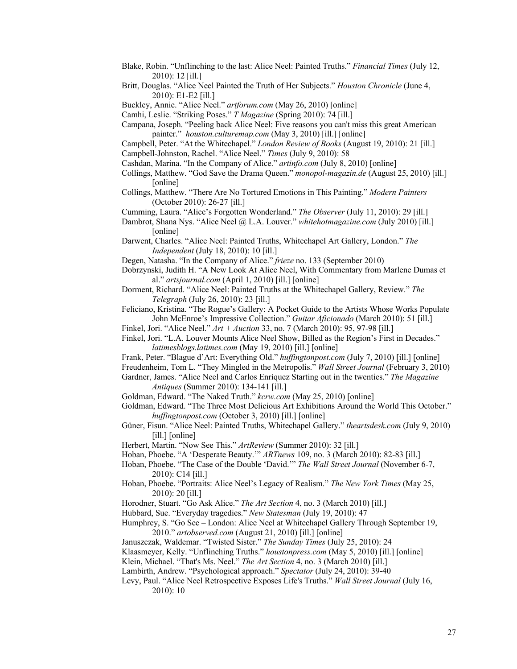- Blake, Robin. "Unflinching to the last: Alice Neel: Painted Truths." *Financial Times* (July 12, 2010): 12 [ill.]
- Britt, Douglas. "Alice Neel Painted the Truth of Her Subjects." *Houston Chronicle* (June 4, 2010): E1-E2 [ill.]
- Buckley, Annie. "Alice Neel." *artforum.com* (May 26, 2010) [online]
- Camhi, Leslie. "Striking Poses." *T Magazine* (Spring 2010): 74 [ill.]
- Campana, Joseph. "Peeling back Alice Neel: Five reasons you can't miss this great American painter." *houston.culturemap.com* (May 3, 2010) [ill.] [online]
- Campbell, Peter. "At the Whitechapel." *London Review of Books* (August 19, 2010): 21 [ill.]
- Campbell-Johnston, Rachel. "Alice Neel." *Times* (July 9, 2010): 58
- Cashdan, Marina. "In the Company of Alice." *artinfo.com* (July 8, 2010) [online]
- Collings, Matthew. "God Save the Drama Queen." *monopol-magazin.de* (August 25, 2010) [ill.] [online]
- Collings, Matthew. "There Are No Tortured Emotions in This Painting." *Modern Painters* (October 2010): 26-27 [ill.]
- Cumming, Laura. "Alice's Forgotten Wonderland." *The Observer* (July 11, 2010): 29 [ill.]
- Dambrot, Shana Nys. "Alice Neel @ L.A. Louver." *whitehotmagazine.com* (July 2010) [ill.] [online]
- Darwent, Charles. "Alice Neel: Painted Truths, Whitechapel Art Gallery, London." *The Independent* (July 18, 2010): 10 [ill.]
- Degen, Natasha. "In the Company of Alice." *frieze* no. 133 (September 2010)
- Dobrzynski, Judith H. "A New Look At Alice Neel, With Commentary from Marlene Dumas et al." *artsjournal.com* (April 1, 2010) [ill.] [online]
- Dorment, Richard. "Alice Neel: Painted Truths at the Whitechapel Gallery, Review." *The Telegraph* (July 26, 2010): 23 [ill.]
- Feliciano, Kristina. "The Rogue's Gallery: A Pocket Guide to the Artists Whose Works Populate John McEnroe's Impressive Collection." *Guitar Aficionado* (March 2010): 51 [ill.]
- Finkel, Jori. "Alice Neel." *Art + Auction* 33, no. 7 (March 2010): 95, 97-98 [ill.]
- Finkel, Jori. "L.A. Louver Mounts Alice Neel Show, Billed as the Region's First in Decades." *latimesblogs.latimes.com* (May 19, 2010) [ill.] [online]
- Frank, Peter. "Blague d'Art: Everything Old." *huffingtonpost.com* (July 7, 2010) [ill.] [online]
- Freudenheim, Tom L. "They Mingled in the Metropolis." *Wall Street Journal* (February 3, 2010)
- Gardner, James. "Alice Neel and Carlos Enríquez Starting out in the twenties." *The Magazine Antiques* (Summer 2010): 134-141 [ill.]
- Goldman, Edward. "The Naked Truth." *kcrw.com* (May 25, 2010) [online]
- Goldman, Edward. "The Three Most Delicious Art Exhibitions Around the World This October." *huffingtonpost.com* (October 3, 2010) [ill.] [online]
- Güner, Fisun. "Alice Neel: Painted Truths, Whitechapel Gallery." *theartsdesk.com* (July 9, 2010) [ill.] [online]
- Herbert, Martin. "Now See This." *ArtReview* (Summer 2010): 32 [ill.]
- Hoban, Phoebe. "A 'Desperate Beauty.'" *ARTnews* 109, no. 3 (March 2010): 82-83 [ill.]
- Hoban, Phoebe. "The Case of the Double 'David.'" *The Wall Street Journal* (November 6-7, 2010): C14 [ill.]
- Hoban, Phoebe. "Portraits: Alice Neel's Legacy of Realism." *The New York Times* (May 25, 2010): 20 [ill.]

Horodner, Stuart. "Go Ask Alice." *The Art Section* 4, no. 3 (March 2010) [ill.]

- Hubbard, Sue. "Everyday tragedies." *New Statesman* (July 19, 2010): 47
- Humphrey, S. "Go See London: Alice Neel at Whitechapel Gallery Through September 19, 2010." *artobserved.com* (August 21, 2010) [ill.] [online]

Januszczak, Waldemar. "Twisted Sister." *The Sunday Times* (July 25, 2010): 24

Klaasmeyer, Kelly. "Unflinching Truths." *houstonpress.com* (May 5, 2010) [ill.] [online]

- Klein, Michael. "That's Ms. Neel." *The Art Section* 4, no. 3 (March 2010) [ill.]
- Lambirth, Andrew. "Psychological approach." *Spectator* (July 24, 2010): 39-40
- Levy, Paul. "Alice Neel Retrospective Exposes Life's Truths." *Wall Street Journal* (July 16, 2010): 10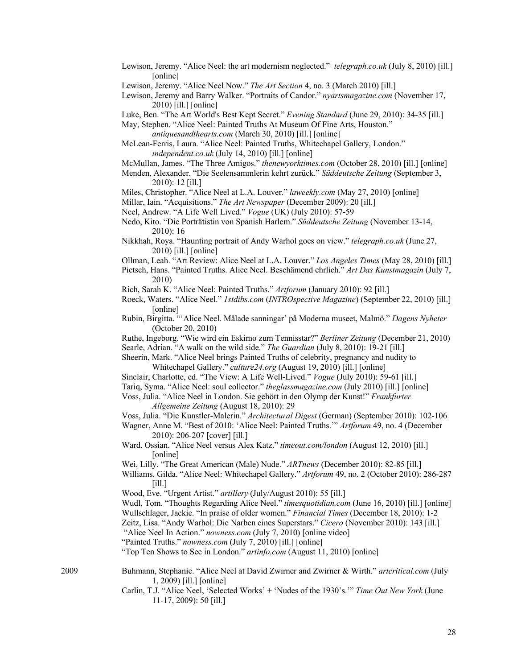Lewison, Jeremy. "Alice Neel: the art modernism neglected." *telegraph.co.uk* (July 8, 2010) [ill.] [online]

Lewison, Jeremy and Barry Walker. "Portraits of Candor." *nyartsmagazine.com* (November 17, 2010) [ill.] [online]

Luke, Ben. "The Art World's Best Kept Secret." *Evening Standard* (June 29, 2010): 34-35 [ill.]

May, Stephen. "Alice Neel: Painted Truths At Museum Of Fine Arts, Houston." *antiquesandthearts.com* (March 30, 2010) [ill.] [online]

- McLean-Ferris, Laura. "Alice Neel: Painted Truths, Whitechapel Gallery, London." *independent.co.uk* (July 14, 2010) [ill.] [online]
- McMullan, James. "The Three Amigos." *thenewyorktimes.com* (October 28, 2010) [ill.] [online]
- Menden, Alexander. "Die Seelensammlerin kehrt zurück." *Süddeutsche Zeitung* (September 3, 2010): 12 [ill.]

Miles, Christopher. "Alice Neel at L.A. Louver." *laweekly.com* (May 27, 2010) [online]

- Millar, Iain. "Acquisitions." *The Art Newspaper* (December 2009): 20 [ill.]
- Neel, Andrew. "A Life Well Lived." *Vogue* (UK) (July 2010): 57-59
- Nedo, Kito. "Die Porträtistin von Spanish Harlem." *Süddeutsche Zeitung* (November 13-14, 2010): 16
- Nikkhah, Roya. "Haunting portrait of Andy Warhol goes on view." *telegraph.co.uk* (June 27, 2010) [ill.] [online]
- Ollman, Leah. "Art Review: Alice Neel at L.A. Louver." *Los Angeles Times* (May 28, 2010) [ill.]
- Pietsch, Hans. "Painted Truths. Alice Neel. Beschämend ehrlich." *Art Das Kunstmagazin* (July 7, 2010)
- Rich, Sarah K. "Alice Neel: Painted Truths." *Artforum* (January 2010): 92 [ill.]
- Roeck, Waters. "Alice Neel." *1stdibs.com* (*INTROspective Magazine*) (September 22, 2010) [ill.] [online]
- Rubin, Birgitta. "'Alice Neel. Målade sanningar' på Moderna museet, Malmö." *Dagens Nyheter* (October 20, 2010)

Ruthe, Ingeborg. "Wie wird ein Eskimo zum Tennisstar?" *Berliner Zeitung* (December 21, 2010) Searle, Adrian. "A walk on the wild side." *The Guardian* (July 8, 2010): 19-21 [ill.]

- Sheerin, Mark. "Alice Neel brings Painted Truths of celebrity, pregnancy and nudity to Whitechapel Gallery." *culture24.org* (August 19, 2010) [ill.] [online]
- Sinclair, Charlotte, ed. "The View: A Life Well-Lived." *Vogue* (July 2010): 59-61 [ill.]
- Tariq, Syma. "Alice Neel: soul collector." *theglassmagazine.com* (July 2010) [ill.] [online]
- Voss, Julia. "Alice Neel in London. Sie gehört in den Olymp der Kunst!" *Frankfurter Allgemeine Zeitung* (August 18, 2010): 29

Voss, Julia. "Die Kunstler-Malerin." *Architectural Digest* (German) (September 2010): 102-106

- Wagner, Anne M. "Best of 2010: 'Alice Neel: Painted Truths.'" *Artforum* 49, no. 4 (December 2010): 206-207 [cover] [ill.]
- Ward, Ossian. "Alice Neel versus Alex Katz." *timeout.com/london* (August 12, 2010) [ill.] [online]
- Wei, Lilly. "The Great American (Male) Nude." *ARTnews* (December 2010): 82-85 [ill.]
- Williams, Gilda. "Alice Neel: Whitechapel Gallery." *Artforum* 49, no. 2 (October 2010): 286-287 [ill.]
- Wood, Eve. "Urgent Artist." *artillery* (July/August 2010): 55 [ill.]
- Wudl, Tom. "Thoughts Regarding Alice Neel." *timesquotidian.com* (June 16, 2010) [ill.] [online] Wullschlager, Jackie. "In praise of older women." *Financial Times* (December 18, 2010): 1-2
- Zeitz, Lisa. "Andy Warhol: Die Narben eines Superstars." *Cicero* (November 2010): 143 [ill.]
- "Alice Neel In Action." *nowness.com* (July 7, 2010) [online video]
- "Painted Truths." *nowness.com* (July 7, 2010) [ill.] [online]

"Top Ten Shows to See in London." *artinfo.com* (August 11, 2010) [online]

- 2009 Buhmann, Stephanie. "Alice Neel at David Zwirner and Zwirner & Wirth." *artcritical.com* (July 1, 2009) [ill.] [online]
	- Carlin, T.J. "Alice Neel, 'Selected Works' + 'Nudes of the 1930's.'" *Time Out New York* (June 11-17, 2009): 50 [ill.]

Lewison, Jeremy. "Alice Neel Now." *The Art Section* 4, no. 3 (March 2010) [ill.]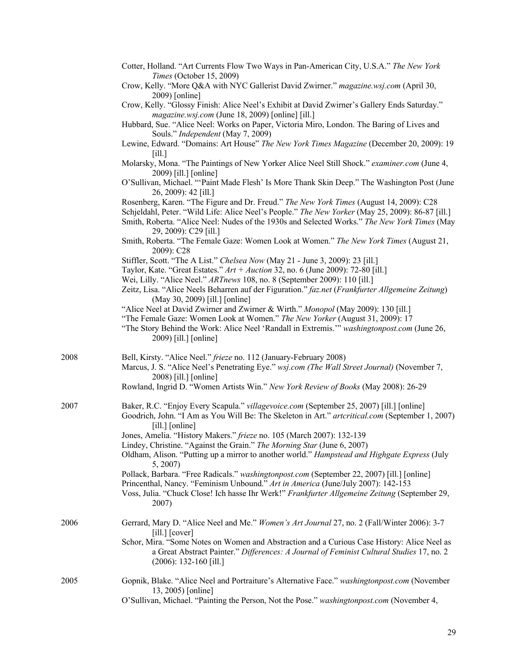|      | Cotter, Holland. "Art Currents Flow Two Ways in Pan-American City, U.S.A." The New York<br>Times (October 15, 2009)                                                                                                                                                                                                  |
|------|----------------------------------------------------------------------------------------------------------------------------------------------------------------------------------------------------------------------------------------------------------------------------------------------------------------------|
|      | Crow, Kelly. "More Q&A with NYC Gallerist David Zwirner." magazine.wsj.com (April 30,<br>2009) [online]                                                                                                                                                                                                              |
|      | Crow, Kelly. "Glossy Finish: Alice Neel's Exhibit at David Zwirner's Gallery Ends Saturday."<br>magazine.wsj.com (June 18, 2009) [online] [ill.]                                                                                                                                                                     |
|      | Hubbard, Sue. "Alice Neel: Works on Paper, Victoria Miro, London. The Baring of Lives and<br>Souls." Independent (May 7, 2009)                                                                                                                                                                                       |
|      | Lewine, Edward. "Domains: Art House" The New York Times Magazine (December 20, 2009): 19<br>$\lceil$ ill.]                                                                                                                                                                                                           |
|      | Molarsky, Mona. "The Paintings of New Yorker Alice Neel Still Shock." examiner.com (June 4,<br>2009) [ill.] [online]                                                                                                                                                                                                 |
|      | O'Sullivan, Michael. "'Paint Made Flesh' Is More Thank Skin Deep." The Washington Post (June<br>26, 2009): 42 [ill.]                                                                                                                                                                                                 |
|      | Rosenberg, Karen. "The Figure and Dr. Freud." The New York Times (August 14, 2009): C28<br>Schjeldahl, Peter. "Wild Life: Alice Neel's People." The New Yorker (May 25, 2009): 86-87 [ill.]<br>Smith, Roberta. "Alice Neel: Nudes of the 1930s and Selected Works." The New York Times (May<br>29, 2009): C29 [ill.] |
|      | Smith, Roberta. "The Female Gaze: Women Look at Women." The New York Times (August 21,<br>2009): C28                                                                                                                                                                                                                 |
|      | Stiffler, Scott. "The A List." Chelsea Now (May 21 - June 3, 2009): 23 [ill.]<br>Taylor, Kate. "Great Estates." $Art + Auction 32$ , no. 6 (June 2009): 72-80 [ill.]                                                                                                                                                 |
|      | Wei, Lilly. "Alice Neel." ARTnews 108, no. 8 (September 2009): 110 [ill.]<br>Zeitz, Lisa. "Alice Neels Beharren auf der Figuration." faz.net (Frankfurter Allgemeine Zeitung)<br>(May 30, 2009) [ill.] [online]                                                                                                      |
|      | "Alice Neel at David Zwirner and Zwirner & Wirth." Monopol (May 2009): 130 [ill.]<br>"The Female Gaze: Women Look at Women." The New Yorker (August 31, 2009): 17<br>"The Story Behind the Work: Alice Neel 'Randall in Extremis." washingtonpost.com (June 26,<br>2009) [ill.] [online]                             |
| 2008 | Bell, Kirsty. "Alice Neel." frieze no. 112 (January-February 2008)<br>Marcus, J. S. "Alice Neel's Penetrating Eye." wsj.com (The Wall Street Journal) (November 7,<br>2008) [ill.] [online]<br>Rowland, Ingrid D. "Women Artists Win." New York Review of Books (May 2008): 26-29                                    |
|      |                                                                                                                                                                                                                                                                                                                      |
| 2007 | Baker, R.C. "Enjoy Every Scapula." villagevoice.com (September 25, 2007) [ill.] [online]<br>Goodrich, John. "I Am as You Will Be: The Skeleton in Art." artcritical.com (September 1, 2007)<br>$[i]$ [online]                                                                                                        |
|      | Jones, Amelia. "History Makers." frieze no. 105 (March 2007): 132-139                                                                                                                                                                                                                                                |
|      | Lindey, Christine. "Against the Grain." The Morning Star (June 6, 2007)<br>Oldham, Alison. "Putting up a mirror to another world." Hampstead and Highgate Express (July<br>5, 2007)                                                                                                                                  |
|      | Pollack, Barbara. "Free Radicals." washingtonpost.com (September 22, 2007) [ill.] [online]<br>Princenthal, Nancy. "Feminism Unbound." Art in America (June/July 2007): 142-153                                                                                                                                       |
|      | Voss, Julia. "Chuck Close! Ich hasse Ihr Werk!" Frankfurter Allgemeine Zeitung (September 29,<br>2007)                                                                                                                                                                                                               |
| 2006 | Gerrard, Mary D. "Alice Neel and Me." Women's Art Journal 27, no. 2 (Fall/Winter 2006): 3-7<br>$[i]$ [cover]                                                                                                                                                                                                         |
|      | Schor, Mira. "Some Notes on Women and Abstraction and a Curious Case History: Alice Neel as<br>a Great Abstract Painter." Differences: A Journal of Feminist Cultural Studies 17, no. 2<br>$(2006): 132-160$ [ill.]                                                                                                  |
| 2005 | Gopnik, Blake. "Alice Neel and Portraiture's Alternative Face." washingtonpost.com (November<br>13, 2005) [online]                                                                                                                                                                                                   |
|      | O'Sullivan, Michael. "Painting the Person, Not the Pose." washingtonpost.com (November 4,                                                                                                                                                                                                                            |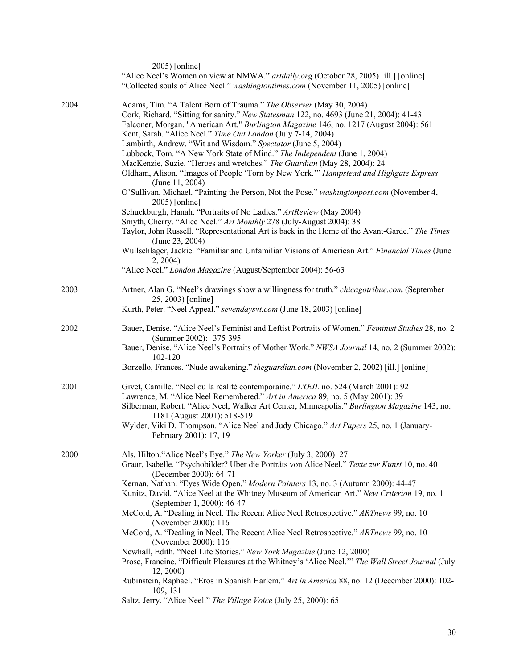|      | $2005$ ) [online]<br>"Alice Neel's Women on view at NMWA." artdaily.org (October 28, 2005) [ill.] [online]<br>"Collected souls of Alice Neel." washingtontimes.com (November 11, 2005) [online]                                                                                                                                                                                                                                                                                                                                                                                                                                                             |
|------|-------------------------------------------------------------------------------------------------------------------------------------------------------------------------------------------------------------------------------------------------------------------------------------------------------------------------------------------------------------------------------------------------------------------------------------------------------------------------------------------------------------------------------------------------------------------------------------------------------------------------------------------------------------|
| 2004 | Adams, Tim. "A Talent Born of Trauma." The Observer (May 30, 2004)<br>Cork, Richard. "Sitting for sanity." New Statesman 122, no. 4693 (June 21, 2004): 41-43<br>Falconer, Morgan. "American Art." Burlington Magazine 146, no. 1217 (August 2004): 561<br>Kent, Sarah. "Alice Neel." Time Out London (July 7-14, 2004)<br>Lambirth, Andrew. "Wit and Wisdom." Spectator (June 5, 2004)<br>Lubbock, Tom. "A New York State of Mind." The Independent (June 1, 2004)<br>MacKenzie, Suzie. "Heroes and wretches." The Guardian (May 28, 2004): 24<br>Oldham, Alison. "Images of People 'Torn by New York."" Hampstead and Highgate Express<br>(June 11, 2004) |
|      | O'Sullivan, Michael. "Painting the Person, Not the Pose." washingtonpost.com (November 4,<br>$2005$ ) [online]<br>Schuckburgh, Hanah. "Portraits of No Ladies." ArtReview (May 2004)<br>Smyth, Cherry. "Alice Neel." Art Monthly 278 (July-August 2004): 38                                                                                                                                                                                                                                                                                                                                                                                                 |
|      | Taylor, John Russell. "Representational Art is back in the Home of the Avant-Garde." The Times<br>(June 23, 2004)                                                                                                                                                                                                                                                                                                                                                                                                                                                                                                                                           |
|      | Wullschlager, Jackie. "Familiar and Unfamiliar Visions of American Art." Financial Times (June<br>2, 2004                                                                                                                                                                                                                                                                                                                                                                                                                                                                                                                                                   |
|      | "Alice Neel." London Magazine (August/September 2004): 56-63                                                                                                                                                                                                                                                                                                                                                                                                                                                                                                                                                                                                |
| 2003 | Artner, Alan G. "Neel's drawings show a willingness for truth." chicagotribue.com (September<br>25, 2003) [online]<br>Kurth, Peter. "Neel Appeal." sevendaysvt.com (June 18, 2003) [online]                                                                                                                                                                                                                                                                                                                                                                                                                                                                 |
| 2002 | Bauer, Denise. "Alice Neel's Feminist and Leftist Portraits of Women." Feminist Studies 28, no. 2                                                                                                                                                                                                                                                                                                                                                                                                                                                                                                                                                           |
|      | (Summer 2002): 375-395<br>Bauer, Denise. "Alice Neel's Portraits of Mother Work." NWSA Journal 14, no. 2 (Summer 2002):                                                                                                                                                                                                                                                                                                                                                                                                                                                                                                                                     |
|      | 102-120<br>Borzello, Frances. "Nude awakening." <i>theguardian.com</i> (November 2, 2002) [ill.] [online]                                                                                                                                                                                                                                                                                                                                                                                                                                                                                                                                                   |
| 2001 | Givet, Camille. "Neel ou la réalité contemporaine." L'ŒIL no. 524 (March 2001): 92<br>Lawrence, M. "Alice Neel Remembered." Art in America 89, no. 5 (May 2001): 39<br>Silberman, Robert. "Alice Neel, Walker Art Center, Minneapolis." Burlington Magazine 143, no.<br>1181 (August 2001): 518-519<br>Wylder, Viki D. Thompson. "Alice Neel and Judy Chicago." Art Papers 25, no. 1 (January-<br>February 2001): 17, 19                                                                                                                                                                                                                                    |
| 2000 | Als, Hilton. "Alice Neel's Eye." The New Yorker (July 3, 2000): 27<br>Graur, Isabelle. "Psychobilder? Uber die Porträts von Alice Neel." Texte zur Kunst 10, no. 40<br>(December 2000): 64-71<br>Kernan, Nathan. "Eyes Wide Open." Modern Painters 13, no. 3 (Autumn 2000): 44-47<br>Kunitz, David. "Alice Neel at the Whitney Museum of American Art." New Criterion 19, no. 1                                                                                                                                                                                                                                                                             |
|      | (September 1, 2000): 46-47<br>McCord, A. "Dealing in Neel. The Recent Alice Neel Retrospective." ARTnews 99, no. 10                                                                                                                                                                                                                                                                                                                                                                                                                                                                                                                                         |
|      | (November 2000): 116<br>McCord, A. "Dealing in Neel. The Recent Alice Neel Retrospective." ARTnews 99, no. 10<br>(November 2000): 116                                                                                                                                                                                                                                                                                                                                                                                                                                                                                                                       |
|      | Newhall, Edith. "Neel Life Stories." New York Magazine (June 12, 2000)                                                                                                                                                                                                                                                                                                                                                                                                                                                                                                                                                                                      |
|      | Prose, Francine. "Difficult Pleasures at the Whitney's 'Alice Neel." The Wall Street Journal (July<br>12, 2000)                                                                                                                                                                                                                                                                                                                                                                                                                                                                                                                                             |
|      | Rubinstein, Raphael. "Eros in Spanish Harlem." Art in America 88, no. 12 (December 2000): 102-<br>109, 131                                                                                                                                                                                                                                                                                                                                                                                                                                                                                                                                                  |
|      | Saltz, Jerry. "Alice Neel." The Village Voice (July 25, 2000): 65                                                                                                                                                                                                                                                                                                                                                                                                                                                                                                                                                                                           |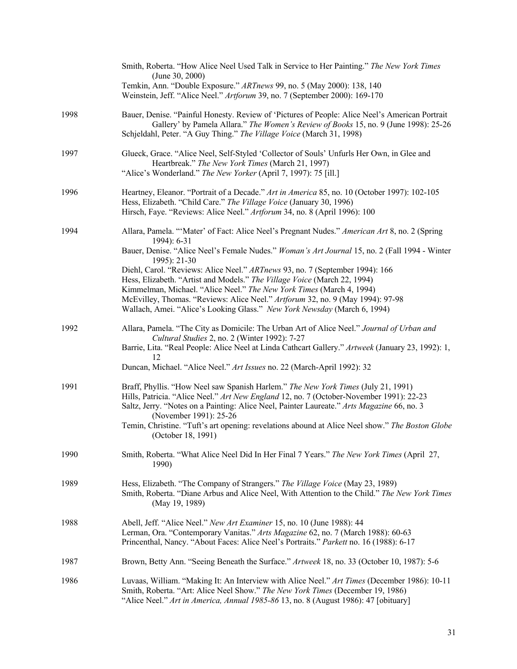|      | Smith, Roberta. "How Alice Neel Used Talk in Service to Her Painting." The New York Times<br>(June 30, 2000)<br>Temkin, Ann. "Double Exposure." ARTnews 99, no. 5 (May 2000): 138, 140<br>Weinstein, Jeff. "Alice Neel." Artforum 39, no. 7 (September 2000): 169-170                                |
|------|------------------------------------------------------------------------------------------------------------------------------------------------------------------------------------------------------------------------------------------------------------------------------------------------------|
| 1998 | Bauer, Denise. "Painful Honesty. Review of 'Pictures of People: Alice Neel's American Portrait<br>Gallery' by Pamela Allara." The Women's Review of Books 15, no. 9 (June 1998): 25-26<br>Schjeldahl, Peter. "A Guy Thing." The Village Voice (March 31, 1998)                                       |
| 1997 | Glueck, Grace. "Alice Neel, Self-Styled 'Collector of Souls' Unfurls Her Own, in Glee and<br>Heartbreak." The New York Times (March 21, 1997)<br>"Alice's Wonderland." The New Yorker (April 7, 1997): 75 [ill.]                                                                                     |
| 1996 | Heartney, Eleanor. "Portrait of a Decade." Art in America 85, no. 10 (October 1997): 102-105<br>Hess, Elizabeth. "Child Care." The Village Voice (January 30, 1996)<br>Hirsch, Faye. "Reviews: Alice Neel." Artforum 34, no. 8 (April 1996): 100                                                     |
| 1994 | Allara, Pamela. "'Mater' of Fact: Alice Neel's Pregnant Nudes." American Art 8, no. 2 (Spring<br>1994): 6-31                                                                                                                                                                                         |
|      | Bauer, Denise. "Alice Neel's Female Nudes." Woman's Art Journal 15, no. 2 (Fall 1994 - Winter<br>1995): 21-30                                                                                                                                                                                        |
|      | Diehl, Carol. "Reviews: Alice Neel." ARTnews 93, no. 7 (September 1994): 166<br>Hess, Elizabeth. "Artist and Models." The Village Voice (March 22, 1994)                                                                                                                                             |
|      | Kimmelman, Michael. "Alice Neel." The New York Times (March 4, 1994)                                                                                                                                                                                                                                 |
|      | McEvilley, Thomas. "Reviews: Alice Neel." Artforum 32, no. 9 (May 1994): 97-98<br>Wallach, Amei. "Alice's Looking Glass." New York Newsday (March 6, 1994)                                                                                                                                           |
| 1992 | Allara, Pamela. "The City as Domicile: The Urban Art of Alice Neel." Journal of Urban and<br>Cultural Studies 2, no. 2 (Winter 1992): 7-27                                                                                                                                                           |
|      | Barrie, Lita. "Real People: Alice Neel at Linda Cathcart Gallery." Artweek (January 23, 1992): 1,<br>12                                                                                                                                                                                              |
|      | Duncan, Michael. "Alice Neel." Art Issues no. 22 (March-April 1992): 32                                                                                                                                                                                                                              |
| 1991 | Braff, Phyllis. "How Neel saw Spanish Harlem." The New York Times (July 21, 1991)<br>Hills, Patricia. "Alice Neel." Art New England 12, no. 7 (October-November 1991): 22-23<br>Saltz, Jerry. "Notes on a Painting: Alice Neel, Painter Laureate." Arts Magazine 66, no. 3<br>(November 1991): 25-26 |
|      | Temin, Christine. "Tuft's art opening: revelations abound at Alice Neel show." The Boston Globe<br>(October 18, 1991)                                                                                                                                                                                |
| 1990 | Smith, Roberta. "What Alice Neel Did In Her Final 7 Years." The New York Times (April 27,<br>1990)                                                                                                                                                                                                   |
| 1989 | Hess, Elizabeth. "The Company of Strangers." The Village Voice (May 23, 1989)<br>Smith, Roberta. "Diane Arbus and Alice Neel, With Attention to the Child." The New York Times<br>(May 19, 1989)                                                                                                     |
| 1988 | Abell, Jeff. "Alice Neel." New Art Examiner 15, no. 10 (June 1988): 44<br>Lerman, Ora. "Contemporary Vanitas." Arts Magazine 62, no. 7 (March 1988): 60-63<br>Princenthal, Nancy. "About Faces: Alice Neel's Portraits." Parkett no. 16 (1988): 6-17                                                 |
| 1987 | Brown, Betty Ann. "Seeing Beneath the Surface." Artweek 18, no. 33 (October 10, 1987): 5-6                                                                                                                                                                                                           |
| 1986 | Luvaas, William. "Making It: An Interview with Alice Neel." Art Times (December 1986): 10-11<br>Smith, Roberta. "Art: Alice Neel Show." The New York Times (December 19, 1986)<br>"Alice Neel." Art in America, Annual 1985-86 13, no. 8 (August 1986): 47 [obituary]                                |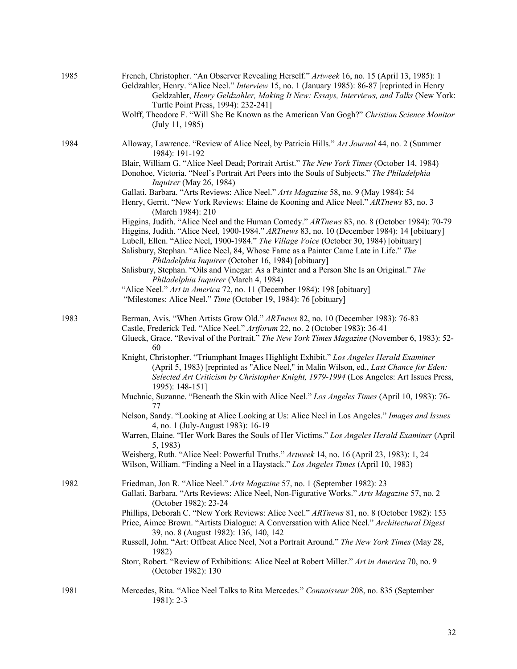| 1985 | French, Christopher. "An Observer Revealing Herself." Artweek 16, no. 15 (April 13, 1985): 1<br>Geldzahler, Henry. "Alice Neel." Interview 15, no. 1 (January 1985): 86-87 [reprinted in Henry<br>Geldzahler, Henry Geldzahler, Making It New: Essays, Interviews, and Talks (New York:<br>Turtle Point Press, 1994): 232-241]<br>Wolff, Theodore F. "Will She Be Known as the American Van Gogh?" Christian Science Monitor<br>(July 11, 1985) |
|------|-------------------------------------------------------------------------------------------------------------------------------------------------------------------------------------------------------------------------------------------------------------------------------------------------------------------------------------------------------------------------------------------------------------------------------------------------|
| 1984 | Alloway, Lawrence. "Review of Alice Neel, by Patricia Hills." Art Journal 44, no. 2 (Summer<br>1984): 191-192                                                                                                                                                                                                                                                                                                                                   |
|      | Blair, William G. "Alice Neel Dead; Portrait Artist." The New York Times (October 14, 1984)<br>Donohoe, Victoria. "Neel's Portrait Art Peers into the Souls of Subjects." The Philadelphia<br>Inquirer (May 26, 1984)                                                                                                                                                                                                                           |
|      | Gallati, Barbara. "Arts Reviews: Alice Neel." Arts Magazine 58, no. 9 (May 1984): 54<br>Henry, Gerrit. "New York Reviews: Elaine de Kooning and Alice Neel." ARTnews 83, no. 3<br>(March 1984): 210                                                                                                                                                                                                                                             |
|      | Higgins, Judith. "Alice Neel and the Human Comedy." ARTnews 83, no. 8 (October 1984): 70-79<br>Higgins, Judith. "Alice Neel, 1900-1984." ARTnews 83, no. 10 (December 1984): 14 [obituary]<br>Lubell, Ellen. "Alice Neel, 1900-1984." The Village Voice (October 30, 1984) [obituary]<br>Salisbury, Stephan. "Alice Neel, 84, Whose Fame as a Painter Came Late in Life." The<br>Philadelphia Inquirer (October 16, 1984) [obituary]            |
|      | Salisbury, Stephan. "Oils and Vinegar: As a Painter and a Person She Is an Original." The                                                                                                                                                                                                                                                                                                                                                       |
|      | Philadelphia Inquirer (March 4, 1984)<br>"Alice Neel." Art in America 72, no. 11 (December 1984): 198 [obituary]<br>"Milestones: Alice Neel." Time (October 19, 1984): 76 [obituary]                                                                                                                                                                                                                                                            |
| 1983 | Berman, Avis. "When Artists Grow Old." ARTnews 82, no. 10 (December 1983): 76-83<br>Castle, Frederick Ted. "Alice Neel." Artforum 22, no. 2 (October 1983): 36-41<br>Glueck, Grace. "Revival of the Portrait." The New York Times Magazine (November 6, 1983): 52-                                                                                                                                                                              |
|      | 60<br>Knight, Christopher. "Triumphant Images Highlight Exhibit." Los Angeles Herald Examiner<br>(April 5, 1983) [reprinted as "Alice Neel," in Malin Wilson, ed., Last Chance for Eden:<br>Selected Art Criticism by Christopher Knight, 1979-1994 (Los Angeles: Art Issues Press,<br>1995): 148-151]                                                                                                                                          |
|      | Muchnic, Suzanne. "Beneath the Skin with Alice Neel." Los Angeles Times (April 10, 1983): 76-<br>77                                                                                                                                                                                                                                                                                                                                             |
|      | Nelson, Sandy. "Looking at Alice Looking at Us: Alice Neel in Los Angeles." Images and Issues<br>4, no. 1 (July-August 1983): 16-19                                                                                                                                                                                                                                                                                                             |
|      | Warren, Elaine. "Her Work Bares the Souls of Her Victims." Los Angeles Herald Examiner (April<br>5, 1983)                                                                                                                                                                                                                                                                                                                                       |
|      | Weisberg, Ruth. "Alice Neel: Powerful Truths." Artweek 14, no. 16 (April 23, 1983): 1, 24<br>Wilson, William. "Finding a Neel in a Haystack." Los Angeles Times (April 10, 1983)                                                                                                                                                                                                                                                                |
| 1982 | Friedman, Jon R. "Alice Neel." Arts Magazine 57, no. 1 (September 1982): 23<br>Gallati, Barbara. "Arts Reviews: Alice Neel, Non-Figurative Works." Arts Magazine 57, no. 2<br>(October 1982): 23-24                                                                                                                                                                                                                                             |
|      | Phillips, Deborah C. "New York Reviews: Alice Neel." ARTnews 81, no. 8 (October 1982): 153<br>Price, Aimee Brown. "Artists Dialogue: A Conversation with Alice Neel." Architectural Digest<br>39, no. 8 (August 1982): 136, 140, 142                                                                                                                                                                                                            |
|      | Russell, John. "Art: Offbeat Alice Neel, Not a Portrait Around." The New York Times (May 28,<br>1982)                                                                                                                                                                                                                                                                                                                                           |
|      | Storr, Robert. "Review of Exhibitions: Alice Neel at Robert Miller." Art in America 70, no. 9<br>(October 1982): 130                                                                                                                                                                                                                                                                                                                            |
| 1981 | Mercedes, Rita. "Alice Neel Talks to Rita Mercedes." Connoisseur 208, no. 835 (September<br>$1981$ : 2-3                                                                                                                                                                                                                                                                                                                                        |

## 32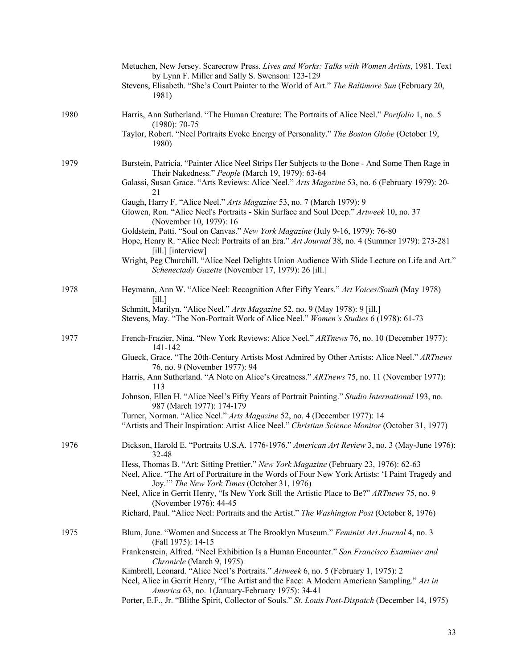|      | Metuchen, New Jersey. Scarecrow Press. Lives and Works: Talks with Women Artists, 1981. Text<br>by Lynn F. Miller and Sally S. Swenson: 123-129<br>Stevens, Elisabeth. "She's Court Painter to the World of Art." The Baltimore Sun (February 20,<br>1981) |
|------|------------------------------------------------------------------------------------------------------------------------------------------------------------------------------------------------------------------------------------------------------------|
| 1980 | Harris, Ann Sutherland. "The Human Creature: The Portraits of Alice Neel." Portfolio 1, no. 5<br>$(1980): 70-75$                                                                                                                                           |
|      | Taylor, Robert. "Neel Portraits Evoke Energy of Personality." The Boston Globe (October 19,<br>1980)                                                                                                                                                       |
| 1979 | Burstein, Patricia. "Painter Alice Neel Strips Her Subjects to the Bone - And Some Then Rage in<br>Their Nakedness." People (March 19, 1979): 63-64                                                                                                        |
|      | Galassi, Susan Grace. "Arts Reviews: Alice Neel." Arts Magazine 53, no. 6 (February 1979): 20-<br>21                                                                                                                                                       |
|      | Gaugh, Harry F. "Alice Neel." Arts Magazine 53, no. 7 (March 1979): 9<br>Glowen, Ron. "Alice Neel's Portraits - Skin Surface and Soul Deep." Artweek 10, no. 37<br>(November 10, 1979): 16                                                                 |
|      | Goldstein, Patti. "Soul on Canvas." New York Magazine (July 9-16, 1979): 76-80<br>Hope, Henry R. "Alice Neel: Portraits of an Era." Art Journal 38, no. 4 (Summer 1979): 273-281<br>$\left[$ ill. $\right]$ $\left[$ interview $\right]$                   |
|      | Wright, Peg Churchill. "Alice Neel Delights Union Audience With Slide Lecture on Life and Art."<br>Schenectady Gazette (November 17, 1979): 26 [ill.]                                                                                                      |
| 1978 | Heymann, Ann W. "Alice Neel: Recognition After Fifty Years." Art Voices/South (May 1978)<br>[i]                                                                                                                                                            |
|      | Schmitt, Marilyn. "Alice Neel." Arts Magazine 52, no. 9 (May 1978): 9 [ill.]<br>Stevens, May. "The Non-Portrait Work of Alice Neel." Women's Studies 6 (1978): 61-73                                                                                       |
| 1977 | French-Frazier, Nina. "New York Reviews: Alice Neel." ARTnews 76, no. 10 (December 1977):<br>141-142                                                                                                                                                       |
|      | Glueck, Grace. "The 20th-Century Artists Most Admired by Other Artists: Alice Neel." ARTnews<br>76, no. 9 (November 1977): 94                                                                                                                              |
|      | Harris, Ann Sutherland. "A Note on Alice's Greatness." ARTnews 75, no. 11 (November 1977):<br>113                                                                                                                                                          |
|      | Johnson, Ellen H. "Alice Neel's Fifty Years of Portrait Painting." Studio International 193, no.<br>987 (March 1977): 174-179                                                                                                                              |
|      | Turner, Norman. "Alice Neel." Arts Magazine 52, no. 4 (December 1977): 14<br>"Artists and Their Inspiration: Artist Alice Neel." Christian Science Monitor (October 31, 1977)                                                                              |
| 1976 | Dickson, Harold E. "Portraits U.S.A. 1776-1976." American Art Review 3, no. 3 (May-June 1976):<br>32-48                                                                                                                                                    |
|      | Hess, Thomas B. "Art: Sitting Prettier." New York Magazine (February 23, 1976): 62-63<br>Neel, Alice. "The Art of Portraiture in the Words of Four New York Artists: 'I Paint Tragedy and<br>Joy."" The New York Times (October 31, 1976)                  |
|      | Neel, Alice in Gerrit Henry, "Is New York Still the Artistic Place to Be?" ARTnews 75, no. 9<br>(November 1976): 44-45                                                                                                                                     |
|      | Richard, Paul. "Alice Neel: Portraits and the Artist." The Washington Post (October 8, 1976)                                                                                                                                                               |
| 1975 | Blum, June. "Women and Success at The Brooklyn Museum." Feminist Art Journal 4, no. 3<br>(Fall 1975): 14-15                                                                                                                                                |
|      | Frankenstein, Alfred. "Neel Exhibition Is a Human Encounter." San Francisco Examiner and<br>Chronicle (March 9, 1975)                                                                                                                                      |
|      | Kimbrell, Leonard. "Alice Neel's Portraits." Artweek 6, no. 5 (February 1, 1975): 2                                                                                                                                                                        |
|      | Neel, Alice in Gerrit Henry, "The Artist and the Face: A Modern American Sampling." Art in<br>America 63, no. 1 (January-February 1975): 34-41                                                                                                             |
|      | Porter, E.F., Jr. "Blithe Spirit, Collector of Souls." St. Louis Post-Dispatch (December 14, 1975)                                                                                                                                                         |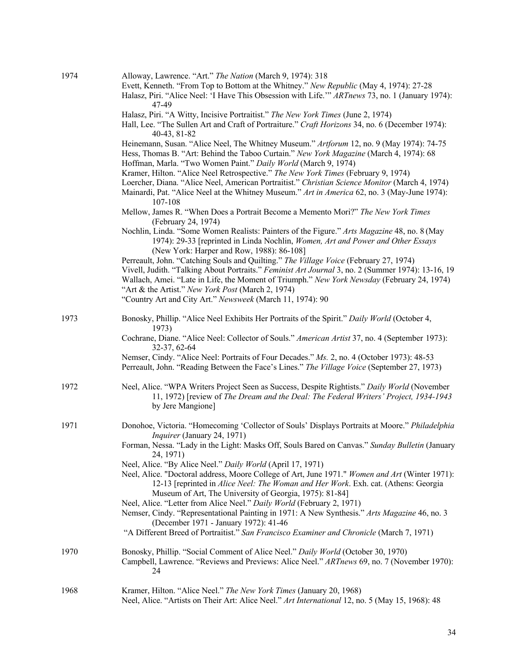| 1974 | Alloway, Lawrence. "Art." The Nation (March 9, 1974): 318<br>Evett, Kenneth. "From Top to Bottom at the Whitney." New Republic (May 4, 1974): 27-28                                                                                                                                                                                           |
|------|-----------------------------------------------------------------------------------------------------------------------------------------------------------------------------------------------------------------------------------------------------------------------------------------------------------------------------------------------|
|      | Halasz, Piri. "Alice Neel: 'I Have This Obsession with Life."" ARTnews 73, no. 1 (January 1974):<br>47-49                                                                                                                                                                                                                                     |
|      | Halasz, Piri. "A Witty, Incisive Portraitist." The New York Times (June 2, 1974)                                                                                                                                                                                                                                                              |
|      | Hall, Lee. "The Sullen Art and Craft of Portraiture." Craft Horizons 34, no. 6 (December 1974):<br>40-43, 81-82                                                                                                                                                                                                                               |
|      | Heinemann, Susan. "Alice Neel, The Whitney Museum." Artforum 12, no. 9 (May 1974): 74-75<br>Hess, Thomas B. "Art: Behind the Taboo Curtain." New York Magazine (March 4, 1974): 68<br>Hoffman, Marla. "Two Women Paint." Daily World (March 9, 1974)                                                                                          |
|      | Kramer, Hilton. "Alice Neel Retrospective." The New York Times (February 9, 1974)<br>Loercher, Diana. "Alice Neel, American Portraitist." Christian Science Monitor (March 4, 1974)<br>Mainardi, Pat. "Alice Neel at the Whitney Museum." Art in America 62, no. 3 (May-June 1974):<br>107-108                                                |
|      | Mellow, James R. "When Does a Portrait Become a Memento Mori?" The New York Times<br>(February 24, 1974)                                                                                                                                                                                                                                      |
|      | Nochlin, Linda. "Some Women Realists: Painters of the Figure." Arts Magazine 48, no. 8 (May<br>1974): 29-33 [reprinted in Linda Nochlin, Women, Art and Power and Other Essays<br>(New York: Harper and Row, 1988): 86-108]                                                                                                                   |
|      | Perreault, John. "Catching Souls and Quilting." The Village Voice (February 27, 1974)<br>Vivell, Judith. "Talking About Portraits." Feminist Art Journal 3, no. 2 (Summer 1974): 13-16, 19<br>Wallach, Amei. "Late in Life, the Moment of Triumph." New York Newsday (February 24, 1974)<br>"Art & the Artist." New York Post (March 2, 1974) |
|      | "Country Art and City Art." Newsweek (March 11, 1974): 90                                                                                                                                                                                                                                                                                     |
| 1973 | Bonosky, Phillip. "Alice Neel Exhibits Her Portraits of the Spirit." Daily World (October 4,<br>1973)                                                                                                                                                                                                                                         |
|      | Cochrane, Diane. "Alice Neel: Collector of Souls." American Artist 37, no. 4 (September 1973):<br>32-37, 62-64                                                                                                                                                                                                                                |
|      | Nemser, Cindy. "Alice Neel: Portraits of Four Decades." Ms. 2, no. 4 (October 1973): 48-53<br>Perreault, John. "Reading Between the Face's Lines." The Village Voice (September 27, 1973)                                                                                                                                                     |
| 1972 | Neel, Alice. "WPA Writers Project Seen as Success, Despite Rightists." Daily World (November<br>11, 1972) [review of The Dream and the Deal: The Federal Writers' Project, 1934-1943<br>by Jere Mangione]                                                                                                                                     |
| 1971 | Donohoe, Victoria. "Homecoming 'Collector of Souls' Displays Portraits at Moore." Philadelphia<br><i>Inquirer</i> (January 24, 1971)                                                                                                                                                                                                          |
|      | Forman, Nessa. "Lady in the Light: Masks Off, Souls Bared on Canvas." Sunday Bulletin (January<br>24, 1971)                                                                                                                                                                                                                                   |
|      | Neel, Alice. "By Alice Neel." Daily World (April 17, 1971)<br>Neel, Alice. "Doctoral address, Moore College of Art, June 1971." Women and Art (Winter 1971):<br>12-13 [reprinted in Alice Neel: The Woman and Her Work. Exh. cat. (Athens: Georgia<br>Museum of Art, The University of Georgia, 1975): 81-84]                                 |
|      | Neel, Alice. "Letter from Alice Neel." Daily World (February 2, 1971)<br>Nemser, Cindy. "Representational Painting in 1971: A New Synthesis." Arts Magazine 46, no. 3<br>(December 1971 - January 1972): 41-46                                                                                                                                |
|      | "A Different Breed of Portraitist." San Francisco Examiner and Chronicle (March 7, 1971)                                                                                                                                                                                                                                                      |
| 1970 | Bonosky, Phillip. "Social Comment of Alice Neel." Daily World (October 30, 1970)<br>Campbell, Lawrence. "Reviews and Previews: Alice Neel." ARTnews 69, no. 7 (November 1970):<br>24                                                                                                                                                          |
| 1968 | Kramer, Hilton. "Alice Neel." The New York Times (January 20, 1968)<br>Neel, Alice. "Artists on Their Art: Alice Neel." Art International 12, no. 5 (May 15, 1968): 48                                                                                                                                                                        |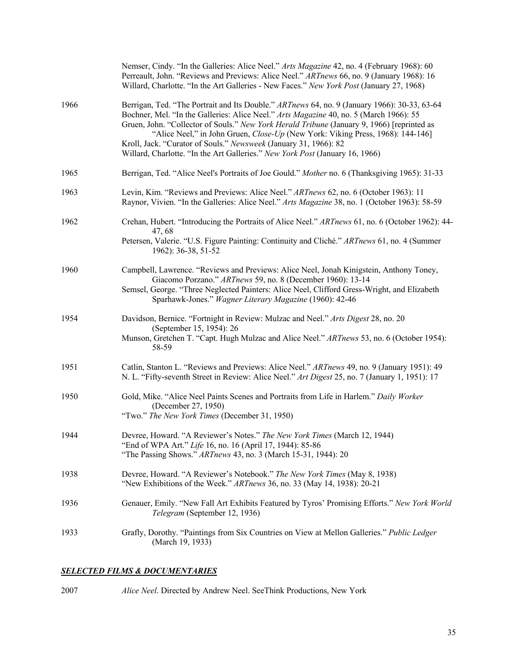|      | Nemser, Cindy. "In the Galleries: Alice Neel." Arts Magazine 42, no. 4 (February 1968): 60<br>Perreault, John. "Reviews and Previews: Alice Neel." ARTnews 66, no. 9 (January 1968): 16<br>Willard, Charlotte. "In the Art Galleries - New Faces." New York Post (January 27, 1968)                                                                                                                                                                                                                                        |
|------|----------------------------------------------------------------------------------------------------------------------------------------------------------------------------------------------------------------------------------------------------------------------------------------------------------------------------------------------------------------------------------------------------------------------------------------------------------------------------------------------------------------------------|
| 1966 | Berrigan, Ted. "The Portrait and Its Double." ARTnews 64, no. 9 (January 1966): 30-33, 63-64<br>Bochner, Mel. "In the Galleries: Alice Neel." Arts Magazine 40, no. 5 (March 1966): 55<br>Gruen, John. "Collector of Souls." New York Herald Tribune (January 9, 1966) [reprinted as<br>"Alice Neel," in John Gruen, Close-Up (New York: Viking Press, 1968): 144-146]<br>Kroll, Jack. "Curator of Souls." Newsweek (January 31, 1966): 82<br>Willard, Charlotte. "In the Art Galleries." New York Post (January 16, 1966) |
| 1965 | Berrigan, Ted. "Alice Neel's Portraits of Joe Gould." Mother no. 6 (Thanksgiving 1965): 31-33                                                                                                                                                                                                                                                                                                                                                                                                                              |
| 1963 | Levin, Kim. "Reviews and Previews: Alice Neel." ARTnews 62, no. 6 (October 1963): 11<br>Raynor, Vivien. "In the Galleries: Alice Neel." Arts Magazine 38, no. 1 (October 1963): 58-59                                                                                                                                                                                                                                                                                                                                      |
| 1962 | Crehan, Hubert. "Introducing the Portraits of Alice Neel." ARTnews 61, no. 6 (October 1962): 44-<br>47, 68<br>Petersen, Valerie. "U.S. Figure Painting: Continuity and Cliché." ARTnews 61, no. 4 (Summer<br>1962): 36-38, 51-52                                                                                                                                                                                                                                                                                           |
| 1960 | Campbell, Lawrence. "Reviews and Previews: Alice Neel, Jonah Kinigstein, Anthony Toney,<br>Giacomo Porzano." ARTnews 59, no. 8 (December 1960): 13-14<br>Semsel, George. "Three Neglected Painters: Alice Neel, Clifford Gress-Wright, and Elizabeth<br>Sparhawk-Jones." Wagner Literary Magazine (1960): 42-46                                                                                                                                                                                                            |
| 1954 | Davidson, Bernice. "Fortnight in Review: Mulzac and Neel." Arts Digest 28, no. 20<br>(September 15, 1954): 26<br>Munson, Gretchen T. "Capt. Hugh Mulzac and Alice Neel." ARTnews 53, no. 6 (October 1954):<br>58-59                                                                                                                                                                                                                                                                                                        |
| 1951 | Catlin, Stanton L. "Reviews and Previews: Alice Neel." ARTnews 49, no. 9 (January 1951): 49<br>N. L. "Fifty-seventh Street in Review: Alice Neel." Art Digest 25, no. 7 (January 1, 1951): 17                                                                                                                                                                                                                                                                                                                              |
| 1950 | Gold, Mike. "Alice Neel Paints Scenes and Portraits from Life in Harlem." Daily Worker<br>(December 27, 1950)<br>"Two." The New York Times (December 31, 1950)                                                                                                                                                                                                                                                                                                                                                             |
| 1944 | Devree, Howard. "A Reviewer's Notes." The New York Times (March 12, 1944)<br>"End of WPA Art." Life 16, no. 16 (April 17, 1944): 85-86<br>"The Passing Shows." ARTnews 43, no. 3 (March 15-31, 1944): 20                                                                                                                                                                                                                                                                                                                   |
| 1938 | Devree, Howard. "A Reviewer's Notebook." The New York Times (May 8, 1938)<br>"New Exhibitions of the Week." ARTnews 36, no. 33 (May 14, 1938): 20-21                                                                                                                                                                                                                                                                                                                                                                       |
| 1936 | Genauer, Emily. "New Fall Art Exhibits Featured by Tyros' Promising Efforts." New York World<br>Telegram (September 12, 1936)                                                                                                                                                                                                                                                                                                                                                                                              |
| 1933 | Grafly, Dorothy. "Paintings from Six Countries on View at Mellon Galleries." Public Ledger<br>(March 19, 1933)                                                                                                                                                                                                                                                                                                                                                                                                             |

## *SELECTED FILMS & DOCUMENTARIES*

| 2007<br><i>Alice Neel.</i> Directed by Andrew Neel. SeeThink Productions, New York |  |
|------------------------------------------------------------------------------------|--|
|------------------------------------------------------------------------------------|--|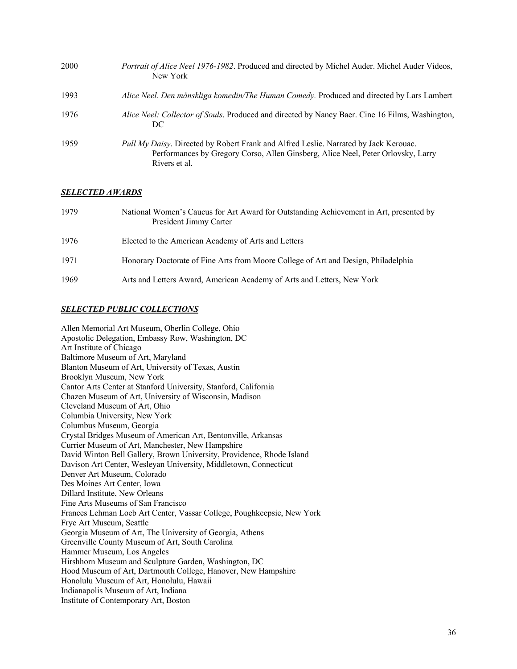| 2000 | Portrait of Alice Neel 1976-1982. Produced and directed by Michel Auder. Michel Auder Videos,<br>New York                                                                                 |
|------|-------------------------------------------------------------------------------------------------------------------------------------------------------------------------------------------|
| 1993 | Alice Neel. Den mänskliga komedin/The Human Comedy. Produced and directed by Lars Lambert                                                                                                 |
| 1976 | Alice Neel: Collector of Souls. Produced and directed by Nancy Baer. Cine 16 Films, Washington,<br>DC                                                                                     |
| 1959 | Pull My Daisy. Directed by Robert Frank and Alfred Leslie. Narrated by Jack Kerouac.<br>Performances by Gregory Corso, Allen Ginsberg, Alice Neel, Peter Orlovsky, Larry<br>Rivers et al. |

#### *SELECTED AWARDS*

| 1979 | National Women's Caucus for Art Award for Outstanding Achievement in Art, presented by<br>President Jimmy Carter |
|------|------------------------------------------------------------------------------------------------------------------|
| 1976 | Elected to the American Academy of Arts and Letters                                                              |
| 1971 | Honorary Doctorate of Fine Arts from Moore College of Art and Design, Philadelphia                               |
| 1969 | Arts and Letters Award, American Academy of Arts and Letters, New York                                           |

#### *SELECTED PUBLIC COLLECTIONS*

Allen Memorial Art Museum, Oberlin College, Ohio Apostolic Delegation, Embassy Row, Washington, DC Art Institute of Chicago Baltimore Museum of Art, Maryland Blanton Museum of Art, University of Texas, Austin Brooklyn Museum, New York Cantor Arts Center at Stanford University, Stanford, California Chazen Museum of Art, University of Wisconsin, Madison Cleveland Museum of Art, Ohio Columbia University, New York Columbus Museum, Georgia Crystal Bridges Museum of American Art, Bentonville, Arkansas Currier Museum of Art, Manchester, New Hampshire David Winton Bell Gallery, Brown University, Providence, Rhode Island Davison Art Center, Wesleyan University, Middletown, Connecticut Denver Art Museum, Colorado Des Moines Art Center, Iowa Dillard Institute, New Orleans Fine Arts Museums of San Francisco Frances Lehman Loeb Art Center, Vassar College, Poughkeepsie, New York Frye Art Museum, Seattle Georgia Museum of Art, The University of Georgia, Athens Greenville County Museum of Art, South Carolina Hammer Museum, Los Angeles Hirshhorn Museum and Sculpture Garden, Washington, DC Hood Museum of Art, Dartmouth College, Hanover, New Hampshire Honolulu Museum of Art, Honolulu, Hawaii Indianapolis Museum of Art, Indiana Institute of Contemporary Art, Boston